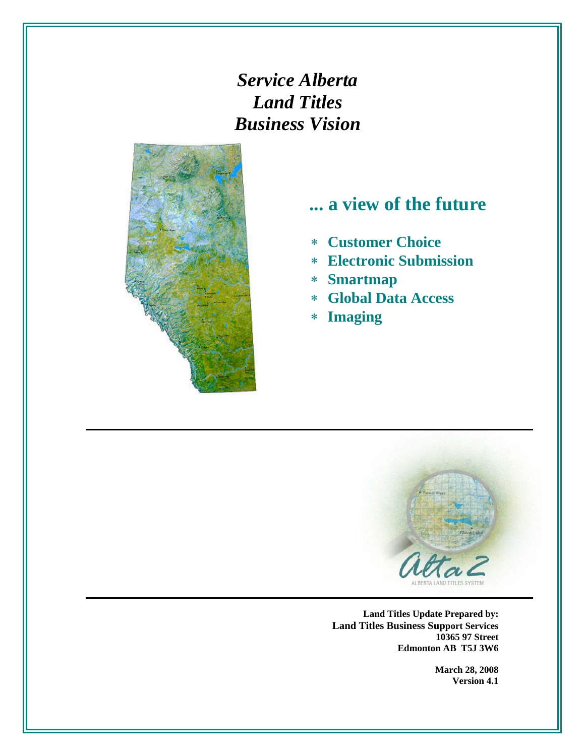*Service Alberta Land Titles Business Vision*



# **... a view of the future**

- ∗ **Customer Choice**
- ∗ **Electronic Submission**
- ∗ **Smartmap**
- ∗ **Global Data Access**
- ∗ **Imaging**



**Land Titles Update Prepared by: Land Titles Business Support Services 10365 97 Street Edmonton AB T5J 3W6** 

> **March 28, 2008 Version 4.1**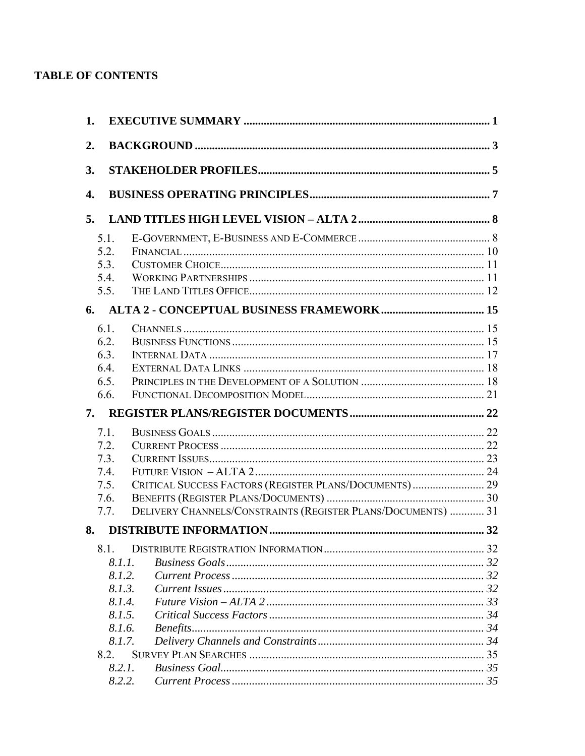### **TABLE OF CONTENTS**

| 1. |        |                                                              |  |
|----|--------|--------------------------------------------------------------|--|
| 2. |        |                                                              |  |
| 3. |        |                                                              |  |
| 4. |        |                                                              |  |
| 5. |        |                                                              |  |
|    | 5.1.   |                                                              |  |
|    | 5.2.   |                                                              |  |
|    | 5.3.   |                                                              |  |
|    | 5.4.   |                                                              |  |
|    | 5.5.   |                                                              |  |
| 6. |        |                                                              |  |
|    | 6.1.   |                                                              |  |
|    | 6.2.   |                                                              |  |
|    | 6.3.   |                                                              |  |
|    | 6.4.   |                                                              |  |
|    | 6.5.   |                                                              |  |
|    | 6.6.   |                                                              |  |
| 7. |        |                                                              |  |
|    | 7.1.   |                                                              |  |
|    | 7.2.   |                                                              |  |
|    | 7.3.   |                                                              |  |
|    | 7.4.   |                                                              |  |
|    | 7.5.   | CRITICAL SUCCESS FACTORS (REGISTER PLANS/DOCUMENTS) 29       |  |
|    | 7.6.   |                                                              |  |
|    | 7.7.   | DELIVERY CHANNELS/CONSTRAINTS (REGISTER PLANS/DOCUMENTS)  31 |  |
| 8. |        |                                                              |  |
|    | 8.1.   |                                                              |  |
|    | 8.1.1. |                                                              |  |
|    | 8.1.2. |                                                              |  |
|    | 8.1.3. |                                                              |  |
|    | 8.1.4. |                                                              |  |
|    | 8.1.5. |                                                              |  |
|    | 8.1.6. |                                                              |  |
|    | 8.1.7. |                                                              |  |
|    | 8.2.   |                                                              |  |
|    | 8.2.1. |                                                              |  |
|    | 8.2.2. |                                                              |  |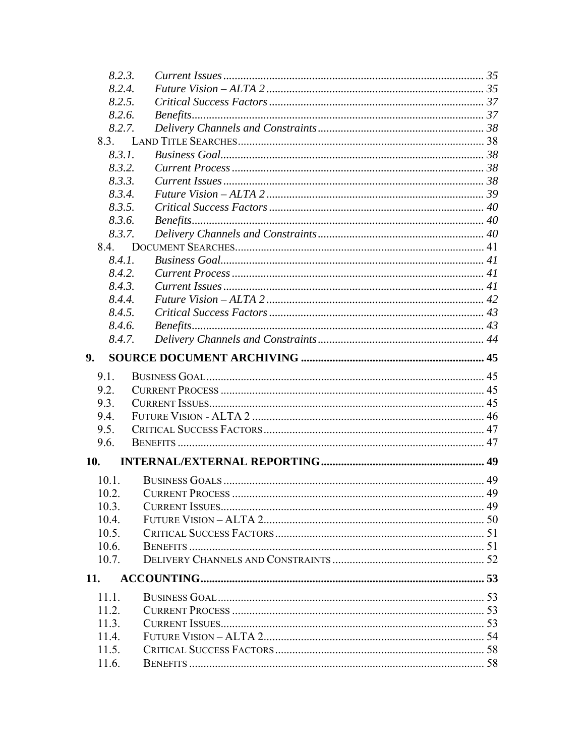|              | 8.2.3. |  |
|--------------|--------|--|
|              | 8.2.4. |  |
|              | 8.2.5. |  |
|              | 8.2.6. |  |
|              | 8.2.7. |  |
| 8.3.         |        |  |
|              | 8.3.1. |  |
|              | 8.3.2. |  |
|              | 8.3.3. |  |
|              | 8.3.4. |  |
|              | 8.3.5. |  |
|              | 8.3.6. |  |
|              | 8.3.7. |  |
|              |        |  |
|              | 8.4.1. |  |
|              | 8.4.2. |  |
|              | 8.4.3. |  |
|              | 8.4.4. |  |
|              | 8.4.5. |  |
|              | 8.4.6. |  |
|              | 8.4.7. |  |
| 9.           |        |  |
| 9.1.         |        |  |
| 9.2.         |        |  |
| 9.3.         |        |  |
| 9.4.         |        |  |
| 9.5.         |        |  |
| 9.6.         |        |  |
| 10.          |        |  |
| $10.1$ .     |        |  |
| 10.2.        |        |  |
| 10.3.        |        |  |
| 10.4.        |        |  |
| 10.5.        |        |  |
| 10.6.        |        |  |
| 10.7.        |        |  |
|              |        |  |
|              |        |  |
| 11.1.<br>112 |        |  |
| 11.3.        |        |  |
| 11.4.        |        |  |
|              |        |  |
| 11.5.        |        |  |
| 11.6.        |        |  |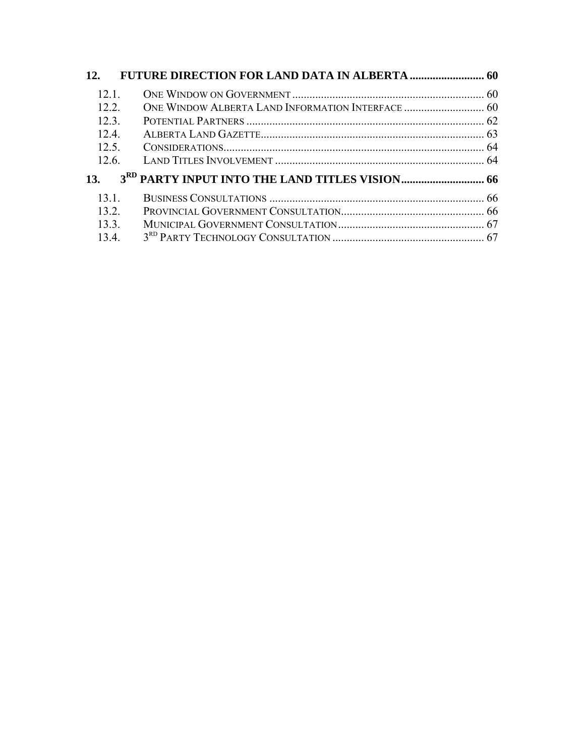| 12.   |  |
|-------|--|
| 12.1  |  |
| 12.2  |  |
| 12.3  |  |
| 12.4. |  |
| 12.5. |  |
| 12.6. |  |
| 13.   |  |
| 131   |  |
| 132   |  |
| 13.3. |  |
| 134   |  |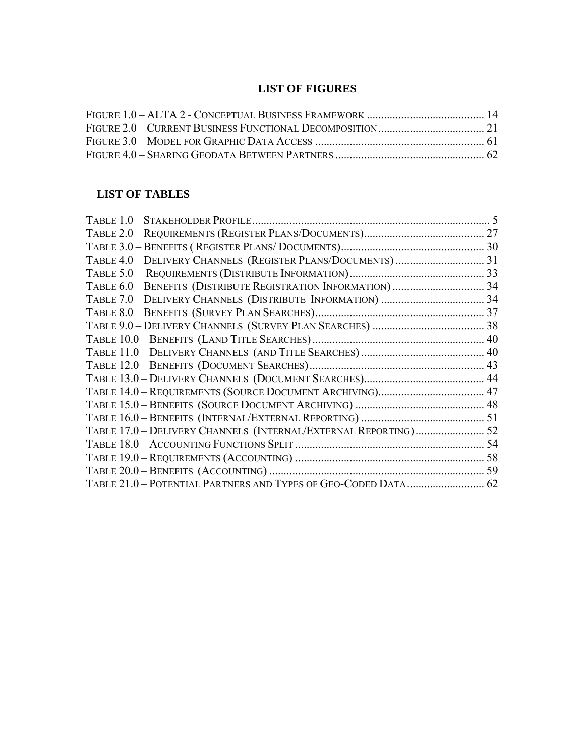### **LIST OF FIGURES**

### **LIST OF TABLES**

| TABLE 17.0 - DELIVERY CHANNELS (INTERNAL/EXTERNAL REPORTING) 52 |  |
|-----------------------------------------------------------------|--|
|                                                                 |  |
|                                                                 |  |
|                                                                 |  |
| TABLE 21.0 - POTENTIAL PARTNERS AND TYPES OF GEO-CODED DATA 62  |  |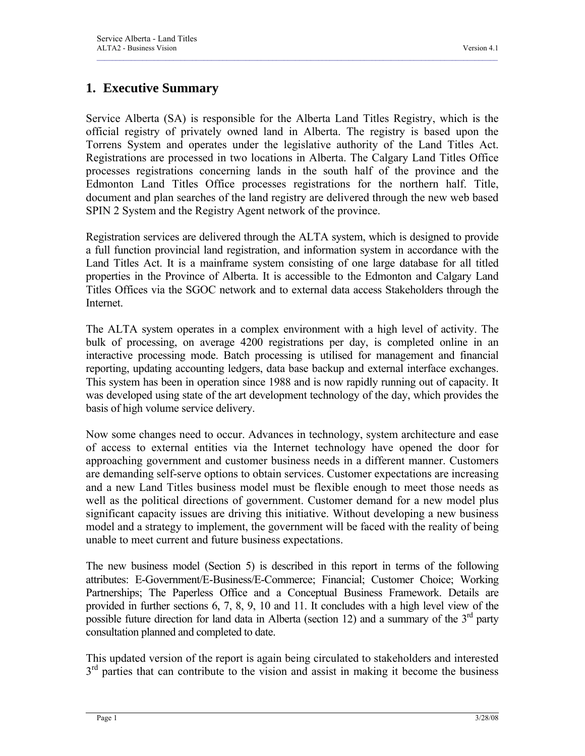### **1. Executive Summary**

Service Alberta (SA) is responsible for the Alberta Land Titles Registry, which is the official registry of privately owned land in Alberta. The registry is based upon the Torrens System and operates under the legislative authority of the Land Titles Act. Registrations are processed in two locations in Alberta. The Calgary Land Titles Office processes registrations concerning lands in the south half of the province and the Edmonton Land Titles Office processes registrations for the northern half. Title, document and plan searches of the land registry are delivered through the new web based SPIN 2 System and the Registry Agent network of the province.

<span id="page-5-0"></span> $\mathcal{L}_\mathcal{L} = \mathcal{L}_\mathcal{L} = \mathcal{L}_\mathcal{L} = \mathcal{L}_\mathcal{L} = \mathcal{L}_\mathcal{L} = \mathcal{L}_\mathcal{L} = \mathcal{L}_\mathcal{L} = \mathcal{L}_\mathcal{L} = \mathcal{L}_\mathcal{L} = \mathcal{L}_\mathcal{L} = \mathcal{L}_\mathcal{L} = \mathcal{L}_\mathcal{L} = \mathcal{L}_\mathcal{L} = \mathcal{L}_\mathcal{L} = \mathcal{L}_\mathcal{L} = \mathcal{L}_\mathcal{L} = \mathcal{L}_\mathcal{L}$ 

Registration services are delivered through the ALTA system, which is designed to provide a full function provincial land registration, and information system in accordance with the Land Titles Act. It is a mainframe system consisting of one large database for all titled properties in the Province of Alberta. It is accessible to the Edmonton and Calgary Land Titles Offices via the SGOC network and to external data access Stakeholders through the **Internet** 

The ALTA system operates in a complex environment with a high level of activity. The bulk of processing, on average 4200 registrations per day, is completed online in an interactive processing mode. Batch processing is utilised for management and financial reporting, updating accounting ledgers, data base backup and external interface exchanges. This system has been in operation since 1988 and is now rapidly running out of capacity. It was developed using state of the art development technology of the day, which provides the basis of high volume service delivery.

Now some changes need to occur. Advances in technology, system architecture and ease of access to external entities via the Internet technology have opened the door for approaching government and customer business needs in a different manner. Customers are demanding self-serve options to obtain services. Customer expectations are increasing and a new Land Titles business model must be flexible enough to meet those needs as well as the political directions of government. Customer demand for a new model plus significant capacity issues are driving this initiative. Without developing a new business model and a strategy to implement, the government will be faced with the reality of being unable to meet current and future business expectations.

The new business model (Section 5) is described in this report in terms of the following attributes: E-Government/E-Business/E-Commerce; Financial; Customer Choice; Working Partnerships; The Paperless Office and a Conceptual Business Framework. Details are provided in further sections 6, 7, 8, 9, 10 and 11. It concludes with a high level view of the possible future direction for land data in Alberta (section 12) and a summary of the  $3<sup>rd</sup>$  party consultation planned and completed to date.

This updated version of the report is again being circulated to stakeholders and interested  $3<sup>rd</sup>$  parties that can contribute to the vision and assist in making it become the business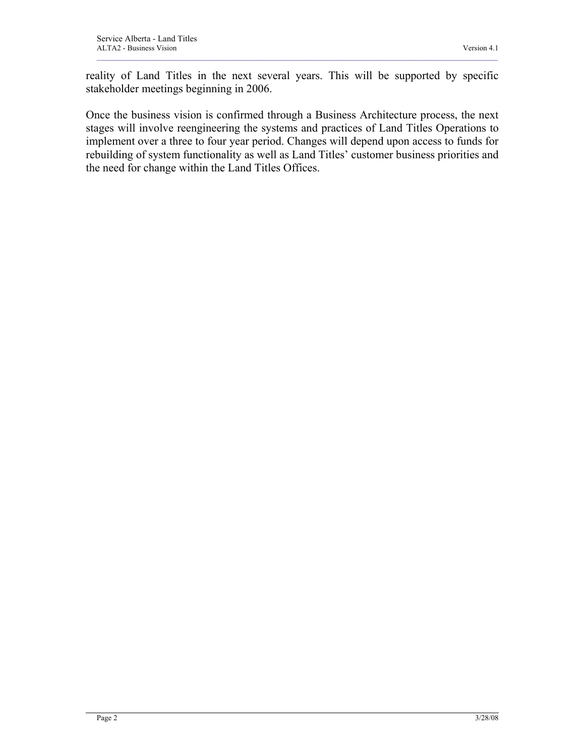reality of Land Titles in the next several years. This will be supported by specific stakeholder meetings beginning in 2006.

 $\mathcal{L}_\mathcal{L} = \mathcal{L}_\mathcal{L} = \mathcal{L}_\mathcal{L} = \mathcal{L}_\mathcal{L} = \mathcal{L}_\mathcal{L} = \mathcal{L}_\mathcal{L} = \mathcal{L}_\mathcal{L} = \mathcal{L}_\mathcal{L} = \mathcal{L}_\mathcal{L} = \mathcal{L}_\mathcal{L} = \mathcal{L}_\mathcal{L} = \mathcal{L}_\mathcal{L} = \mathcal{L}_\mathcal{L} = \mathcal{L}_\mathcal{L} = \mathcal{L}_\mathcal{L} = \mathcal{L}_\mathcal{L} = \mathcal{L}_\mathcal{L}$ 

Once the business vision is confirmed through a Business Architecture process, the next stages will involve reengineering the systems and practices of Land Titles Operations to implement over a three to four year period. Changes will depend upon access to funds for rebuilding of system functionality as well as Land Titles' customer business priorities and the need for change within the Land Titles Offices.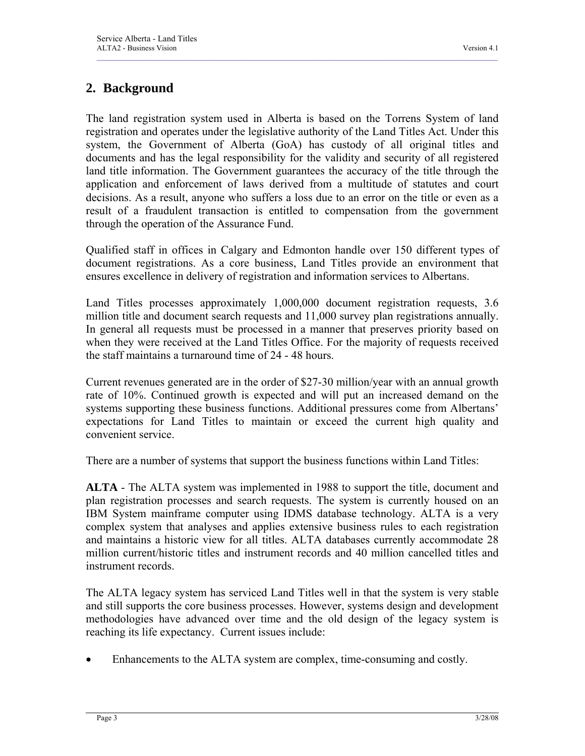# **2. Background**

The land registration system used in Alberta is based on the Torrens System of land registration and operates under the legislative authority of the Land Titles Act. Under this system, the Government of Alberta (GoA) has custody of all original titles and documents and has the legal responsibility for the validity and security of all registered land title information. The Government guarantees the accuracy of the title through the application and enforcement of laws derived from a multitude of statutes and court decisions. As a result, anyone who suffers a loss due to an error on the title or even as a result of a fraudulent transaction is entitled to compensation from the government through the operation of the Assurance Fund.

<span id="page-7-0"></span> $\mathcal{L}_\mathcal{L} = \mathcal{L}_\mathcal{L} = \mathcal{L}_\mathcal{L} = \mathcal{L}_\mathcal{L} = \mathcal{L}_\mathcal{L} = \mathcal{L}_\mathcal{L} = \mathcal{L}_\mathcal{L} = \mathcal{L}_\mathcal{L} = \mathcal{L}_\mathcal{L} = \mathcal{L}_\mathcal{L} = \mathcal{L}_\mathcal{L} = \mathcal{L}_\mathcal{L} = \mathcal{L}_\mathcal{L} = \mathcal{L}_\mathcal{L} = \mathcal{L}_\mathcal{L} = \mathcal{L}_\mathcal{L} = \mathcal{L}_\mathcal{L}$ 

Qualified staff in offices in Calgary and Edmonton handle over 150 different types of document registrations. As a core business, Land Titles provide an environment that ensures excellence in delivery of registration and information services to Albertans.

Land Titles processes approximately 1,000,000 document registration requests, 3.6 million title and document search requests and 11,000 survey plan registrations annually. In general all requests must be processed in a manner that preserves priority based on when they were received at the Land Titles Office. For the majority of requests received the staff maintains a turnaround time of 24 - 48 hours.

Current revenues generated are in the order of \$27-30 million/year with an annual growth rate of 10%. Continued growth is expected and will put an increased demand on the systems supporting these business functions. Additional pressures come from Albertans' expectations for Land Titles to maintain or exceed the current high quality and convenient service.

There are a number of systems that support the business functions within Land Titles:

**ALTA** - The ALTA system was implemented in 1988 to support the title, document and plan registration processes and search requests. The system is currently housed on an IBM System mainframe computer using IDMS database technology. ALTA is a very complex system that analyses and applies extensive business rules to each registration and maintains a historic view for all titles. ALTA databases currently accommodate 28 million current/historic titles and instrument records and 40 million cancelled titles and instrument records.

The ALTA legacy system has serviced Land Titles well in that the system is very stable and still supports the core business processes. However, systems design and development methodologies have advanced over time and the old design of the legacy system is reaching its life expectancy. Current issues include:

Enhancements to the ALTA system are complex, time-consuming and costly.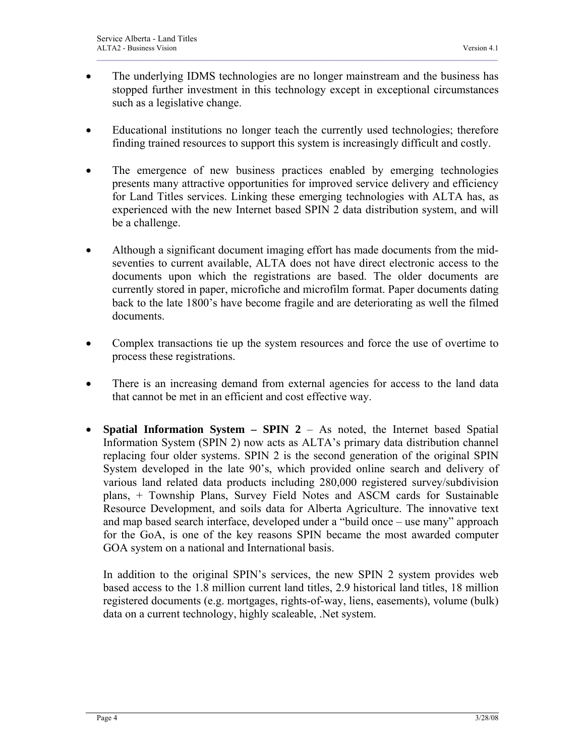• The underlying IDMS technologies are no longer mainstream and the business has stopped further investment in this technology except in exceptional circumstances such as a legislative change.

 $\mathcal{L}_\mathcal{L} = \mathcal{L}_\mathcal{L} = \mathcal{L}_\mathcal{L} = \mathcal{L}_\mathcal{L} = \mathcal{L}_\mathcal{L} = \mathcal{L}_\mathcal{L} = \mathcal{L}_\mathcal{L} = \mathcal{L}_\mathcal{L} = \mathcal{L}_\mathcal{L} = \mathcal{L}_\mathcal{L} = \mathcal{L}_\mathcal{L} = \mathcal{L}_\mathcal{L} = \mathcal{L}_\mathcal{L} = \mathcal{L}_\mathcal{L} = \mathcal{L}_\mathcal{L} = \mathcal{L}_\mathcal{L} = \mathcal{L}_\mathcal{L}$ 

- Educational institutions no longer teach the currently used technologies; therefore finding trained resources to support this system is increasingly difficult and costly.
- The emergence of new business practices enabled by emerging technologies presents many attractive opportunities for improved service delivery and efficiency for Land Titles services. Linking these emerging technologies with ALTA has, as experienced with the new Internet based SPIN 2 data distribution system, and will be a challenge.
- Although a significant document imaging effort has made documents from the midseventies to current available, ALTA does not have direct electronic access to the documents upon which the registrations are based. The older documents are currently stored in paper, microfiche and microfilm format. Paper documents dating back to the late 1800's have become fragile and are deteriorating as well the filmed documents.
- Complex transactions tie up the system resources and force the use of overtime to process these registrations.
- There is an increasing demand from external agencies for access to the land data that cannot be met in an efficient and cost effective way.
- **Spatial Information System SPIN 2** As noted, the Internet based Spatial Information System (SPIN 2) now acts as ALTA's primary data distribution channel replacing four older systems. SPIN 2 is the second generation of the original SPIN System developed in the late 90's, which provided online search and delivery of various land related data products including 280,000 registered survey/subdivision plans, + Township Plans, Survey Field Notes and ASCM cards for Sustainable Resource Development, and soils data for Alberta Agriculture. The innovative text and map based search interface, developed under a "build once – use many" approach for the GoA, is one of the key reasons SPIN became the most awarded computer GOA system on a national and International basis.

In addition to the original SPIN's services, the new SPIN 2 system provides web based access to the 1.8 million current land titles, 2.9 historical land titles, 18 million registered documents (e.g. mortgages, rights-of-way, liens, easements), volume (bulk) data on a current technology, highly scaleable, .Net system.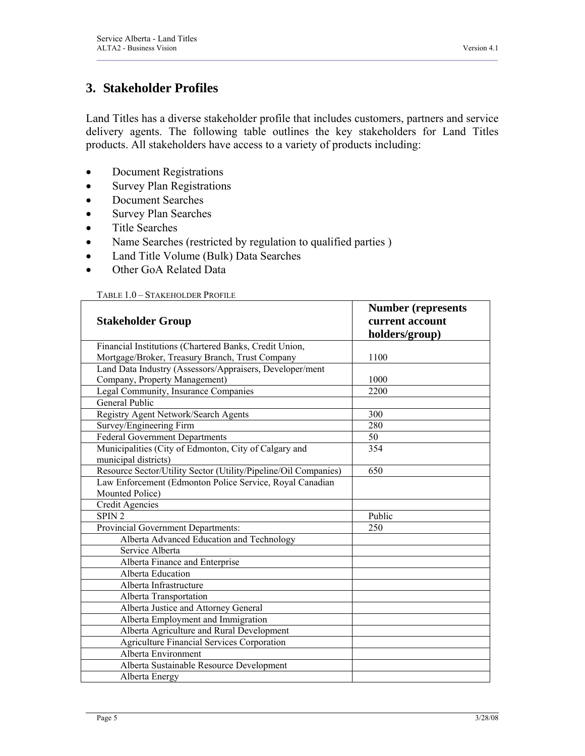### **3. Stakeholder Profiles**

Land Titles has a diverse stakeholder profile that includes customers, partners and service delivery agents. The following table outlines the key stakeholders for Land Titles products. All stakeholders have access to a variety of products including:

<span id="page-9-0"></span> $\mathcal{L}_\mathcal{L} = \mathcal{L}_\mathcal{L} = \mathcal{L}_\mathcal{L} = \mathcal{L}_\mathcal{L} = \mathcal{L}_\mathcal{L} = \mathcal{L}_\mathcal{L} = \mathcal{L}_\mathcal{L} = \mathcal{L}_\mathcal{L} = \mathcal{L}_\mathcal{L} = \mathcal{L}_\mathcal{L} = \mathcal{L}_\mathcal{L} = \mathcal{L}_\mathcal{L} = \mathcal{L}_\mathcal{L} = \mathcal{L}_\mathcal{L} = \mathcal{L}_\mathcal{L} = \mathcal{L}_\mathcal{L} = \mathcal{L}_\mathcal{L}$ 

- Document Registrations
- Survey Plan Registrations
- Document Searches
- Survey Plan Searches
- Title Searches
- Name Searches (restricted by regulation to qualified parties )
- Land Title Volume (Bulk) Data Searches
- Other GoA Related Data

#### TABLE 1.0 – STAKEHOLDER PROFILE

|                                                                 | <b>Number (represents</b> |  |  |
|-----------------------------------------------------------------|---------------------------|--|--|
| <b>Stakeholder Group</b>                                        | current account           |  |  |
|                                                                 | holders/group)            |  |  |
| Financial Institutions (Chartered Banks, Credit Union,          |                           |  |  |
| Mortgage/Broker, Treasury Branch, Trust Company                 | 1100                      |  |  |
| Land Data Industry (Assessors/Appraisers, Developer/ment        |                           |  |  |
| Company, Property Management)                                   | 1000                      |  |  |
| Legal Community, Insurance Companies                            | 2200                      |  |  |
| <b>General Public</b>                                           |                           |  |  |
| Registry Agent Network/Search Agents                            | 300                       |  |  |
| Survey/Engineering Firm                                         | 280                       |  |  |
| <b>Federal Government Departments</b>                           | 50                        |  |  |
| Municipalities (City of Edmonton, City of Calgary and           | 354                       |  |  |
| municipal districts)                                            |                           |  |  |
| Resource Sector/Utility Sector (Utility/Pipeline/Oil Companies) | 650                       |  |  |
| Law Enforcement (Edmonton Police Service, Royal Canadian        |                           |  |  |
| Mounted Police)                                                 |                           |  |  |
| <b>Credit Agencies</b>                                          |                           |  |  |
| SPIN <sub>2</sub>                                               | Public                    |  |  |
| Provincial Government Departments:                              | 250                       |  |  |
| Alberta Advanced Education and Technology                       |                           |  |  |
| Service Alberta                                                 |                           |  |  |
| Alberta Finance and Enterprise                                  |                           |  |  |
| Alberta Education                                               |                           |  |  |
| Alberta Infrastructure                                          |                           |  |  |
| Alberta Transportation                                          |                           |  |  |
| Alberta Justice and Attorney General                            |                           |  |  |
| Alberta Employment and Immigration                              |                           |  |  |
| Alberta Agriculture and Rural Development                       |                           |  |  |
| <b>Agriculture Financial Services Corporation</b>               |                           |  |  |
| Alberta Environment                                             |                           |  |  |
| Alberta Sustainable Resource Development                        |                           |  |  |
| Alberta Energy                                                  |                           |  |  |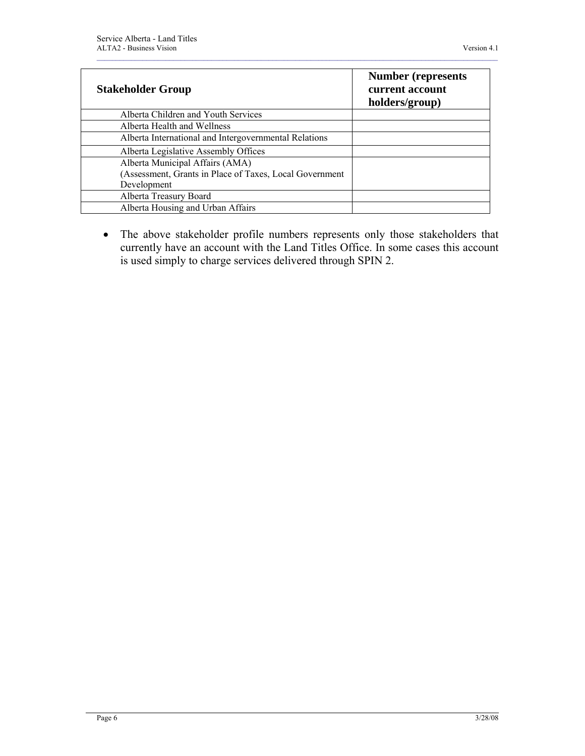| <b>Stakeholder Group</b>                                | <b>Number (represents)</b><br>current account<br>holders/group) |
|---------------------------------------------------------|-----------------------------------------------------------------|
| Alberta Children and Youth Services                     |                                                                 |
| Alberta Health and Wellness                             |                                                                 |
| Alberta International and Intergovernmental Relations   |                                                                 |
| Alberta Legislative Assembly Offices                    |                                                                 |
| Alberta Municipal Affairs (AMA)                         |                                                                 |
| (Assessment, Grants in Place of Taxes, Local Government |                                                                 |
| Development                                             |                                                                 |
| Alberta Treasury Board                                  |                                                                 |
| Alberta Housing and Urban Affairs                       |                                                                 |

• The above stakeholder profile numbers represents only those stakeholders that currently have an account with the Land Titles Office. In some cases this account is used simply to charge services delivered through SPIN 2.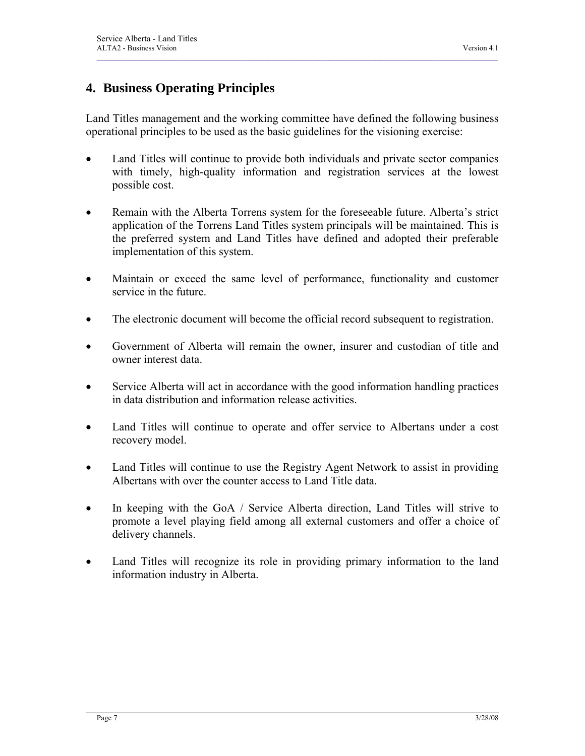# **4. Business Operating Principles**

Land Titles management and the working committee have defined the following business operational principles to be used as the basic guidelines for the visioning exercise:

<span id="page-11-0"></span> $\mathcal{L}_\mathcal{L} = \mathcal{L}_\mathcal{L} = \mathcal{L}_\mathcal{L} = \mathcal{L}_\mathcal{L} = \mathcal{L}_\mathcal{L} = \mathcal{L}_\mathcal{L} = \mathcal{L}_\mathcal{L} = \mathcal{L}_\mathcal{L} = \mathcal{L}_\mathcal{L} = \mathcal{L}_\mathcal{L} = \mathcal{L}_\mathcal{L} = \mathcal{L}_\mathcal{L} = \mathcal{L}_\mathcal{L} = \mathcal{L}_\mathcal{L} = \mathcal{L}_\mathcal{L} = \mathcal{L}_\mathcal{L} = \mathcal{L}_\mathcal{L}$ 

- Land Titles will continue to provide both individuals and private sector companies with timely, high-quality information and registration services at the lowest possible cost.
- Remain with the Alberta Torrens system for the foreseeable future. Alberta's strict application of the Torrens Land Titles system principals will be maintained. This is the preferred system and Land Titles have defined and adopted their preferable implementation of this system.
- Maintain or exceed the same level of performance, functionality and customer service in the future.
- The electronic document will become the official record subsequent to registration.
- Government of Alberta will remain the owner, insurer and custodian of title and owner interest data.
- Service Alberta will act in accordance with the good information handling practices in data distribution and information release activities.
- Land Titles will continue to operate and offer service to Albertans under a cost recovery model.
- Land Titles will continue to use the Registry Agent Network to assist in providing Albertans with over the counter access to Land Title data.
- In keeping with the GoA / Service Alberta direction, Land Titles will strive to promote a level playing field among all external customers and offer a choice of delivery channels.
- Land Titles will recognize its role in providing primary information to the land information industry in Alberta.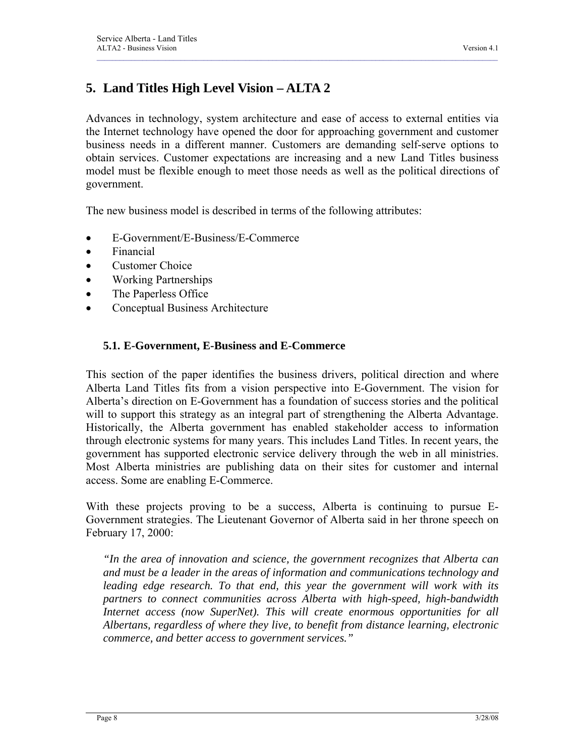# **5. Land Titles High Level Vision – ALTA 2**

Advances in technology, system architecture and ease of access to external entities via the Internet technology have opened the door for approaching government and customer business needs in a different manner. Customers are demanding self-serve options to obtain services. Customer expectations are increasing and a new Land Titles business model must be flexible enough to meet those needs as well as the political directions of government.

<span id="page-12-0"></span> $\mathcal{L}_\mathcal{L} = \mathcal{L}_\mathcal{L} = \mathcal{L}_\mathcal{L} = \mathcal{L}_\mathcal{L} = \mathcal{L}_\mathcal{L} = \mathcal{L}_\mathcal{L} = \mathcal{L}_\mathcal{L} = \mathcal{L}_\mathcal{L} = \mathcal{L}_\mathcal{L} = \mathcal{L}_\mathcal{L} = \mathcal{L}_\mathcal{L} = \mathcal{L}_\mathcal{L} = \mathcal{L}_\mathcal{L} = \mathcal{L}_\mathcal{L} = \mathcal{L}_\mathcal{L} = \mathcal{L}_\mathcal{L} = \mathcal{L}_\mathcal{L}$ 

The new business model is described in terms of the following attributes:

- E-Government/E-Business/E-Commerce
- Financial
- Customer Choice
- Working Partnerships
- The Paperless Office
- Conceptual Business Architecture

#### **5.1. E-Government, E-Business and E-Commerce**

This section of the paper identifies the business drivers, political direction and where Alberta Land Titles fits from a vision perspective into E-Government. The vision for Alberta's direction on E-Government has a foundation of success stories and the political will to support this strategy as an integral part of strengthening the Alberta Advantage. Historically, the Alberta government has enabled stakeholder access to information through electronic systems for many years. This includes Land Titles. In recent years, the government has supported electronic service delivery through the web in all ministries. Most Alberta ministries are publishing data on their sites for customer and internal access. Some are enabling E-Commerce.

With these projects proving to be a success, Alberta is continuing to pursue E-Government strategies. The Lieutenant Governor of Alberta said in her throne speech on February 17, 2000:

*"In the area of innovation and science, the government recognizes that Alberta can and must be a leader in the areas of information and communications technology and*  leading edge research. To that end, this year the government will work with its *partners to connect communities across Alberta with high-speed, high-bandwidth Internet access (now SuperNet). This will create enormous opportunities for all Albertans, regardless of where they live, to benefit from distance learning, electronic commerce, and better access to government services."*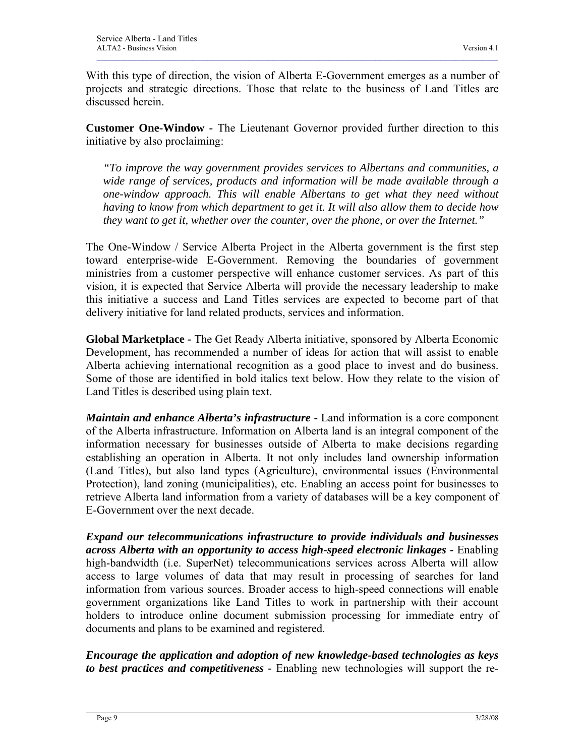With this type of direction, the vision of Alberta E-Government emerges as a number of projects and strategic directions. Those that relate to the business of Land Titles are discussed herein.

 $\mathcal{L}_\mathcal{L} = \mathcal{L}_\mathcal{L} = \mathcal{L}_\mathcal{L} = \mathcal{L}_\mathcal{L} = \mathcal{L}_\mathcal{L} = \mathcal{L}_\mathcal{L} = \mathcal{L}_\mathcal{L} = \mathcal{L}_\mathcal{L} = \mathcal{L}_\mathcal{L} = \mathcal{L}_\mathcal{L} = \mathcal{L}_\mathcal{L} = \mathcal{L}_\mathcal{L} = \mathcal{L}_\mathcal{L} = \mathcal{L}_\mathcal{L} = \mathcal{L}_\mathcal{L} = \mathcal{L}_\mathcal{L} = \mathcal{L}_\mathcal{L}$ 

**Customer One-Window -** The Lieutenant Governor provided further direction to this initiative by also proclaiming:

*"To improve the way government provides services to Albertans and communities, a wide range of services, products and information will be made available through a one-window approach. This will enable Albertans to get what they need without having to know from which department to get it. It will also allow them to decide how they want to get it, whether over the counter, over the phone, or over the Internet."*

The One-Window / Service Alberta Project in the Alberta government is the first step toward enterprise-wide E-Government. Removing the boundaries of government ministries from a customer perspective will enhance customer services. As part of this vision, it is expected that Service Alberta will provide the necessary leadership to make this initiative a success and Land Titles services are expected to become part of that delivery initiative for land related products, services and information.

**Global Marketplace -** The Get Ready Alberta initiative, sponsored by Alberta Economic Development, has recommended a number of ideas for action that will assist to enable Alberta achieving international recognition as a good place to invest and do business. Some of those are identified in bold italics text below. How they relate to the vision of Land Titles is described using plain text.

*Maintain and enhance Alberta's infrastructure* **-** Land information is a core component of the Alberta infrastructure. Information on Alberta land is an integral component of the information necessary for businesses outside of Alberta to make decisions regarding establishing an operation in Alberta. It not only includes land ownership information (Land Titles), but also land types (Agriculture), environmental issues (Environmental Protection), land zoning (municipalities), etc. Enabling an access point for businesses to retrieve Alberta land information from a variety of databases will be a key component of E-Government over the next decade.

*Expand our telecommunications infrastructure to provide individuals and businesses across Alberta with an opportunity to access high-speed electronic linkages* **-** Enabling high-bandwidth (i.e. SuperNet) telecommunications services across Alberta will allow access to large volumes of data that may result in processing of searches for land information from various sources. Broader access to high-speed connections will enable government organizations like Land Titles to work in partnership with their account holders to introduce online document submission processing for immediate entry of documents and plans to be examined and registered.

*Encourage the application and adoption of new knowledge-based technologies as keys to best practices and competitiveness* **-** Enabling new technologies will support the re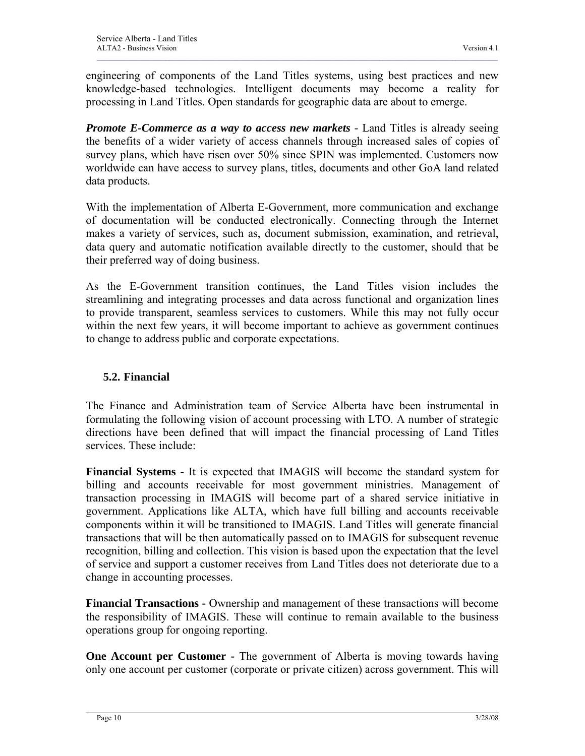<span id="page-14-0"></span>engineering of components of the Land Titles systems, using best practices and new knowledge-based technologies. Intelligent documents may become a reality for processing in Land Titles. Open standards for geographic data are about to emerge.

 $\mathcal{L}_\mathcal{L} = \mathcal{L}_\mathcal{L} = \mathcal{L}_\mathcal{L} = \mathcal{L}_\mathcal{L} = \mathcal{L}_\mathcal{L} = \mathcal{L}_\mathcal{L} = \mathcal{L}_\mathcal{L} = \mathcal{L}_\mathcal{L} = \mathcal{L}_\mathcal{L} = \mathcal{L}_\mathcal{L} = \mathcal{L}_\mathcal{L} = \mathcal{L}_\mathcal{L} = \mathcal{L}_\mathcal{L} = \mathcal{L}_\mathcal{L} = \mathcal{L}_\mathcal{L} = \mathcal{L}_\mathcal{L} = \mathcal{L}_\mathcal{L}$ 

*Promote E-Commerce as a way to access new markets -* Land Titles is already seeing the benefits of a wider variety of access channels through increased sales of copies of survey plans, which have risen over 50% since SPIN was implemented. Customers now worldwide can have access to survey plans, titles, documents and other GoA land related data products.

With the implementation of Alberta E-Government, more communication and exchange of documentation will be conducted electronically. Connecting through the Internet makes a variety of services, such as, document submission, examination, and retrieval, data query and automatic notification available directly to the customer, should that be their preferred way of doing business.

As the E-Government transition continues, the Land Titles vision includes the streamlining and integrating processes and data across functional and organization lines to provide transparent, seamless services to customers. While this may not fully occur within the next few years, it will become important to achieve as government continues to change to address public and corporate expectations.

### **5.2. Financial**

The Finance and Administration team of Service Alberta have been instrumental in formulating the following vision of account processing with LTO. A number of strategic directions have been defined that will impact the financial processing of Land Titles services. These include:

**Financial Systems -** It is expected that IMAGIS will become the standard system for billing and accounts receivable for most government ministries. Management of transaction processing in IMAGIS will become part of a shared service initiative in government. Applications like ALTA, which have full billing and accounts receivable components within it will be transitioned to IMAGIS. Land Titles will generate financial transactions that will be then automatically passed on to IMAGIS for subsequent revenue recognition, billing and collection. This vision is based upon the expectation that the level of service and support a customer receives from Land Titles does not deteriorate due to a change in accounting processes.

**Financial Transactions -** Ownership and management of these transactions will become the responsibility of IMAGIS. These will continue to remain available to the business operations group for ongoing reporting.

**One Account per Customer -** The government of Alberta is moving towards having only one account per customer (corporate or private citizen) across government. This will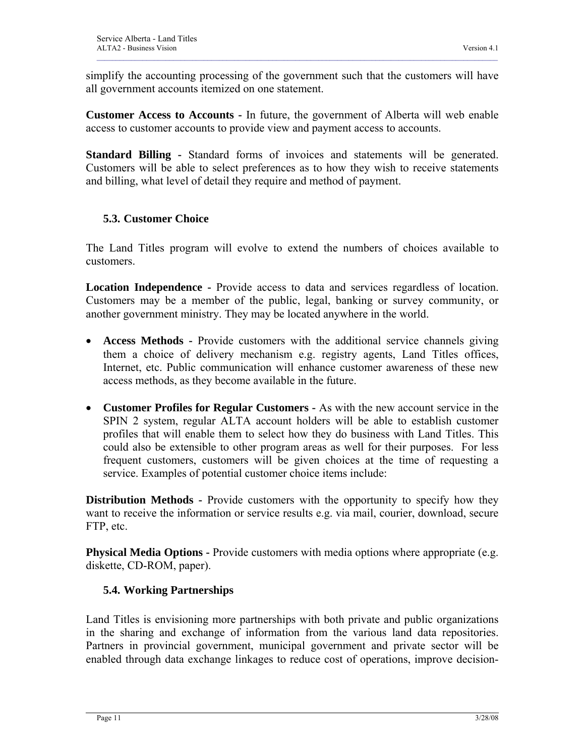<span id="page-15-0"></span>simplify the accounting processing of the government such that the customers will have all government accounts itemized on one statement.

 $\mathcal{L}_\mathcal{L} = \mathcal{L}_\mathcal{L} = \mathcal{L}_\mathcal{L} = \mathcal{L}_\mathcal{L} = \mathcal{L}_\mathcal{L} = \mathcal{L}_\mathcal{L} = \mathcal{L}_\mathcal{L} = \mathcal{L}_\mathcal{L} = \mathcal{L}_\mathcal{L} = \mathcal{L}_\mathcal{L} = \mathcal{L}_\mathcal{L} = \mathcal{L}_\mathcal{L} = \mathcal{L}_\mathcal{L} = \mathcal{L}_\mathcal{L} = \mathcal{L}_\mathcal{L} = \mathcal{L}_\mathcal{L} = \mathcal{L}_\mathcal{L}$ 

**Customer Access to Accounts -** In future, the government of Alberta will web enable access to customer accounts to provide view and payment access to accounts.

**Standard Billing -** Standard forms of invoices and statements will be generated. Customers will be able to select preferences as to how they wish to receive statements and billing, what level of detail they require and method of payment.

### **5.3. Customer Choice**

The Land Titles program will evolve to extend the numbers of choices available to customers.

**Location Independence -** Provide access to data and services regardless of location. Customers may be a member of the public, legal, banking or survey community, or another government ministry. They may be located anywhere in the world.

- **Access Methods** Provide customers with the additional service channels giving them a choice of delivery mechanism e.g. registry agents, Land Titles offices, Internet, etc. Public communication will enhance customer awareness of these new access methods, as they become available in the future.
- **Customer Profiles for Regular Customers** As with the new account service in the SPIN 2 system, regular ALTA account holders will be able to establish customer profiles that will enable them to select how they do business with Land Titles. This could also be extensible to other program areas as well for their purposes. For less frequent customers, customers will be given choices at the time of requesting a service. Examples of potential customer choice items include:

**Distribution Methods -** Provide customers with the opportunity to specify how they want to receive the information or service results e.g. via mail, courier, download, secure FTP, etc.

**Physical Media Options -** Provide customers with media options where appropriate (e.g. diskette, CD-ROM, paper).

### **5.4. Working Partnerships**

Land Titles is envisioning more partnerships with both private and public organizations in the sharing and exchange of information from the various land data repositories. Partners in provincial government, municipal government and private sector will be enabled through data exchange linkages to reduce cost of operations, improve decision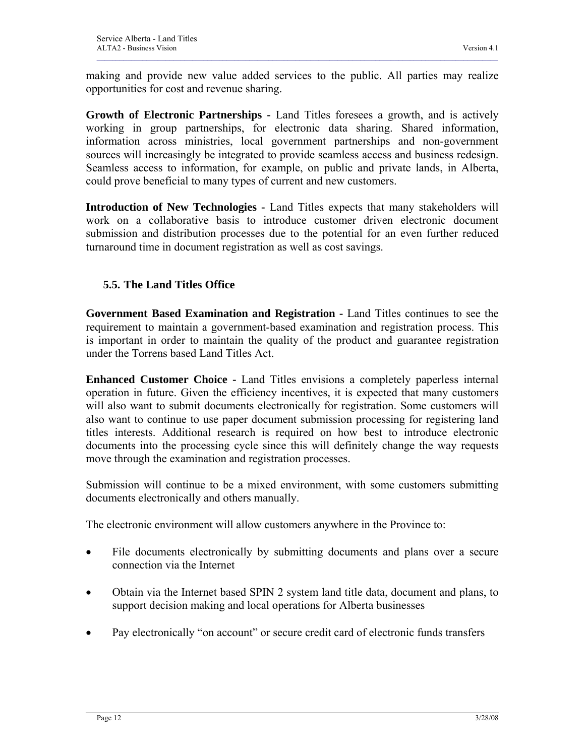<span id="page-16-0"></span>making and provide new value added services to the public. All parties may realize opportunities for cost and revenue sharing.

 $\mathcal{L}_\mathcal{L} = \mathcal{L}_\mathcal{L} = \mathcal{L}_\mathcal{L} = \mathcal{L}_\mathcal{L} = \mathcal{L}_\mathcal{L} = \mathcal{L}_\mathcal{L} = \mathcal{L}_\mathcal{L} = \mathcal{L}_\mathcal{L} = \mathcal{L}_\mathcal{L} = \mathcal{L}_\mathcal{L} = \mathcal{L}_\mathcal{L} = \mathcal{L}_\mathcal{L} = \mathcal{L}_\mathcal{L} = \mathcal{L}_\mathcal{L} = \mathcal{L}_\mathcal{L} = \mathcal{L}_\mathcal{L} = \mathcal{L}_\mathcal{L}$ 

**Growth of Electronic Partnerships -** Land Titles foresees a growth, and is actively working in group partnerships, for electronic data sharing. Shared information, information across ministries, local government partnerships and non-government sources will increasingly be integrated to provide seamless access and business redesign. Seamless access to information, for example, on public and private lands, in Alberta, could prove beneficial to many types of current and new customers.

**Introduction of New Technologies -** Land Titles expects that many stakeholders will work on a collaborative basis to introduce customer driven electronic document submission and distribution processes due to the potential for an even further reduced turnaround time in document registration as well as cost savings.

### **5.5. The Land Titles Office**

**Government Based Examination and Registration -** Land Titles continues to see the requirement to maintain a government-based examination and registration process. This is important in order to maintain the quality of the product and guarantee registration under the Torrens based Land Titles Act.

**Enhanced Customer Choice -** Land Titles envisions a completely paperless internal operation in future. Given the efficiency incentives, it is expected that many customers will also want to submit documents electronically for registration. Some customers will also want to continue to use paper document submission processing for registering land titles interests. Additional research is required on how best to introduce electronic documents into the processing cycle since this will definitely change the way requests move through the examination and registration processes.

Submission will continue to be a mixed environment, with some customers submitting documents electronically and others manually.

The electronic environment will allow customers anywhere in the Province to:

- File documents electronically by submitting documents and plans over a secure connection via the Internet
- Obtain via the Internet based SPIN 2 system land title data, document and plans, to support decision making and local operations for Alberta businesses
- Pay electronically "on account" or secure credit card of electronic funds transfers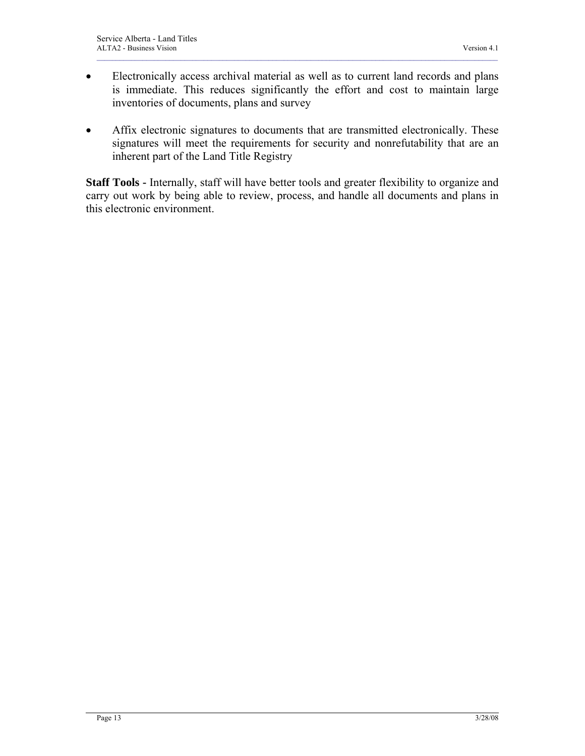• Electronically access archival material as well as to current land records and plans is immediate. This reduces significantly the effort and cost to maintain large inventories of documents, plans and survey

 $\mathcal{L}_\mathcal{L} = \mathcal{L}_\mathcal{L} = \mathcal{L}_\mathcal{L} = \mathcal{L}_\mathcal{L} = \mathcal{L}_\mathcal{L} = \mathcal{L}_\mathcal{L} = \mathcal{L}_\mathcal{L} = \mathcal{L}_\mathcal{L} = \mathcal{L}_\mathcal{L} = \mathcal{L}_\mathcal{L} = \mathcal{L}_\mathcal{L} = \mathcal{L}_\mathcal{L} = \mathcal{L}_\mathcal{L} = \mathcal{L}_\mathcal{L} = \mathcal{L}_\mathcal{L} = \mathcal{L}_\mathcal{L} = \mathcal{L}_\mathcal{L}$ 

• Affix electronic signatures to documents that are transmitted electronically. These signatures will meet the requirements for security and nonrefutability that are an inherent part of the Land Title Registry

**Staff Tools -** Internally, staff will have better tools and greater flexibility to organize and carry out work by being able to review, process, and handle all documents and plans in this electronic environment.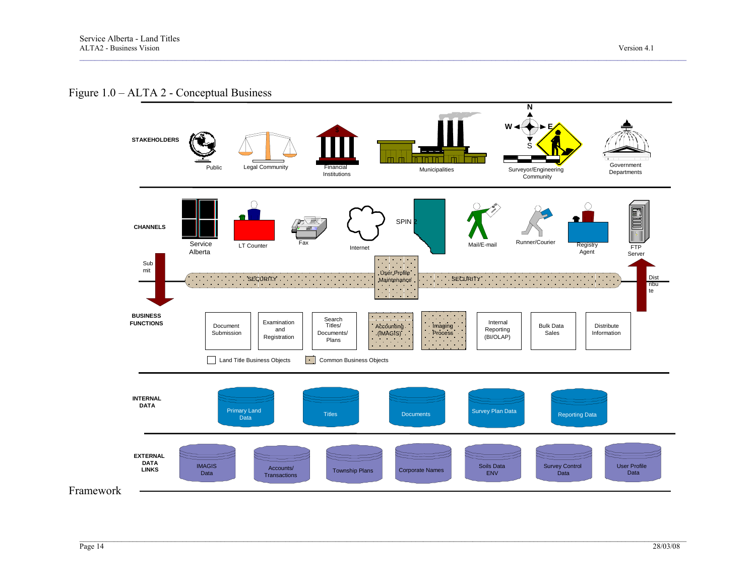#### Figure 1.0 – ALTA 2 - Conceptual Business

<span id="page-18-0"></span>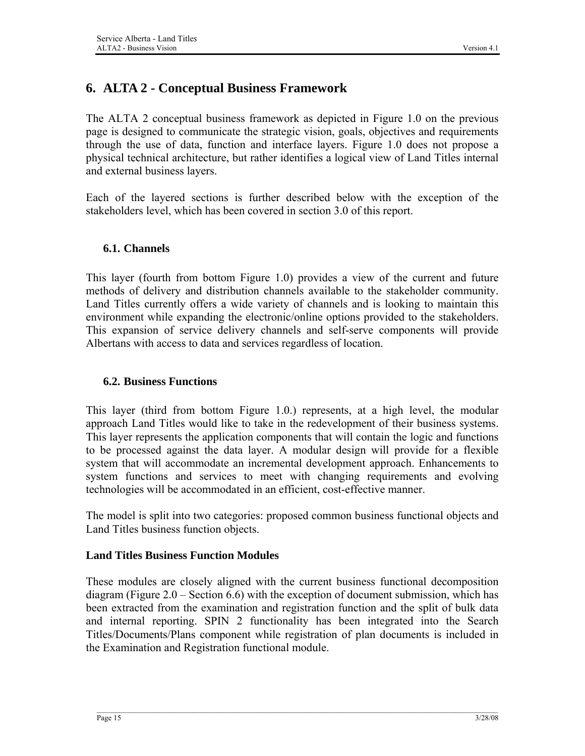# <span id="page-19-0"></span>**6. ALTA 2 - Conceptual Business Framework**

The ALTA 2 conceptual business framework as depicted in Figure 1.0 on the previous page is designed to communicate the strategic vision, goals, objectives and requirements through the use of data, function and interface layers. Figure 1.0 does not propose a physical technical architecture, but rather identifies a logical view of Land Titles internal and external business layers.

Each of the layered sections is further described below with the exception of the stakeholders level, which has been covered in section 3.0 of this report.

### **6.1. Channels**

This layer (fourth from bottom Figure 1.0) provides a view of the current and future methods of delivery and distribution channels available to the stakeholder community. Land Titles currently offers a wide variety of channels and is looking to maintain this environment while expanding the electronic/online options provided to the stakeholders. This expansion of service delivery channels and self-serve components will provide Albertans with access to data and services regardless of location.

#### **6.2. Business Functions**

This layer (third from bottom Figure 1.0.) represents, at a high level, the modular approach Land Titles would like to take in the redevelopment of their business systems. This layer represents the application components that will contain the logic and functions to be processed against the data layer. A modular design will provide for a flexible system that will accommodate an incremental development approach. Enhancements to system functions and services to meet with changing requirements and evolving technologies will be accommodated in an efficient, cost-effective manner.

The model is split into two categories: proposed common business functional objects and Land Titles business function objects.

#### **Land Titles Business Function Modules**

These modules are closely aligned with the current business functional decomposition diagram (Figure 2.0 – Section 6.6) with the exception of document submission, which has been extracted from the examination and registration function and the split of bulk data and internal reporting. SPIN 2 functionality has been integrated into the Search Titles/Documents/Plans component while registration of plan documents is included in the Examination and Registration functional module.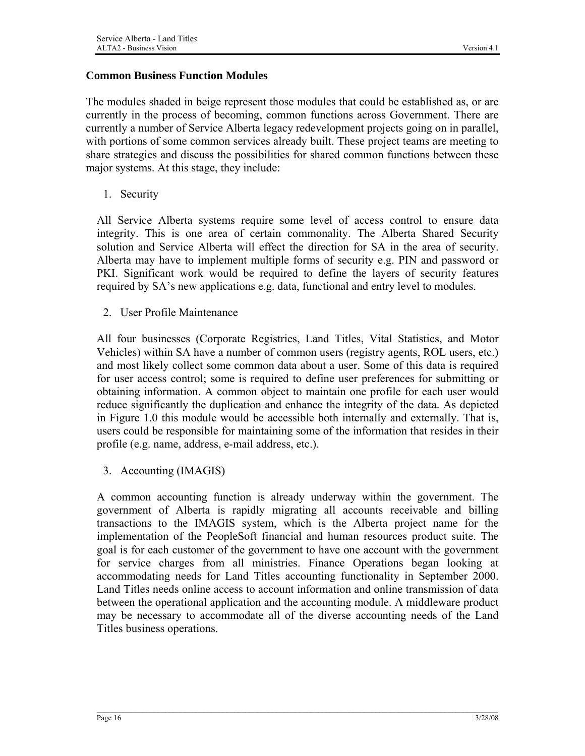#### **Common Business Function Modules**

The modules shaded in beige represent those modules that could be established as, or are currently in the process of becoming, common functions across Government. There are currently a number of Service Alberta legacy redevelopment projects going on in parallel, with portions of some common services already built. These project teams are meeting to share strategies and discuss the possibilities for shared common functions between these major systems. At this stage, they include:

1. Security

All Service Alberta systems require some level of access control to ensure data integrity. This is one area of certain commonality. The Alberta Shared Security solution and Service Alberta will effect the direction for SA in the area of security. Alberta may have to implement multiple forms of security e.g. PIN and password or PKI. Significant work would be required to define the layers of security features required by SA's new applications e.g. data, functional and entry level to modules.

2. User Profile Maintenance

All four businesses (Corporate Registries, Land Titles, Vital Statistics, and Motor Vehicles) within SA have a number of common users (registry agents, ROL users, etc.) and most likely collect some common data about a user. Some of this data is required for user access control; some is required to define user preferences for submitting or obtaining information. A common object to maintain one profile for each user would reduce significantly the duplication and enhance the integrity of the data. As depicted in Figure 1.0 this module would be accessible both internally and externally. That is, users could be responsible for maintaining some of the information that resides in their profile (e.g. name, address, e-mail address, etc.).

3. Accounting (IMAGIS)

A common accounting function is already underway within the government. The government of Alberta is rapidly migrating all accounts receivable and billing transactions to the IMAGIS system, which is the Alberta project name for the implementation of the PeopleSoft financial and human resources product suite. The goal is for each customer of the government to have one account with the government for service charges from all ministries. Finance Operations began looking at accommodating needs for Land Titles accounting functionality in September 2000. Land Titles needs online access to account information and online transmission of data between the operational application and the accounting module. A middleware product may be necessary to accommodate all of the diverse accounting needs of the Land Titles business operations.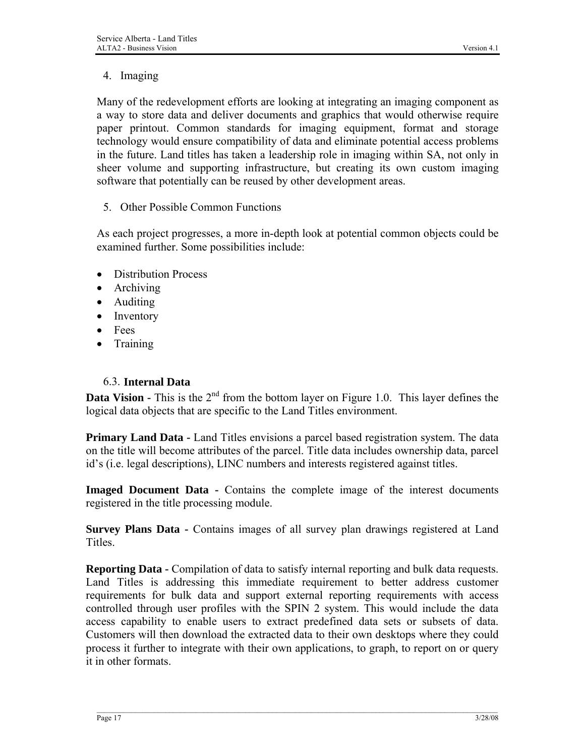### <span id="page-21-0"></span>4. Imaging

Many of the redevelopment efforts are looking at integrating an imaging component as a way to store data and deliver documents and graphics that would otherwise require paper printout. Common standards for imaging equipment, format and storage technology would ensure compatibility of data and eliminate potential access problems in the future. Land titles has taken a leadership role in imaging within SA, not only in sheer volume and supporting infrastructure, but creating its own custom imaging software that potentially can be reused by other development areas.

5. Other Possible Common Functions

As each project progresses, a more in-depth look at potential common objects could be examined further. Some possibilities include:

- Distribution Process
- Archiving
- Auditing
- Inventory
- Fees
- Training

### 6.3. **Internal Data**

**Data Vision -** This is the 2<sup>nd</sup> from the bottom layer on Figure 1.0. This layer defines the logical data objects that are specific to the Land Titles environment.

**Primary Land Data -** Land Titles envisions a parcel based registration system. The data on the title will become attributes of the parcel. Title data includes ownership data, parcel id's (i.e. legal descriptions), LINC numbers and interests registered against titles.

**Imaged Document Data -** Contains the complete image of the interest documents registered in the title processing module.

**Survey Plans Data -** Contains images of all survey plan drawings registered at Land **Titles** 

**Reporting Data -** Compilation of data to satisfy internal reporting and bulk data requests. Land Titles is addressing this immediate requirement to better address customer requirements for bulk data and support external reporting requirements with access controlled through user profiles with the SPIN 2 system. This would include the data access capability to enable users to extract predefined data sets or subsets of data. Customers will then download the extracted data to their own desktops where they could process it further to integrate with their own applications, to graph, to report on or query it in other formats.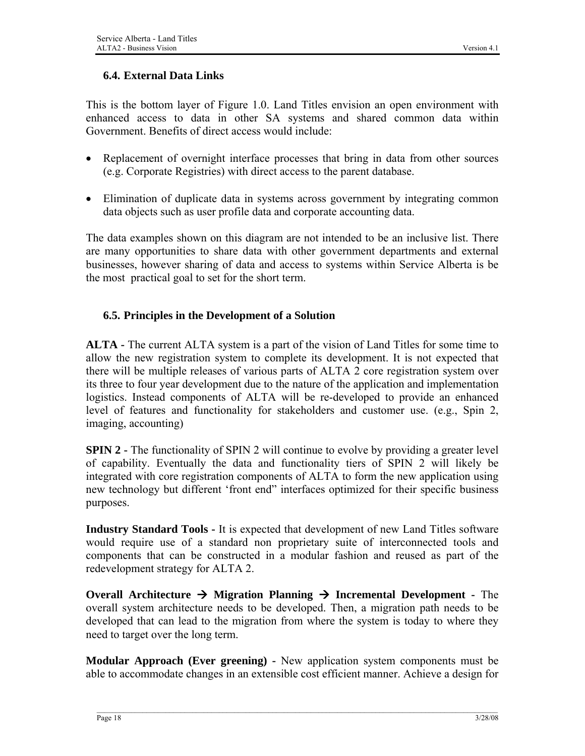### <span id="page-22-0"></span>**6.4. External Data Links**

This is the bottom layer of Figure 1.0. Land Titles envision an open environment with enhanced access to data in other SA systems and shared common data within Government. Benefits of direct access would include:

- Replacement of overnight interface processes that bring in data from other sources (e.g. Corporate Registries) with direct access to the parent database.
- Elimination of duplicate data in systems across government by integrating common data objects such as user profile data and corporate accounting data.

The data examples shown on this diagram are not intended to be an inclusive list. There are many opportunities to share data with other government departments and external businesses, however sharing of data and access to systems within Service Alberta is be the most practical goal to set for the short term.

### **6.5. Principles in the Development of a Solution**

**ALTA -** The current ALTA system is a part of the vision of Land Titles for some time to allow the new registration system to complete its development. It is not expected that there will be multiple releases of various parts of ALTA 2 core registration system over its three to four year development due to the nature of the application and implementation logistics. Instead components of ALTA will be re-developed to provide an enhanced level of features and functionality for stakeholders and customer use. (e.g., Spin 2, imaging, accounting)

**SPIN 2 -** The functionality of SPIN 2 will continue to evolve by providing a greater level of capability. Eventually the data and functionality tiers of SPIN 2 will likely be integrated with core registration components of ALTA to form the new application using new technology but different 'front end" interfaces optimized for their specific business purposes.

**Industry Standard Tools -** It is expected that development of new Land Titles software would require use of a standard non proprietary suite of interconnected tools and components that can be constructed in a modular fashion and reused as part of the redevelopment strategy for ALTA 2.

**Overall Architecture**  $\rightarrow$  **Migration Planning**  $\rightarrow$  **Incremental Development - The** overall system architecture needs to be developed. Then, a migration path needs to be developed that can lead to the migration from where the system is today to where they need to target over the long term.

**Modular Approach (Ever greening) -** New application system components must be able to accommodate changes in an extensible cost efficient manner. Achieve a design for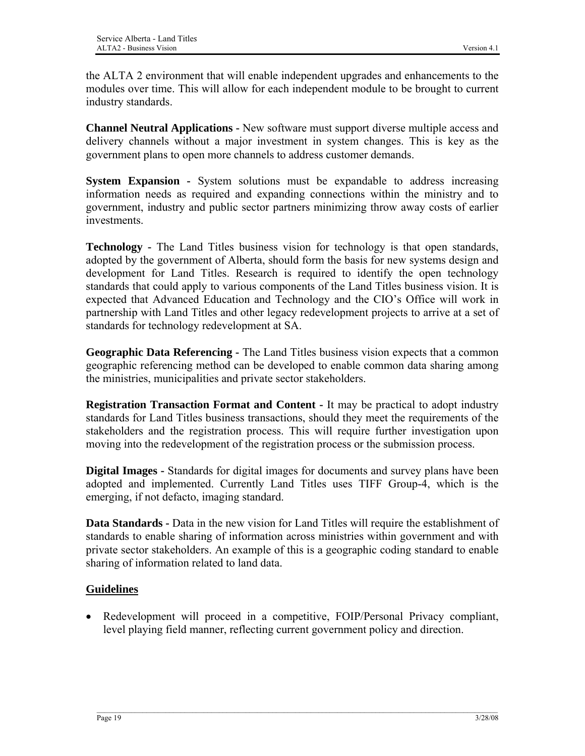the ALTA 2 environment that will enable independent upgrades and enhancements to the modules over time. This will allow for each independent module to be brought to current industry standards.

**Channel Neutral Applications -** New software must support diverse multiple access and delivery channels without a major investment in system changes. This is key as the government plans to open more channels to address customer demands.

**System Expansion -** System solutions must be expandable to address increasing information needs as required and expanding connections within the ministry and to government, industry and public sector partners minimizing throw away costs of earlier investments.

**Technology -** The Land Titles business vision for technology is that open standards, adopted by the government of Alberta, should form the basis for new systems design and development for Land Titles. Research is required to identify the open technology standards that could apply to various components of the Land Titles business vision. It is expected that Advanced Education and Technology and the CIO's Office will work in partnership with Land Titles and other legacy redevelopment projects to arrive at a set of standards for technology redevelopment at SA.

**Geographic Data Referencing -** The Land Titles business vision expects that a common geographic referencing method can be developed to enable common data sharing among the ministries, municipalities and private sector stakeholders.

**Registration Transaction Format and Content -** It may be practical to adopt industry standards for Land Titles business transactions, should they meet the requirements of the stakeholders and the registration process. This will require further investigation upon moving into the redevelopment of the registration process or the submission process.

**Digital Images -** Standards for digital images for documents and survey plans have been adopted and implemented. Currently Land Titles uses TIFF Group-4, which is the emerging, if not defacto, imaging standard.

**Data Standards -** Data in the new vision for Land Titles will require the establishment of standards to enable sharing of information across ministries within government and with private sector stakeholders. An example of this is a geographic coding standard to enable sharing of information related to land data.

### **Guidelines**

• Redevelopment will proceed in a competitive, FOIP/Personal Privacy compliant, level playing field manner, reflecting current government policy and direction.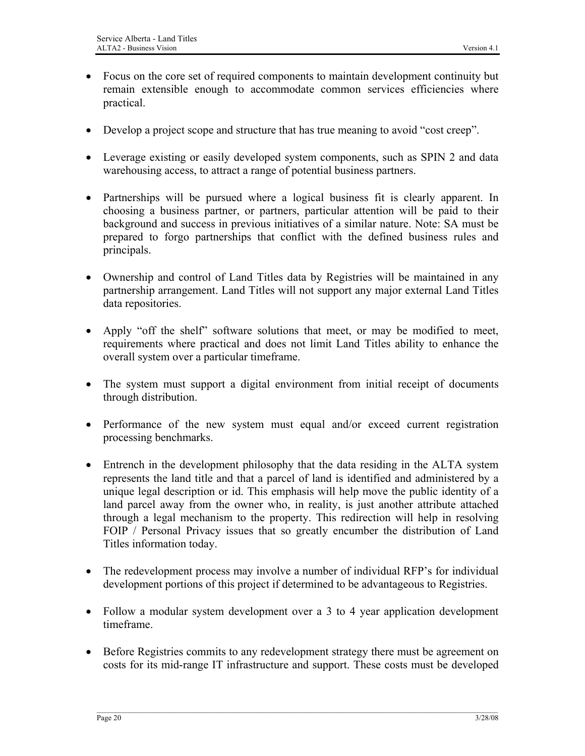- Focus on the core set of required components to maintain development continuity but remain extensible enough to accommodate common services efficiencies where practical.
- Develop a project scope and structure that has true meaning to avoid "cost creep".
- Leverage existing or easily developed system components, such as SPIN 2 and data warehousing access, to attract a range of potential business partners.
- Partnerships will be pursued where a logical business fit is clearly apparent. In choosing a business partner, or partners, particular attention will be paid to their background and success in previous initiatives of a similar nature. Note: SA must be prepared to forgo partnerships that conflict with the defined business rules and principals.
- Ownership and control of Land Titles data by Registries will be maintained in any partnership arrangement. Land Titles will not support any major external Land Titles data repositories.
- Apply "off the shelf" software solutions that meet, or may be modified to meet, requirements where practical and does not limit Land Titles ability to enhance the overall system over a particular timeframe.
- The system must support a digital environment from initial receipt of documents through distribution.
- Performance of the new system must equal and/or exceed current registration processing benchmarks.
- Entrench in the development philosophy that the data residing in the ALTA system represents the land title and that a parcel of land is identified and administered by a unique legal description or id. This emphasis will help move the public identity of a land parcel away from the owner who, in reality, is just another attribute attached through a legal mechanism to the property. This redirection will help in resolving FOIP / Personal Privacy issues that so greatly encumber the distribution of Land Titles information today.
- The redevelopment process may involve a number of individual RFP's for individual development portions of this project if determined to be advantageous to Registries.
- Follow a modular system development over a 3 to 4 year application development timeframe.
- Before Registries commits to any redevelopment strategy there must be agreement on costs for its mid-range IT infrastructure and support. These costs must be developed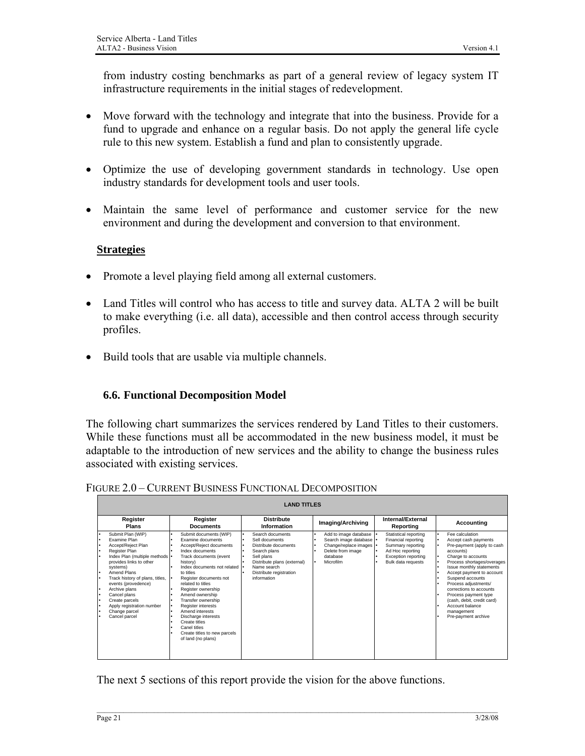<span id="page-25-0"></span>from industry costing benchmarks as part of a general review of legacy system IT infrastructure requirements in the initial stages of redevelopment.

- Move forward with the technology and integrate that into the business. Provide for a fund to upgrade and enhance on a regular basis. Do not apply the general life cycle rule to this new system. Establish a fund and plan to consistently upgrade.
- Optimize the use of developing government standards in technology. Use open industry standards for development tools and user tools.
- Maintain the same level of performance and customer service for the new environment and during the development and conversion to that environment.

### **Strategies**

- Promote a level playing field among all external customers.
- Land Titles will control who has access to title and survey data. ALTA 2 will be built to make everything (i.e. all data), accessible and then control access through security profiles.
- Build tools that are usable via multiple channels.

### **6.6. Functional Decomposition Model**

The following chart summarizes the services rendered by Land Titles to their customers. While these functions must all be accommodated in the new business model, it must be adaptable to the introduction of new services and the ability to change the business rules associated with existing services.

| <b>LAND TITLES</b>                                                                                                                                                                                                                                                                                                                                    |                                                                                                                                                                                                                                                                                                                                                                                                                                                                                                      |                                                                                                                                                                                       |                                                                                                                           |                                                                                                                                           |                                                                                                                                                                                                                                                                                                                                                                                                                          |
|-------------------------------------------------------------------------------------------------------------------------------------------------------------------------------------------------------------------------------------------------------------------------------------------------------------------------------------------------------|------------------------------------------------------------------------------------------------------------------------------------------------------------------------------------------------------------------------------------------------------------------------------------------------------------------------------------------------------------------------------------------------------------------------------------------------------------------------------------------------------|---------------------------------------------------------------------------------------------------------------------------------------------------------------------------------------|---------------------------------------------------------------------------------------------------------------------------|-------------------------------------------------------------------------------------------------------------------------------------------|--------------------------------------------------------------------------------------------------------------------------------------------------------------------------------------------------------------------------------------------------------------------------------------------------------------------------------------------------------------------------------------------------------------------------|
| Register<br><b>Plans</b>                                                                                                                                                                                                                                                                                                                              | Register<br><b>Documents</b>                                                                                                                                                                                                                                                                                                                                                                                                                                                                         | <b>Distribute</b><br>Information                                                                                                                                                      | Imaging/Archiving                                                                                                         | Internal/External<br>Reporting                                                                                                            | Accounting                                                                                                                                                                                                                                                                                                                                                                                                               |
| Submit Plan (WIP)<br><b>Examine Plan</b><br>Accept/Reject Plan<br>Register Plan<br>Index Plan (multiple methods   •<br>provides links to other<br>systems)<br>Amend Plans<br>Track history of plans, titles,<br>events (provedence)<br>Archive plans<br>Cancel plans<br>Create parcels<br>Apply registration number<br>Change parcel<br>Cancel parcel | Submit documents (WIP)<br>٠<br>Examine documents<br>٠<br>Accept/Reject documents<br>Index documents<br>٠<br>Track documents (event<br>history)<br>Index documents not related  <br>to titles<br>Register documents not<br>related to titles<br>Register ownership<br>Amend ownership<br>Transfer ownership<br>٠<br>Register interests<br>٠<br>Amend interests<br>٠<br>Discharge interests<br>٠<br>Create titles<br>٠<br>Canel titles<br>٠<br>Create titles to new parcels<br>٠<br>of land (no plans) | Search documents<br>Sell documents<br>٠<br>Distribute documents<br>Search plans<br>Sell plans<br>Distribute plans (external)<br>Name search<br>Distribute registration<br>information | Add to image database<br>Search image database   •<br>Change/replace images<br>Delete from image<br>database<br>Microfilm | Statistical reporting<br>Financial reporting<br>Summary reporting<br>Ad Hoc reporting<br><b>Exception reporting</b><br>Bulk data requests | Fee calculation<br>ı٠<br>I۰<br>Accept cash payments<br>Pre-payment (apply to cash<br>ı٠<br>accounts)<br>Charge to accounts<br>ı٠<br>Process shortages/overages<br>ı٠<br>Issue monthly statements<br>ı٠<br>Accept payment to account<br>Suspend accounts<br>Process adjustments/<br>corrections to accounts<br>Process payment type<br>(cash, debit, credit card)<br>Account balance<br>management<br>Pre-payment archive |

FIGURE 2.0 – CURRENT BUSINESS FUNCTIONAL DECOMPOSITION

The next 5 sections of this report provide the vision for the above functions.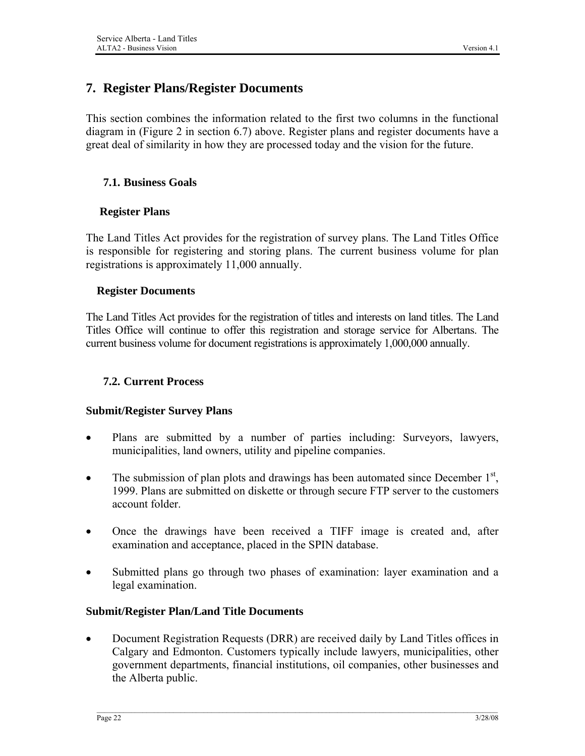### <span id="page-26-0"></span>**7. Register Plans/Register Documents**

This section combines the information related to the first two columns in the functional diagram in (Figure 2 in section 6.7) above. Register plans and register documents have a great deal of similarity in how they are processed today and the vision for the future.

### **7.1. Business Goals**

### **Register Plans**

The Land Titles Act provides for the registration of survey plans. The Land Titles Office is responsible for registering and storing plans. The current business volume for plan registrations is approximately 11,000 annually.

### **Register Documents**

The Land Titles Act provides for the registration of titles and interests on land titles. The Land Titles Office will continue to offer this registration and storage service for Albertans. The current business volume for document registrations is approximately 1,000,000 annually.

### **7.2. Current Process**

#### **Submit/Register Survey Plans**

- Plans are submitted by a number of parties including: Surveyors, lawyers, municipalities, land owners, utility and pipeline companies.
- The submission of plan plots and drawings has been automated since December  $1<sup>st</sup>$ , 1999. Plans are submitted on diskette or through secure FTP server to the customers account folder.
- Once the drawings have been received a TIFF image is created and, after examination and acceptance, placed in the SPIN database.
- Submitted plans go through two phases of examination: layer examination and a legal examination.

### **Submit/Register Plan/Land Title Documents**

• Document Registration Requests (DRR) are received daily by Land Titles offices in Calgary and Edmonton. Customers typically include lawyers, municipalities, other government departments, financial institutions, oil companies, other businesses and the Alberta public.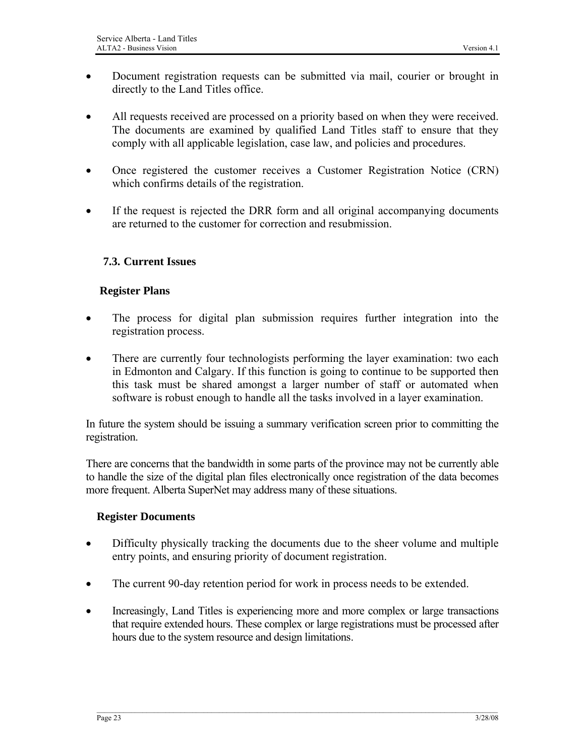- <span id="page-27-0"></span>• Document registration requests can be submitted via mail, courier or brought in directly to the Land Titles office.
- All requests received are processed on a priority based on when they were received. The documents are examined by qualified Land Titles staff to ensure that they comply with all applicable legislation, case law, and policies and procedures.
- Once registered the customer receives a Customer Registration Notice (CRN) which confirms details of the registration.
- If the request is rejected the DRR form and all original accompanying documents are returned to the customer for correction and resubmission.

### **7.3. Current Issues**

#### **Register Plans**

- The process for digital plan submission requires further integration into the registration process.
- There are currently four technologists performing the layer examination: two each in Edmonton and Calgary. If this function is going to continue to be supported then this task must be shared amongst a larger number of staff or automated when software is robust enough to handle all the tasks involved in a layer examination.

In future the system should be issuing a summary verification screen prior to committing the registration.

There are concerns that the bandwidth in some parts of the province may not be currently able to handle the size of the digital plan files electronically once registration of the data becomes more frequent. Alberta SuperNet may address many of these situations.

#### **Register Documents**

- Difficulty physically tracking the documents due to the sheer volume and multiple entry points, and ensuring priority of document registration.
- The current 90-day retention period for work in process needs to be extended.
- Increasingly, Land Titles is experiencing more and more complex or large transactions that require extended hours. These complex or large registrations must be processed after hours due to the system resource and design limitations.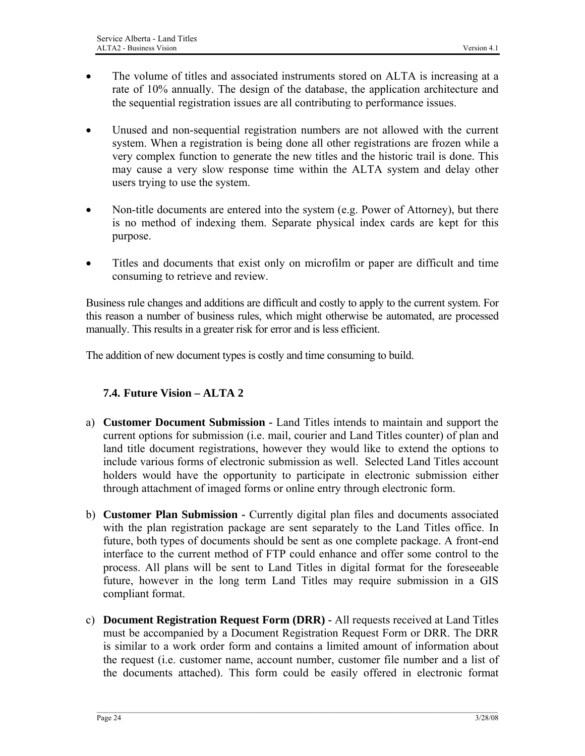- <span id="page-28-0"></span>The volume of titles and associated instruments stored on ALTA is increasing at a rate of 10% annually. The design of the database, the application architecture and the sequential registration issues are all contributing to performance issues.
- Unused and non-sequential registration numbers are not allowed with the current system. When a registration is being done all other registrations are frozen while a very complex function to generate the new titles and the historic trail is done. This may cause a very slow response time within the ALTA system and delay other users trying to use the system.
- Non-title documents are entered into the system (e.g. Power of Attorney), but there is no method of indexing them. Separate physical index cards are kept for this purpose.
- Titles and documents that exist only on microfilm or paper are difficult and time consuming to retrieve and review.

Business rule changes and additions are difficult and costly to apply to the current system. For this reason a number of business rules, which might otherwise be automated, are processed manually. This results in a greater risk for error and is less efficient.

The addition of new document types is costly and time consuming to build.

### **7.4. Future Vision – ALTA 2**

- a) **Customer Document Submission** Land Titles intends to maintain and support the current options for submission (i.e. mail, courier and Land Titles counter) of plan and land title document registrations, however they would like to extend the options to include various forms of electronic submission as well. Selected Land Titles account holders would have the opportunity to participate in electronic submission either through attachment of imaged forms or online entry through electronic form.
- b) **Customer Plan Submission** Currently digital plan files and documents associated with the plan registration package are sent separately to the Land Titles office. In future, both types of documents should be sent as one complete package. A front-end interface to the current method of FTP could enhance and offer some control to the process. All plans will be sent to Land Titles in digital format for the foreseeable future, however in the long term Land Titles may require submission in a GIS compliant format.
- c) **Document Registration Request Form (DRR)** All requests received at Land Titles must be accompanied by a Document Registration Request Form or DRR. The DRR is similar to a work order form and contains a limited amount of information about the request (i.e. customer name, account number, customer file number and a list of the documents attached). This form could be easily offered in electronic format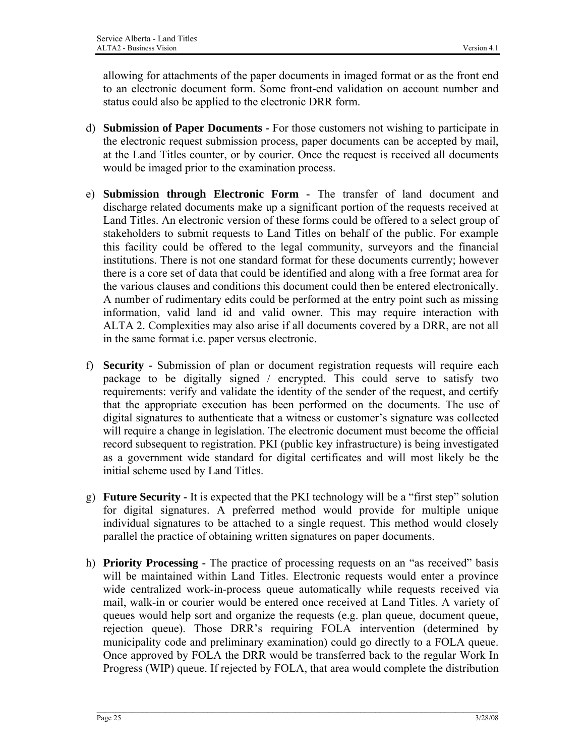allowing for attachments of the paper documents in imaged format or as the front end to an electronic document form. Some front-end validation on account number and status could also be applied to the electronic DRR form.

- d) **Submission of Paper Documents** For those customers not wishing to participate in the electronic request submission process, paper documents can be accepted by mail, at the Land Titles counter, or by courier. Once the request is received all documents would be imaged prior to the examination process.
- e) **Submission through Electronic Form** The transfer of land document and discharge related documents make up a significant portion of the requests received at Land Titles. An electronic version of these forms could be offered to a select group of stakeholders to submit requests to Land Titles on behalf of the public. For example this facility could be offered to the legal community, surveyors and the financial institutions. There is not one standard format for these documents currently; however there is a core set of data that could be identified and along with a free format area for the various clauses and conditions this document could then be entered electronically. A number of rudimentary edits could be performed at the entry point such as missing information, valid land id and valid owner. This may require interaction with ALTA 2. Complexities may also arise if all documents covered by a DRR, are not all in the same format i.e. paper versus electronic.
- f) **Security** Submission of plan or document registration requests will require each package to be digitally signed / encrypted. This could serve to satisfy two requirements: verify and validate the identity of the sender of the request, and certify that the appropriate execution has been performed on the documents. The use of digital signatures to authenticate that a witness or customer's signature was collected will require a change in legislation. The electronic document must become the official record subsequent to registration. PKI (public key infrastructure) is being investigated as a government wide standard for digital certificates and will most likely be the initial scheme used by Land Titles.
- g) **Future Security** It is expected that the PKI technology will be a "first step" solution for digital signatures. A preferred method would provide for multiple unique individual signatures to be attached to a single request. This method would closely parallel the practice of obtaining written signatures on paper documents.
- h) **Priority Processing** The practice of processing requests on an "as received" basis will be maintained within Land Titles. Electronic requests would enter a province wide centralized work-in-process queue automatically while requests received via mail, walk-in or courier would be entered once received at Land Titles. A variety of queues would help sort and organize the requests (e.g. plan queue, document queue, rejection queue). Those DRR's requiring FOLA intervention (determined by municipality code and preliminary examination) could go directly to a FOLA queue. Once approved by FOLA the DRR would be transferred back to the regular Work In Progress (WIP) queue. If rejected by FOLA, that area would complete the distribution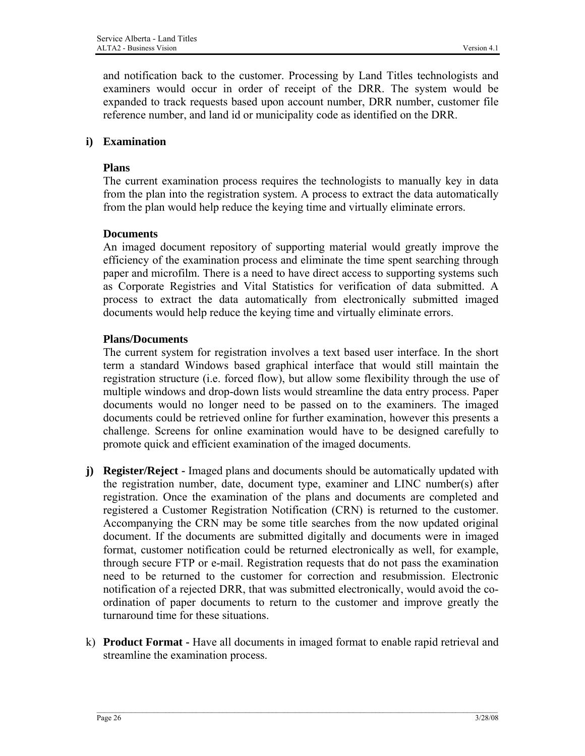and notification back to the customer. Processing by Land Titles technologists and examiners would occur in order of receipt of the DRR. The system would be expanded to track requests based upon account number, DRR number, customer file reference number, and land id or municipality code as identified on the DRR.

### **i) Examination**

### **Plans**

The current examination process requires the technologists to manually key in data from the plan into the registration system. A process to extract the data automatically from the plan would help reduce the keying time and virtually eliminate errors.

### **Documents**

An imaged document repository of supporting material would greatly improve the efficiency of the examination process and eliminate the time spent searching through paper and microfilm. There is a need to have direct access to supporting systems such as Corporate Registries and Vital Statistics for verification of data submitted. A process to extract the data automatically from electronically submitted imaged documents would help reduce the keying time and virtually eliminate errors.

### **Plans/Documents**

The current system for registration involves a text based user interface. In the short term a standard Windows based graphical interface that would still maintain the registration structure (i.e. forced flow), but allow some flexibility through the use of multiple windows and drop-down lists would streamline the data entry process. Paper documents would no longer need to be passed on to the examiners. The imaged documents could be retrieved online for further examination, however this presents a challenge. Screens for online examination would have to be designed carefully to promote quick and efficient examination of the imaged documents.

- **j) Register/Reject** Imaged plans and documents should be automatically updated with the registration number, date, document type, examiner and LINC number(s) after registration. Once the examination of the plans and documents are completed and registered a Customer Registration Notification (CRN) is returned to the customer. Accompanying the CRN may be some title searches from the now updated original document. If the documents are submitted digitally and documents were in imaged format, customer notification could be returned electronically as well, for example, through secure FTP or e-mail. Registration requests that do not pass the examination need to be returned to the customer for correction and resubmission. Electronic notification of a rejected DRR, that was submitted electronically, would avoid the coordination of paper documents to return to the customer and improve greatly the turnaround time for these situations.
- k) **Product Format** Have all documents in imaged format to enable rapid retrieval and streamline the examination process.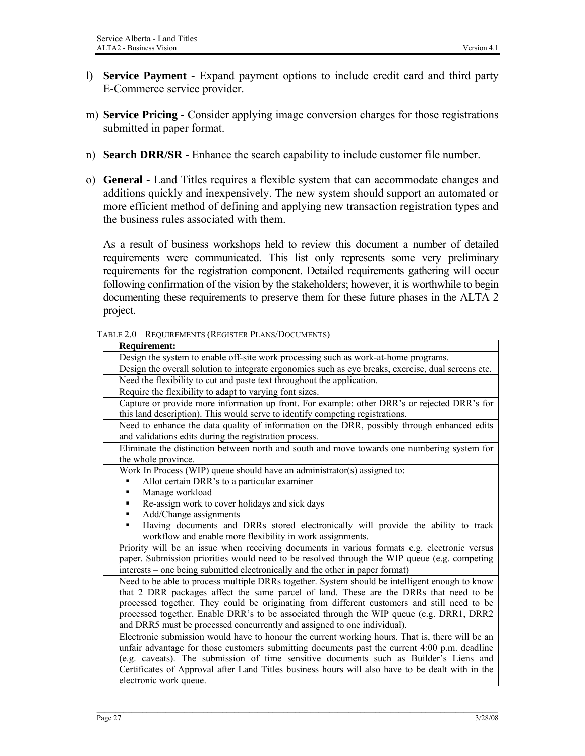- <span id="page-31-0"></span>l) **Service Payment -** Expand payment options to include credit card and third party E-Commerce service provider.
- m) **Service Pricing** Consider applying image conversion charges for those registrations submitted in paper format.
- n) **Search DRR/SR** Enhance the search capability to include customer file number.
- o) **General** Land Titles requires a flexible system that can accommodate changes and additions quickly and inexpensively. The new system should support an automated or more efficient method of defining and applying new transaction registration types and the business rules associated with them.

As a result of business workshops held to review this document a number of detailed requirements were communicated. This list only represents some very preliminary requirements for the registration component. Detailed requirements gathering will occur following confirmation of the vision by the stakeholders; however, it is worthwhile to begin documenting these requirements to preserve them for these future phases in the ALTA 2 project.

|  | TABLE 2.0 - REQUIREMENTS (REGISTER PLANS/DOCUMENTS) |
|--|-----------------------------------------------------|
|--|-----------------------------------------------------|

| <b>Requirement:</b>                                                                                 |
|-----------------------------------------------------------------------------------------------------|
| Design the system to enable off-site work processing such as work-at-home programs.                 |
| Design the overall solution to integrate ergonomics such as eye breaks, exercise, dual screens etc. |
| Need the flexibility to cut and paste text throughout the application.                              |
| Require the flexibility to adapt to varying font sizes.                                             |
| Capture or provide more information up front. For example: other DRR's or rejected DRR's for        |
| this land description). This would serve to identify competing registrations.                       |
| Need to enhance the data quality of information on the DRR, possibly through enhanced edits         |
| and validations edits during the registration process.                                              |
| Eliminate the distinction between north and south and move towards one numbering system for         |
| the whole province.                                                                                 |
| Work In Process (WIP) queue should have an administrator(s) assigned to:                            |
| Allot certain DRR's to a particular examiner                                                        |
| Manage workload                                                                                     |
| Re-assign work to cover holidays and sick days                                                      |
| Add/Change assignments                                                                              |
| Having documents and DRRs stored electronically will provide the ability to track<br>٠              |
| workflow and enable more flexibility in work assignments.                                           |
| Priority will be an issue when receiving documents in various formats e.g. electronic versus        |
| paper. Submission priorities would need to be resolved through the WIP queue (e.g. competing        |
| interests – one being submitted electronically and the other in paper format)                       |
| Need to be able to process multiple DRRs together. System should be intelligent enough to know      |
| that 2 DRR packages affect the same parcel of land. These are the DRRs that need to be              |
| processed together. They could be originating from different customers and still need to be         |
| processed together. Enable DRR's to be associated through the WIP queue (e.g. DRR1, DRR2            |
| and DRR5 must be processed concurrently and assigned to one individual).                            |
| Electronic submission would have to honour the current working hours. That is, there will be an     |
| unfair advantage for those customers submitting documents past the current 4:00 p.m. deadline       |
| (e.g. caveats). The submission of time sensitive documents such as Builder's Liens and              |
| Certificates of Approval after Land Titles business hours will also have to be dealt with in the    |
| electronic work queue.                                                                              |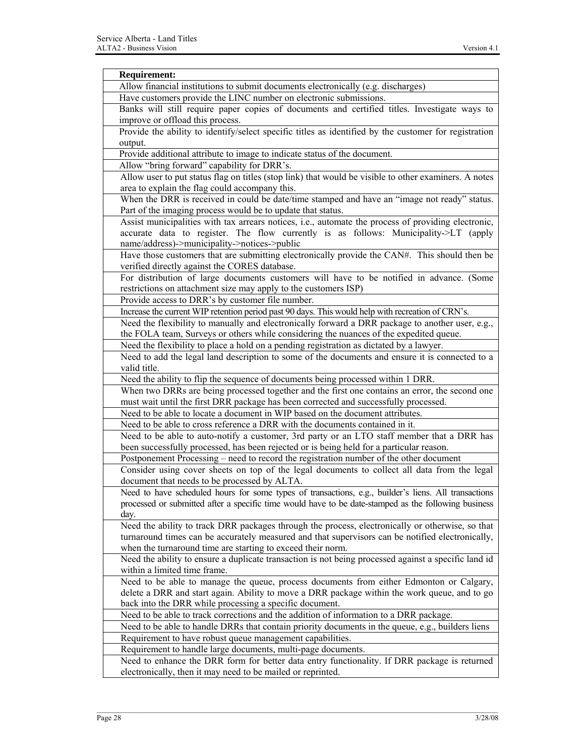| <b>Requirement:</b>                                                                                   |
|-------------------------------------------------------------------------------------------------------|
| Allow financial institutions to submit documents electronically (e.g. discharges)                     |
| Have customers provide the LINC number on electronic submissions.                                     |
| Banks will still require paper copies of documents and certified titles. Investigate ways to          |
| improve or offload this process.                                                                      |
| Provide the ability to identify/select specific titles as identified by the customer for registration |
| output.                                                                                               |
| Provide additional attribute to image to indicate status of the document.                             |
| Allow "bring forward" capability for DRR's.                                                           |
| Allow user to put status flag on titles (stop link) that would be visible to other examiners. A notes |
| area to explain the flag could accompany this.                                                        |
| When the DRR is received in could be date/time stamped and have an "image not ready" status.          |
| Part of the imaging process would be to update that status.                                           |
| Assist municipalities with tax arrears notices, i.e., automate the process of providing electronic,   |
| accurate data to register. The flow currently is as follows: Municipality->LT (apply                  |
| name/address)->municipality->notices->public                                                          |
| Have those customers that are submitting electronically provide the CAN#. This should then be         |
| verified directly against the CORES database.                                                         |
| For distribution of large documents customers will have to be notified in advance. (Some              |
| restrictions on attachment size may apply to the customers ISP)                                       |
| Provide access to DRR's by customer file number.                                                      |
| Increase the current WIP retention period past 90 days. This would help with recreation of CRN's.     |
| Need the flexibility to manually and electronically forward a DRR package to another user, e.g.,      |
| the FOLA team, Surveys or others while considering the nuances of the expedited queue.                |
| Need the flexibility to place a hold on a pending registration as dictated by a lawyer.               |
| Need to add the legal land description to some of the documents and ensure it is connected to a       |
| valid title.                                                                                          |
| Need the ability to flip the sequence of documents being processed within 1 DRR.                      |
| When two DRRs are being processed together and the first one contains an error, the second one        |
| must wait until the first DRR package has been corrected and successfully processed.                  |
| Need to be able to locate a document in WIP based on the document attributes.                         |
| Need to be able to cross reference a DRR with the documents contained in it.                          |
| Need to be able to auto-notify a customer, 3rd party or an LTO staff member that a DRR has            |
| been successfully processed, has been rejected or is being held for a particular reason.              |
| Postponement Processing – need to record the registration number of the other document                |
| Consider using cover sheets on top of the legal documents to collect all data from the legal          |
| document that needs to be processed by ALTA.                                                          |
| Need to have scheduled hours for some types of transactions, e.g., builder's liens. All transactions  |
| processed or submitted after a specific time would have to be date-stamped as the following business  |
| day.                                                                                                  |
| Need the ability to track DRR packages through the process, electronically or otherwise, so that      |
| turnaround times can be accurately measured and that supervisors can be notified electronically,      |
| when the turnaround time are starting to exceed their norm.                                           |
| Need the ability to ensure a duplicate transaction is not being processed against a specific land id  |
| within a limited time frame.                                                                          |
| Need to be able to manage the queue, process documents from either Edmonton or Calgary,               |
| delete a DRR and start again. Ability to move a DRR package within the work queue, and to go          |
| back into the DRR while processing a specific document.                                               |
| Need to be able to track corrections and the addition of information to a DRR package.                |
| Need to be able to handle DRRs that contain priority documents in the queue, e.g., builders liens     |
| Requirement to have robust queue management capabilities.                                             |
| Requirement to handle large documents, multi-page documents.                                          |
| Need to enhance the DRR form for better data entry functionality. If DRR package is returned          |
| electronically, then it may need to be mailed or reprinted.                                           |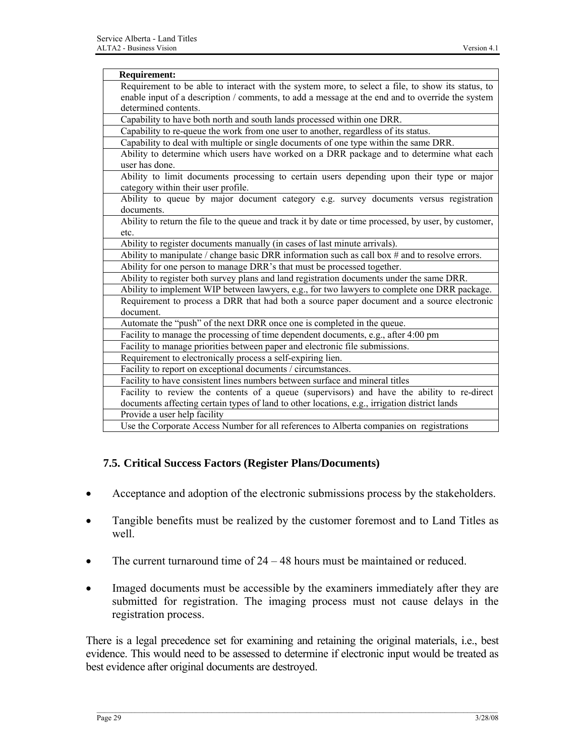<span id="page-33-0"></span>

| <b>Requirement:</b>                                                                                   |
|-------------------------------------------------------------------------------------------------------|
| Requirement to be able to interact with the system more, to select a file, to show its status, to     |
| enable input of a description / comments, to add a message at the end and to override the system      |
| determined contents.                                                                                  |
| Capability to have both north and south lands processed within one DRR.                               |
| Capability to re-queue the work from one user to another, regardless of its status.                   |
| Capability to deal with multiple or single documents of one type within the same DRR.                 |
| Ability to determine which users have worked on a DRR package and to determine what each              |
| user has done.                                                                                        |
| Ability to limit documents processing to certain users depending upon their type or major             |
| category within their user profile.                                                                   |
| Ability to queue by major document category e.g. survey documents versus registration                 |
| documents.                                                                                            |
| Ability to return the file to the queue and track it by date or time processed, by user, by customer, |
| etc.                                                                                                  |
| Ability to register documents manually (in cases of last minute arrivals).                            |
| Ability to manipulate / change basic DRR information such as call box # and to resolve errors.        |
| Ability for one person to manage DRR's that must be processed together.                               |
| Ability to register both survey plans and land registration documents under the same DRR.             |
| Ability to implement WIP between lawyers, e.g., for two lawyers to complete one DRR package.          |
| Requirement to process a DRR that had both a source paper document and a source electronic            |
| document.                                                                                             |
| Automate the "push" of the next DRR once one is completed in the queue.                               |
| Facility to manage the processing of time dependent documents, e.g., after 4:00 pm                    |
| Facility to manage priorities between paper and electronic file submissions.                          |
| Requirement to electronically process a self-expiring lien.                                           |
| Facility to report on exceptional documents / circumstances.                                          |
| Facility to have consistent lines numbers between surface and mineral titles                          |
| Facility to review the contents of a queue (supervisors) and have the ability to re-direct            |
| documents affecting certain types of land to other locations, e.g., irrigation district lands         |
| Provide a user help facility                                                                          |
| Use the Corporate Access Number for all references to Alberta companies on registrations              |

#### **7.5. Critical Success Factors (Register Plans/Documents)**

- Acceptance and adoption of the electronic submissions process by the stakeholders.
- Tangible benefits must be realized by the customer foremost and to Land Titles as well.
- The current turnaround time of  $24 48$  hours must be maintained or reduced.
- Imaged documents must be accessible by the examiners immediately after they are submitted for registration. The imaging process must not cause delays in the registration process.

There is a legal precedence set for examining and retaining the original materials, i.e., best evidence. This would need to be assessed to determine if electronic input would be treated as best evidence after original documents are destroyed.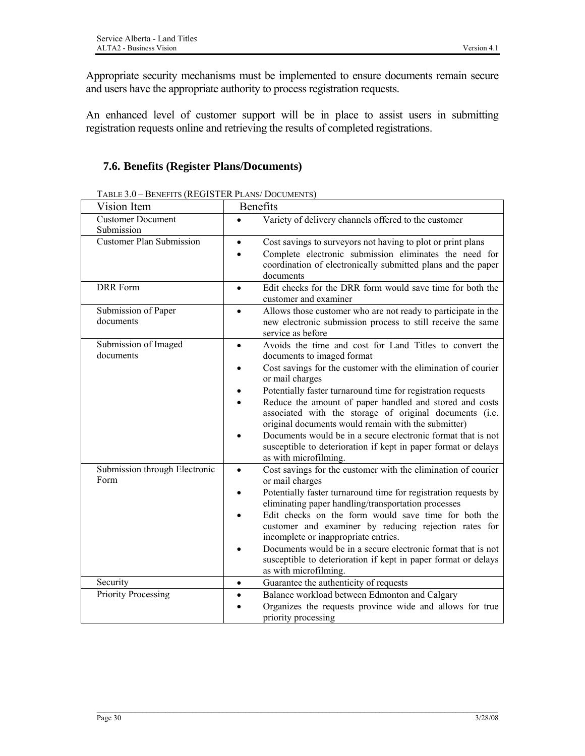<span id="page-34-0"></span>Appropriate security mechanisms must be implemented to ensure documents remain secure and users have the appropriate authority to process registration requests.

An enhanced level of customer support will be in place to assist users in submitting registration requests online and retrieving the results of completed registrations.

### **7.6. Benefits (Register Plans/Documents)**

| Vision Item                            | Benefits                                                                                                                                                                                                                                                                                                                                                                                                                                                                                                                                                                                       |
|----------------------------------------|------------------------------------------------------------------------------------------------------------------------------------------------------------------------------------------------------------------------------------------------------------------------------------------------------------------------------------------------------------------------------------------------------------------------------------------------------------------------------------------------------------------------------------------------------------------------------------------------|
| <b>Customer Document</b><br>Submission | Variety of delivery channels offered to the customer<br>$\bullet$                                                                                                                                                                                                                                                                                                                                                                                                                                                                                                                              |
| <b>Customer Plan Submission</b>        | Cost savings to surveyors not having to plot or print plans<br>$\bullet$<br>Complete electronic submission eliminates the need for<br>coordination of electronically submitted plans and the paper<br>documents                                                                                                                                                                                                                                                                                                                                                                                |
| DRR Form                               | Edit checks for the DRR form would save time for both the<br>$\bullet$<br>customer and examiner                                                                                                                                                                                                                                                                                                                                                                                                                                                                                                |
| Submission of Paper<br>documents       | Allows those customer who are not ready to participate in the<br>$\bullet$<br>new electronic submission process to still receive the same<br>service as before                                                                                                                                                                                                                                                                                                                                                                                                                                 |
| Submission of Imaged<br>documents      | Avoids the time and cost for Land Titles to convert the<br>$\bullet$<br>documents to imaged format<br>Cost savings for the customer with the elimination of courier<br>or mail charges<br>Potentially faster turnaround time for registration requests<br>Reduce the amount of paper handled and stored and costs<br>associated with the storage of original documents (i.e.<br>original documents would remain with the submitter)<br>Documents would be in a secure electronic format that is not<br>susceptible to deterioration if kept in paper format or delays<br>as with microfilming. |
| Submission through Electronic<br>Form  | Cost savings for the customer with the elimination of courier<br>$\bullet$<br>or mail charges<br>Potentially faster turnaround time for registration requests by<br>eliminating paper handling/transportation processes<br>Edit checks on the form would save time for both the<br>customer and examiner by reducing rejection rates for<br>incomplete or inappropriate entries.<br>Documents would be in a secure electronic format that is not<br>susceptible to deterioration if kept in paper format or delays<br>as with microfilming.                                                    |
| Security                               | Guarantee the authenticity of requests<br>$\bullet$                                                                                                                                                                                                                                                                                                                                                                                                                                                                                                                                            |
| Priority Processing                    | Balance workload between Edmonton and Calgary<br>$\bullet$<br>Organizes the requests province wide and allows for true<br>priority processing                                                                                                                                                                                                                                                                                                                                                                                                                                                  |

TABLE 3.0 – BENEFITS (REGISTER PLANS/ DOCUMENTS)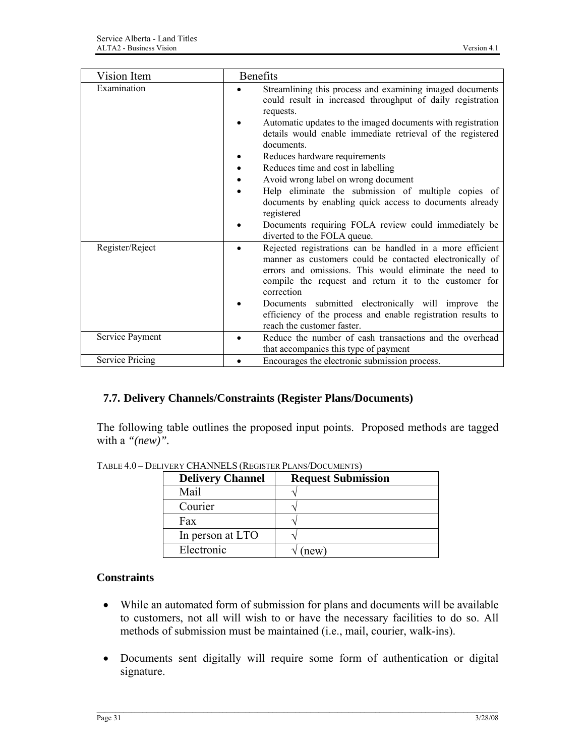<span id="page-35-0"></span>

| Vision Item            | <b>Benefits</b>                                                                                                                                                                                                                                                                                                                                                                                                                                                                                                                                                                                                     |
|------------------------|---------------------------------------------------------------------------------------------------------------------------------------------------------------------------------------------------------------------------------------------------------------------------------------------------------------------------------------------------------------------------------------------------------------------------------------------------------------------------------------------------------------------------------------------------------------------------------------------------------------------|
| Examination            | Streamlining this process and examining imaged documents<br>could result in increased throughput of daily registration<br>requests.<br>Automatic updates to the imaged documents with registration<br>details would enable immediate retrieval of the registered<br>documents.<br>Reduces hardware requirements<br>Reduces time and cost in labelling<br>Avoid wrong label on wrong document<br>Help eliminate the submission of multiple copies of<br>documents by enabling quick access to documents already<br>registered<br>Documents requiring FOLA review could immediately be<br>diverted to the FOLA queue. |
| Register/Reject        | Rejected registrations can be handled in a more efficient<br>manner as customers could be contacted electronically of<br>errors and omissions. This would eliminate the need to<br>compile the request and return it to the customer for<br>correction<br>Documents submitted electronically will improve the<br>efficiency of the process and enable registration results to<br>reach the customer faster.                                                                                                                                                                                                         |
| Service Payment        | Reduce the number of cash transactions and the overhead<br>that accompanies this type of payment                                                                                                                                                                                                                                                                                                                                                                                                                                                                                                                    |
| <b>Service Pricing</b> | Encourages the electronic submission process.                                                                                                                                                                                                                                                                                                                                                                                                                                                                                                                                                                       |

#### **7.7. Delivery Channels/Constraints (Register Plans/Documents)**

The following table outlines the proposed input points. Proposed methods are tagged with a *"(new)".*

| <b>Delivery Channel</b> | <b>Request Submission</b> |
|-------------------------|---------------------------|
| Mail                    |                           |
| Courier                 |                           |
| Fax                     |                           |
| In person at LTO        |                           |
| Electronic              | new                       |

TABLE 4.0 – DELIVERY CHANNELS (REGISTER PLANS/DOCUMENTS)

#### **Constraints**

- While an automated form of submission for plans and documents will be available to customers, not all will wish to or have the necessary facilities to do so. All methods of submission must be maintained (i.e., mail, courier, walk-ins).
- Documents sent digitally will require some form of authentication or digital signature.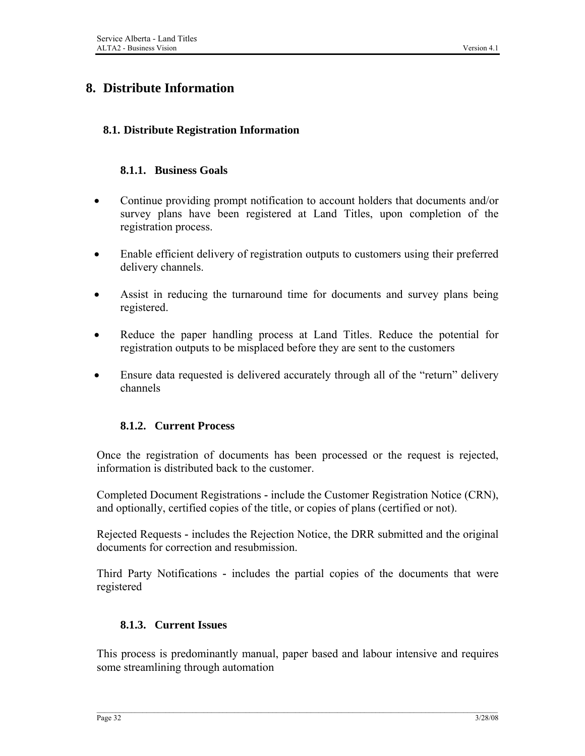# **8. Distribute Information**

### **8.1. Distribute Registration Information**

#### **8.1.1. Business Goals**

- Continue providing prompt notification to account holders that documents and/or survey plans have been registered at Land Titles, upon completion of the registration process.
- Enable efficient delivery of registration outputs to customers using their preferred delivery channels.
- Assist in reducing the turnaround time for documents and survey plans being registered.
- Reduce the paper handling process at Land Titles. Reduce the potential for registration outputs to be misplaced before they are sent to the customers
- Ensure data requested is delivered accurately through all of the "return" delivery channels

#### **8.1.2. Current Process**

Once the registration of documents has been processed or the request is rejected, information is distributed back to the customer.

Completed Document Registrations **-** include the Customer Registration Notice (CRN), and optionally, certified copies of the title, or copies of plans (certified or not).

Rejected Requests **-** includes the Rejection Notice, the DRR submitted and the original documents for correction and resubmission.

Third Party Notifications **-** includes the partial copies of the documents that were registered

#### **8.1.3. Current Issues**

This process is predominantly manual, paper based and labour intensive and requires some streamlining through automation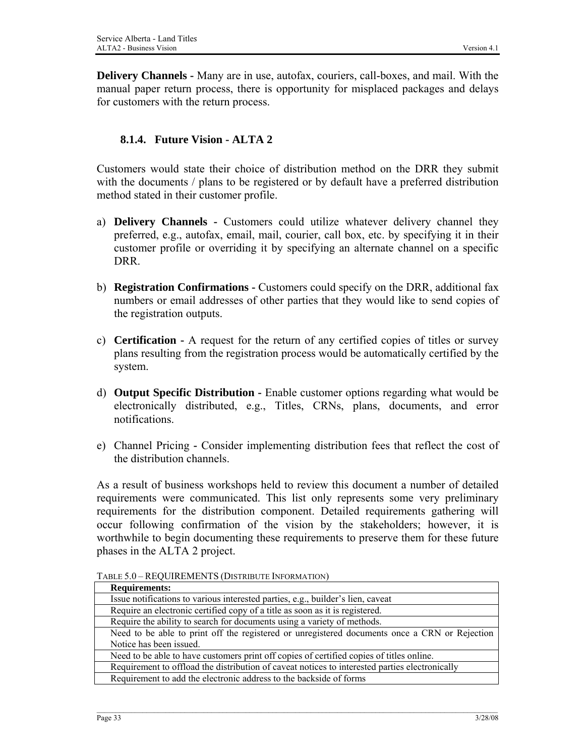**Delivery Channels -** Many are in use, autofax, couriers, call-boxes, and mail. With the manual paper return process, there is opportunity for misplaced packages and delays for customers with the return process.

## **8.1.4. Future Vision - ALTA 2**

Customers would state their choice of distribution method on the DRR they submit with the documents / plans to be registered or by default have a preferred distribution method stated in their customer profile.

- a) **Delivery Channels** Customers could utilize whatever delivery channel they preferred, e.g., autofax, email, mail, courier, call box, etc. by specifying it in their customer profile or overriding it by specifying an alternate channel on a specific DRR.
- b) **Registration Confirmations** Customers could specify on the DRR, additional fax numbers or email addresses of other parties that they would like to send copies of the registration outputs.
- c) **Certification** A request for the return of any certified copies of titles or survey plans resulting from the registration process would be automatically certified by the system.
- d) **Output Specific Distribution** Enable customer options regarding what would be electronically distributed, e.g., Titles, CRNs, plans, documents, and error notifications.
- e) Channel PricingConsider implementing distribution fees that reflect the cost of the distribution channels.

As a result of business workshops held to review this document a number of detailed requirements were communicated. This list only represents some very preliminary requirements for the distribution component. Detailed requirements gathering will occur following confirmation of the vision by the stakeholders; however, it is worthwhile to begin documenting these requirements to preserve them for these future phases in the ALTA 2 project.

| <b>Requirements:</b>                                                                           |
|------------------------------------------------------------------------------------------------|
| Issue notifications to various interested parties, e.g., builder's lien, caveat                |
| Require an electronic certified copy of a title as soon as it is registered.                   |
| Require the ability to search for documents using a variety of methods.                        |
| Need to be able to print off the registered or unregistered documents once a CRN or Rejection  |
| Notice has been issued.                                                                        |
| Need to be able to have customers print off copies of certified copies of titles online.       |
| Requirement to offload the distribution of caveat notices to interested parties electronically |
| Requirement to add the electronic address to the backside of forms                             |

TABLE 5.0 – REQUIREMENTS (DISTRIBUTE INFORMATION)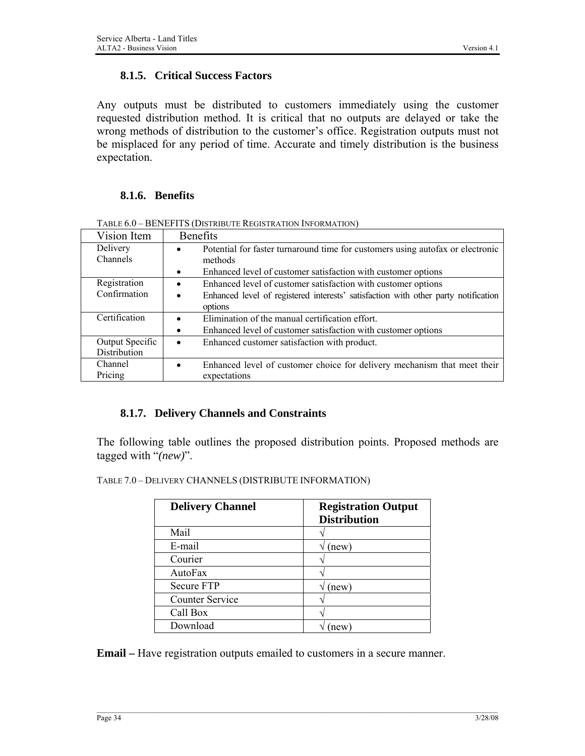#### **8.1.5. Critical Success Factors**

Any outputs must be distributed to customers immediately using the customer requested distribution method. It is critical that no outputs are delayed or take the wrong methods of distribution to the customer's office. Registration outputs must not be misplaced for any period of time. Accurate and timely distribution is the business expectation.

#### **8.1.6. Benefits**

| Vision Item                     | <b>Benefits</b>                                                                                                                                                                          |
|---------------------------------|------------------------------------------------------------------------------------------------------------------------------------------------------------------------------------------|
| Delivery<br>Channels            | Potential for faster turnaround time for customers using autofax or electronic<br>$\bullet$<br>methods<br>Enhanced level of customer satisfaction with customer options<br>$\bullet$     |
| Registration<br>Confirmation    | Enhanced level of customer satisfaction with customer options<br>$\bullet$<br>Enhanced level of registered interests' satisfaction with other party notification<br>$\bullet$<br>options |
| Certification                   | Elimination of the manual certification effort.<br>Enhanced level of customer satisfaction with customer options<br>$\bullet$                                                            |
| Output Specific<br>Distribution | Enhanced customer satisfaction with product.<br>$\bullet$                                                                                                                                |
| Channel<br>Pricing              | Enhanced level of customer choice for delivery mechanism that meet their<br>expectations                                                                                                 |

TABLE 6.0 – BENEFITS (DISTRIBUTE REGISTRATION INFORMATION)

#### **8.1.7. Delivery Channels and Constraints**

The following table outlines the proposed distribution points. Proposed methods are tagged with "*(new)*".

TABLE 7.0 – DELIVERY CHANNELS (DISTRIBUTE INFORMATION)

| <b>Delivery Channel</b> | <b>Registration Output</b><br><b>Distribution</b> |
|-------------------------|---------------------------------------------------|
| Mail                    |                                                   |
| E-mail                  | (new)                                             |
| Courier                 |                                                   |
| AutoFax                 |                                                   |
| <b>Secure FTP</b>       | (new)                                             |
| <b>Counter Service</b>  |                                                   |
| Call Box                |                                                   |
| Download                | new                                               |

**Email –** Have registration outputs emailed to customers in a secure manner.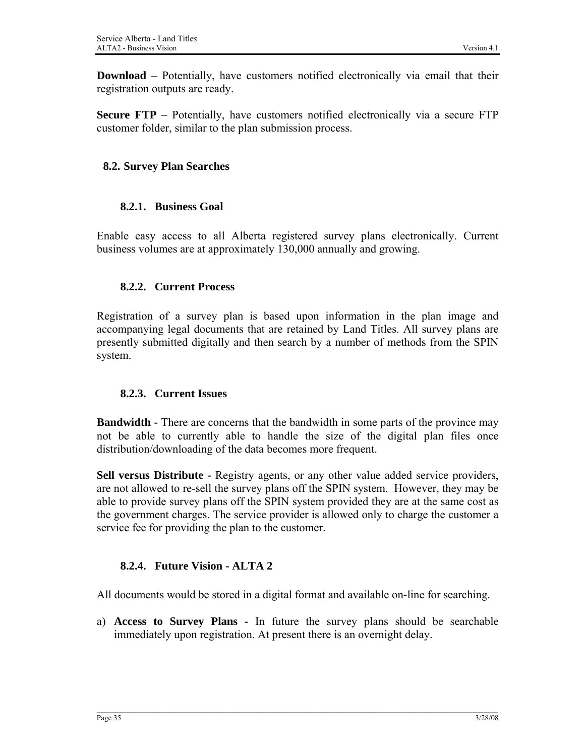**Download** – Potentially, have customers notified electronically via email that their registration outputs are ready.

**Secure FTP** – Potentially, have customers notified electronically via a secure FTP customer folder, similar to the plan submission process.

# **8.2. Survey Plan Searches**

# **8.2.1. Business Goal**

Enable easy access to all Alberta registered survey plans electronically. Current business volumes are at approximately 130,000 annually and growing.

# **8.2.2. Current Process**

Registration of a survey plan is based upon information in the plan image and accompanying legal documents that are retained by Land Titles. All survey plans are presently submitted digitally and then search by a number of methods from the SPIN system.

# **8.2.3. Current Issues**

**Bandwidth -** There are concerns that the bandwidth in some parts of the province may not be able to currently able to handle the size of the digital plan files once distribution/downloading of the data becomes more frequent.

**Sell versus Distribute -** Registry agents, or any other value added service providers, are not allowed to re-sell the survey plans off the SPIN system. However, they may be able to provide survey plans off the SPIN system provided they are at the same cost as the government charges. The service provider is allowed only to charge the customer a service fee for providing the plan to the customer.

# **8.2.4. Future Vision - ALTA 2**

All documents would be stored in a digital format and available on-line for searching.

a) **Access to Survey Plans -** In future the survey plans should be searchable immediately upon registration. At present there is an overnight delay.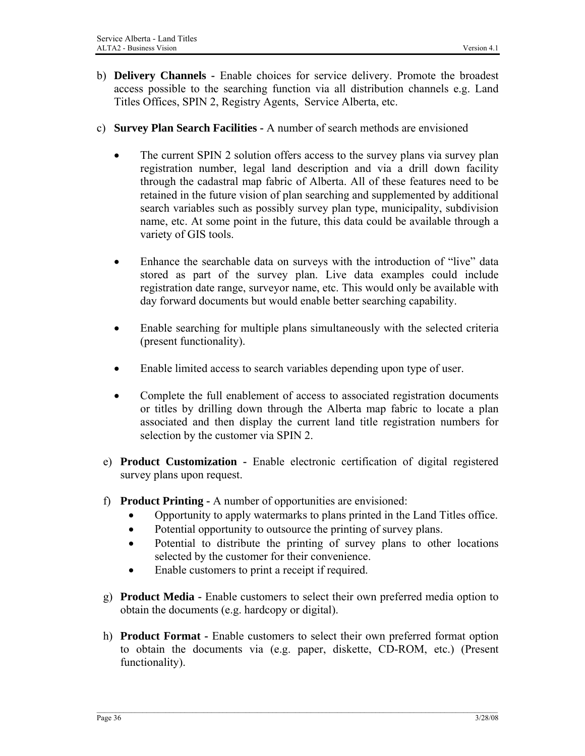- b) **Delivery Channels** Enable choices for service delivery. Promote the broadest access possible to the searching function via all distribution channels e.g. Land Titles Offices, SPIN 2, Registry Agents, Service Alberta, etc.
- c) **Survey Plan Search Facilities** A number of search methods are envisioned
	- The current SPIN 2 solution offers access to the survey plans via survey plan registration number, legal land description and via a drill down facility through the cadastral map fabric of Alberta. All of these features need to be retained in the future vision of plan searching and supplemented by additional search variables such as possibly survey plan type, municipality, subdivision name, etc. At some point in the future, this data could be available through a variety of GIS tools.
	- Enhance the searchable data on surveys with the introduction of "live" data stored as part of the survey plan. Live data examples could include registration date range, surveyor name, etc. This would only be available with day forward documents but would enable better searching capability.
	- Enable searching for multiple plans simultaneously with the selected criteria (present functionality).
	- Enable limited access to search variables depending upon type of user.
	- Complete the full enablement of access to associated registration documents or titles by drilling down through the Alberta map fabric to locate a plan associated and then display the current land title registration numbers for selection by the customer via SPIN 2.
	- e) **Product Customization** Enable electronic certification of digital registered survey plans upon request.
	- f) **Product Printing** A number of opportunities are envisioned:
		- Opportunity to apply watermarks to plans printed in the Land Titles office.
		- Potential opportunity to outsource the printing of survey plans.
		- Potential to distribute the printing of survey plans to other locations selected by the customer for their convenience.
		- Enable customers to print a receipt if required.
	- g) **Product Media** Enable customers to select their own preferred media option to obtain the documents (e.g. hardcopy or digital).
	- h) **Product Format** Enable customers to select their own preferred format option to obtain the documents via (e.g. paper, diskette, CD-ROM, etc.) (Present functionality).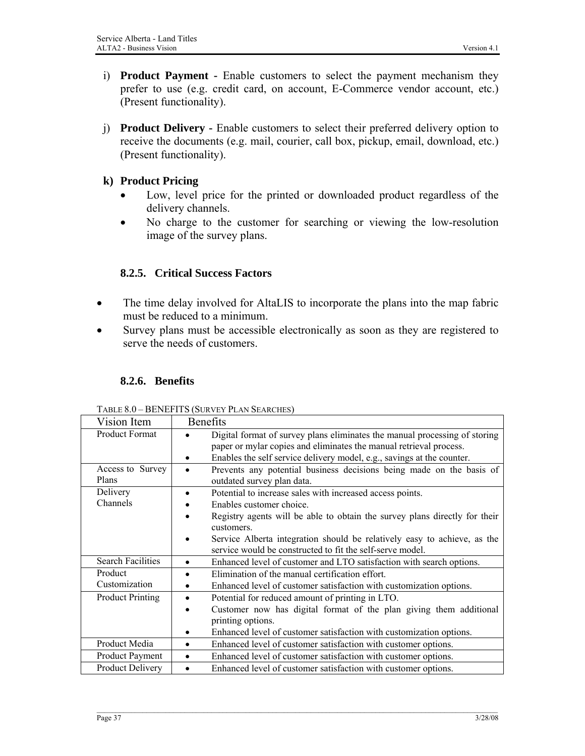- i) **Product Payment** Enable customers to select the payment mechanism they prefer to use (e.g. credit card, on account, E-Commerce vendor account, etc.) (Present functionality).
- j) **Product Delivery** Enable customers to select their preferred delivery option to receive the documents (e.g. mail, courier, call box, pickup, email, download, etc.) (Present functionality).

## **k) Product Pricing**

- Low, level price for the printed or downloaded product regardless of the delivery channels.
- No charge to the customer for searching or viewing the low-resolution image of the survey plans.

# **8.2.5. Critical Success Factors**

- The time delay involved for AltaLIS to incorporate the plans into the map fabric must be reduced to a minimum.
- Survey plans must be accessible electronically as soon as they are registered to serve the needs of customers.

## **8.2.6. Benefits**

| Vision Item               | <b>Benefits</b>                                                                                                                                                                                                            |
|---------------------------|----------------------------------------------------------------------------------------------------------------------------------------------------------------------------------------------------------------------------|
| <b>Product Format</b>     | Digital format of survey plans eliminates the manual processing of storing<br>paper or mylar copies and eliminates the manual retrieval process.<br>Enables the self service delivery model, e.g., savings at the counter. |
| Access to Survey<br>Plans | Prevents any potential business decisions being made on the basis of<br>outdated survey plan data.                                                                                                                         |
| Delivery                  | Potential to increase sales with increased access points.                                                                                                                                                                  |
| Channels                  | Enables customer choice.                                                                                                                                                                                                   |
|                           | Registry agents will be able to obtain the survey plans directly for their<br>customers.                                                                                                                                   |
|                           | Service Alberta integration should be relatively easy to achieve, as the<br>service would be constructed to fit the self-serve model.                                                                                      |
| <b>Search Facilities</b>  | Enhanced level of customer and LTO satisfaction with search options.<br>$\bullet$                                                                                                                                          |
| Product                   | Elimination of the manual certification effort.<br>$\bullet$                                                                                                                                                               |
| Customization             | Enhanced level of customer satisfaction with customization options.                                                                                                                                                        |
| <b>Product Printing</b>   | Potential for reduced amount of printing in LTO.<br>$\bullet$                                                                                                                                                              |
|                           | Customer now has digital format of the plan giving them additional                                                                                                                                                         |
|                           | printing options.                                                                                                                                                                                                          |
|                           | Enhanced level of customer satisfaction with customization options.                                                                                                                                                        |
| Product Media             | Enhanced level of customer satisfaction with customer options.<br>$\bullet$                                                                                                                                                |
| <b>Product Payment</b>    | Enhanced level of customer satisfaction with customer options.<br>$\bullet$                                                                                                                                                |
| Product Delivery          | Enhanced level of customer satisfaction with customer options.                                                                                                                                                             |

TABLE 8.0 – BENEFITS (SURVEY PLAN SEARCHES)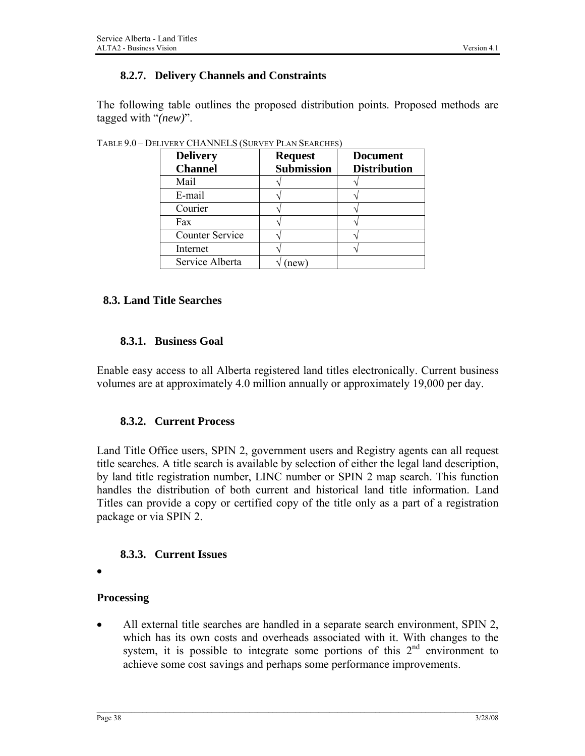### **8.2.7. Delivery Channels and Constraints**

The following table outlines the proposed distribution points. Proposed methods are tagged with "*(new)*".

| <b>Delivery</b><br><b>Channel</b> | <b>Request</b><br><b>Submission</b> | <b>Document</b><br><b>Distribution</b> |
|-----------------------------------|-------------------------------------|----------------------------------------|
| Mail                              |                                     |                                        |
| E-mail                            |                                     |                                        |
| Courier                           |                                     |                                        |
| Fax                               |                                     |                                        |
| <b>Counter Service</b>            |                                     |                                        |
| Internet                          |                                     |                                        |
| Service Alberta                   | new <sup>'</sup>                    |                                        |

TABLE 9.0 – DELIVERY CHANNELS (SURVEY PLAN SEARCHES)

#### **8.3. Land Title Searches**

#### **8.3.1. Business Goal**

Enable easy access to all Alberta registered land titles electronically. Current business volumes are at approximately 4.0 million annually or approximately 19,000 per day.

#### **8.3.2. Current Process**

Land Title Office users, SPIN 2, government users and Registry agents can all request title searches. A title search is available by selection of either the legal land description, by land title registration number, LINC number or SPIN 2 map search. This function handles the distribution of both current and historical land title information. Land Titles can provide a copy or certified copy of the title only as a part of a registration package or via SPIN 2.

#### **8.3.3. Current Issues**

•

#### **Processing**

• All external title searches are handled in a separate search environment, SPIN 2, which has its own costs and overheads associated with it. With changes to the system, it is possible to integrate some portions of this 2<sup>nd</sup> environment to achieve some cost savings and perhaps some performance improvements.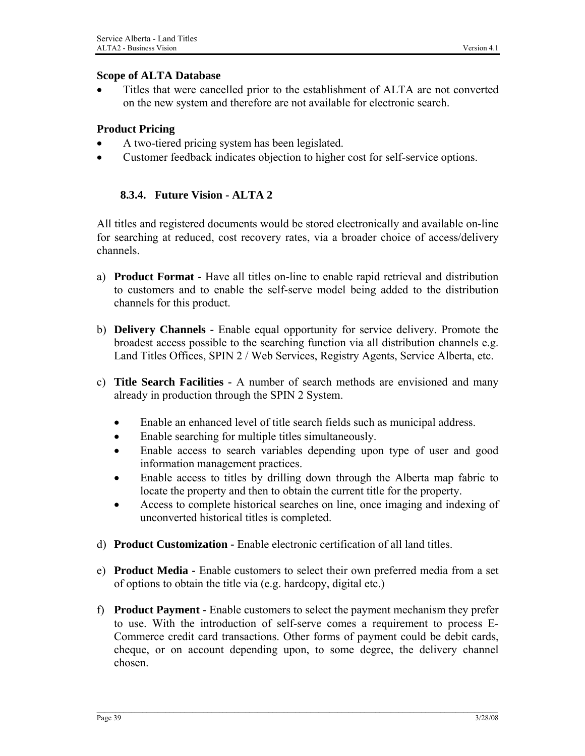#### **Scope of ALTA Database**

• Titles that were cancelled prior to the establishment of ALTA are not converted on the new system and therefore are not available for electronic search.

# **Product Pricing**

- A two-tiered pricing system has been legislated.
- Customer feedback indicates objection to higher cost for self-service options.

# **8.3.4. Future Vision - ALTA 2**

All titles and registered documents would be stored electronically and available on-line for searching at reduced, cost recovery rates, via a broader choice of access/delivery channels.

- a) **Product Format** Have all titles on-line to enable rapid retrieval and distribution to customers and to enable the self-serve model being added to the distribution channels for this product.
- b) **Delivery Channels** Enable equal opportunity for service delivery. Promote the broadest access possible to the searching function via all distribution channels e.g. Land Titles Offices, SPIN 2 / Web Services, Registry Agents, Service Alberta, etc.
- c) **Title Search Facilities** A number of search methods are envisioned and many already in production through the SPIN 2 System.
	- Enable an enhanced level of title search fields such as municipal address.
	- Enable searching for multiple titles simultaneously.
	- Enable access to search variables depending upon type of user and good information management practices.
	- Enable access to titles by drilling down through the Alberta map fabric to locate the property and then to obtain the current title for the property.
	- Access to complete historical searches on line, once imaging and indexing of unconverted historical titles is completed.
- d) **Product Customization** Enable electronic certification of all land titles.
- e) **Product Media** Enable customers to select their own preferred media from a set of options to obtain the title via (e.g. hardcopy, digital etc.)
- f) **Product Payment** Enable customers to select the payment mechanism they prefer to use. With the introduction of self-serve comes a requirement to process E-Commerce credit card transactions. Other forms of payment could be debit cards, cheque, or on account depending upon, to some degree, the delivery channel chosen.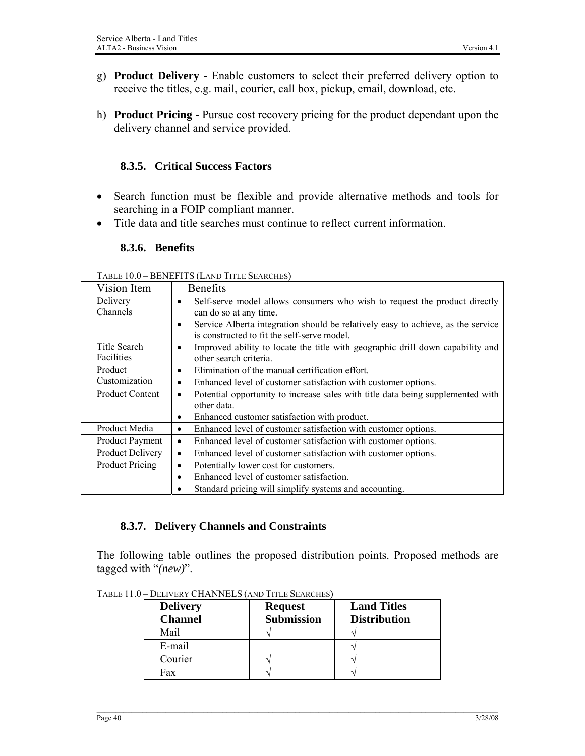- g) **Product Delivery** Enable customers to select their preferred delivery option to receive the titles, e.g. mail, courier, call box, pickup, email, download, etc.
- h) **Product Pricing** Pursue cost recovery pricing for the product dependant upon the delivery channel and service provided.

# **8.3.5. Critical Success Factors**

- Search function must be flexible and provide alternative methods and tools for searching in a FOIP compliant manner.
- Title data and title searches must continue to reflect current information.

#### **8.3.6. Benefits**

TABLE 10.0 – BENEFITS (LAND TITLE SEARCHES)

| Vision Item             | <b>Benefits</b>                                                                                                                              |
|-------------------------|----------------------------------------------------------------------------------------------------------------------------------------------|
| Delivery                | Self-serve model allows consumers who wish to request the product directly<br>$\bullet$                                                      |
| Channels                | can do so at any time.                                                                                                                       |
|                         | Service Alberta integration should be relatively easy to achieve, as the service<br>$\bullet$<br>is constructed to fit the self-serve model. |
| Title Search            | Improved ability to locate the title with geographic drill down capability and<br>$\bullet$                                                  |
| Facilities              | other search criteria.                                                                                                                       |
| Product                 | Elimination of the manual certification effort.<br>$\bullet$                                                                                 |
| Customization           | Enhanced level of customer satisfaction with customer options.<br>$\bullet$                                                                  |
| <b>Product Content</b>  | Potential opportunity to increase sales with title data being supplemented with<br>٠                                                         |
|                         | other data                                                                                                                                   |
|                         | Enhanced customer satisfaction with product.<br>$\bullet$                                                                                    |
| Product Media           | Enhanced level of customer satisfaction with customer options.<br>$\bullet$                                                                  |
| <b>Product Payment</b>  | Enhanced level of customer satisfaction with customer options.<br>$\bullet$                                                                  |
| <b>Product Delivery</b> | Enhanced level of customer satisfaction with customer options.<br>$\bullet$                                                                  |
| <b>Product Pricing</b>  | Potentially lower cost for customers.<br>$\bullet$                                                                                           |
|                         | Enhanced level of customer satisfaction.<br>$\bullet$                                                                                        |
|                         | Standard pricing will simplify systems and accounting.                                                                                       |

#### **8.3.7. Delivery Channels and Constraints**

The following table outlines the proposed distribution points. Proposed methods are tagged with "*(new)*".

| <b>Delivery</b><br><b>Channel</b> | <b>Request</b><br><b>Submission</b> | <b>Land Titles</b><br><b>Distribution</b> |
|-----------------------------------|-------------------------------------|-------------------------------------------|
| Mail                              |                                     |                                           |
| E-mail                            |                                     |                                           |
| Courier                           |                                     |                                           |
| Fax                               |                                     |                                           |

TABLE 11.0 – DELIVERY CHANNELS (AND TITLE SEARCHES)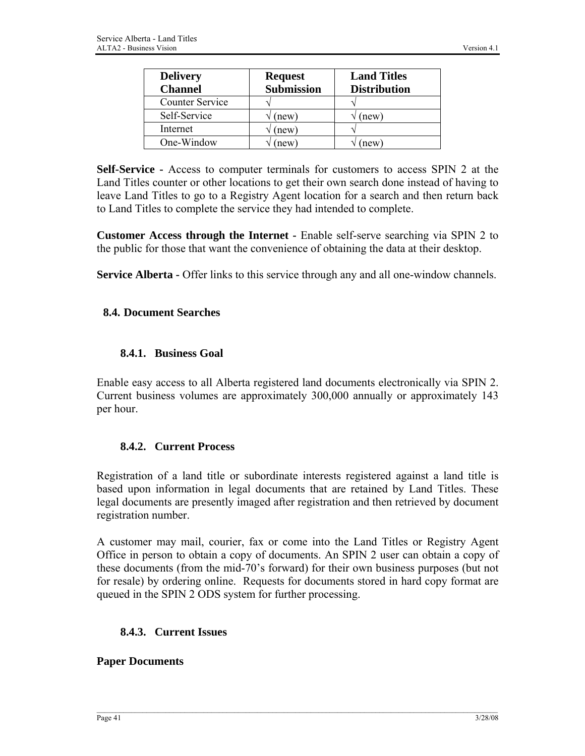| <b>Delivery</b><br><b>Channel</b> | <b>Request</b><br><b>Submission</b> | <b>Land Titles</b><br><b>Distribution</b> |
|-----------------------------------|-------------------------------------|-------------------------------------------|
| <b>Counter Service</b>            |                                     |                                           |
| Self-Service                      | (new)                               | (new)                                     |
| Internet                          | new)                                |                                           |
| One-Window                        | new                                 | new                                       |

**Self-Service -** Access to computer terminals for customers to access SPIN 2 at the Land Titles counter or other locations to get their own search done instead of having to leave Land Titles to go to a Registry Agent location for a search and then return back to Land Titles to complete the service they had intended to complete.

**Customer Access through the Internet -** Enable self-serve searching via SPIN 2 to the public for those that want the convenience of obtaining the data at their desktop.

**Service Alberta -** Offer links to this service through any and all one-window channels.

#### **8.4. Document Searches**

#### **8.4.1. Business Goal**

Enable easy access to all Alberta registered land documents electronically via SPIN 2. Current business volumes are approximately 300,000 annually or approximately 143 per hour.

#### **8.4.2. Current Process**

Registration of a land title or subordinate interests registered against a land title is based upon information in legal documents that are retained by Land Titles. These legal documents are presently imaged after registration and then retrieved by document registration number.

A customer may mail, courier, fax or come into the Land Titles or Registry Agent Office in person to obtain a copy of documents. An SPIN 2 user can obtain a copy of these documents (from the mid-70's forward) for their own business purposes (but not for resale) by ordering online. Requests for documents stored in hard copy format are queued in the SPIN 2 ODS system for further processing.

#### **8.4.3. Current Issues**

#### **Paper Documents**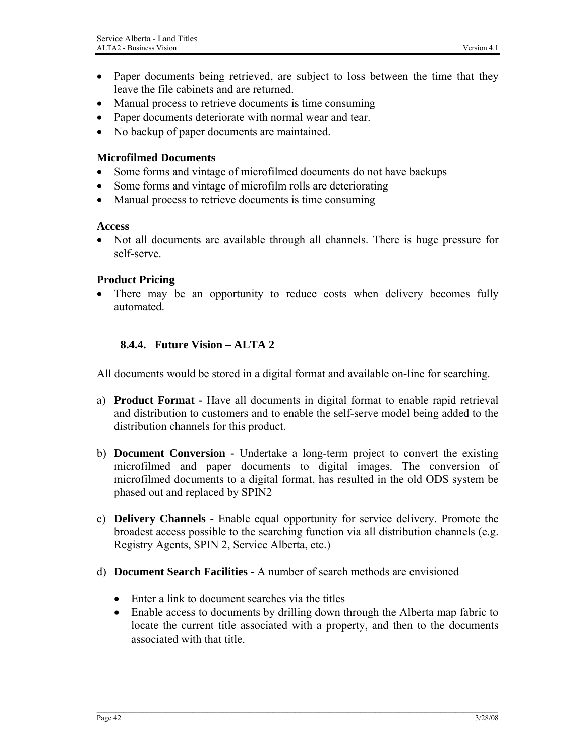- Paper documents being retrieved, are subject to loss between the time that they leave the file cabinets and are returned.
- Manual process to retrieve documents is time consuming
- Paper documents deteriorate with normal wear and tear.
- No backup of paper documents are maintained.

#### **Microfilmed Documents**

- Some forms and vintage of microfilmed documents do not have backups
- Some forms and vintage of microfilm rolls are deteriorating
- Manual process to retrieve documents is time consuming

#### **Access**

• Not all documents are available through all channels. There is huge pressure for self-serve.

#### **Product Pricing**

There may be an opportunity to reduce costs when delivery becomes fully automated.

#### **8.4.4. Future Vision – ALTA 2**

All documents would be stored in a digital format and available on-line for searching.

- a) **Product Format** Have all documents in digital format to enable rapid retrieval and distribution to customers and to enable the self-serve model being added to the distribution channels for this product.
- b) **Document Conversion** Undertake a long-term project to convert the existing microfilmed and paper documents to digital images. The conversion of microfilmed documents to a digital format, has resulted in the old ODS system be phased out and replaced by SPIN2
- c) **Delivery Channels** Enable equal opportunity for service delivery. Promote the broadest access possible to the searching function via all distribution channels (e.g. Registry Agents, SPIN 2, Service Alberta, etc.)
- d) **Document Search Facilities** A number of search methods are envisioned
	- Enter a link to document searches via the titles
	- Enable access to documents by drilling down through the Alberta map fabric to locate the current title associated with a property, and then to the documents associated with that title.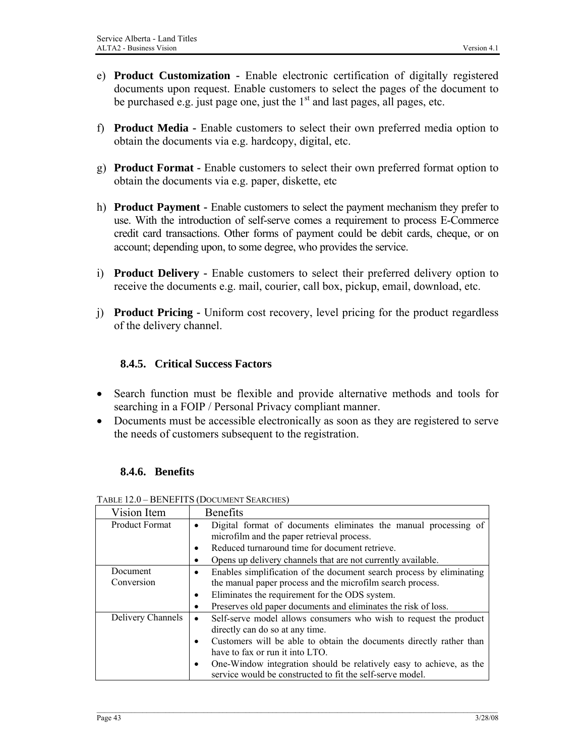- e) **Product Customization** Enable electronic certification of digitally registered documents upon request. Enable customers to select the pages of the document to be purchased e.g. just page one, just the  $1<sup>st</sup>$  and last pages, all pages, etc.
- f) **Product Media** Enable customers to select their own preferred media option to obtain the documents via e.g. hardcopy, digital, etc.
- g) **Product Format** Enable customers to select their own preferred format option to obtain the documents via e.g. paper, diskette, etc
- h) **Product Payment** Enable customers to select the payment mechanism they prefer to use. With the introduction of self-serve comes a requirement to process E-Commerce credit card transactions. Other forms of payment could be debit cards, cheque, or on account; depending upon, to some degree, who provides the service.
- i) **Product Delivery** Enable customers to select their preferred delivery option to receive the documents e.g. mail, courier, call box, pickup, email, download, etc.
- j) **Product Pricing** Uniform cost recovery, level pricing for the product regardless of the delivery channel.

# **8.4.5. Critical Success Factors**

- Search function must be flexible and provide alternative methods and tools for searching in a FOIP / Personal Privacy compliant manner.
- Documents must be accessible electronically as soon as they are registered to serve the needs of customers subsequent to the registration.

# **8.4.6. Benefits**

| Vision Item           | <b>Benefits</b>                                                                                                                                                                                                                 |  |
|-----------------------|---------------------------------------------------------------------------------------------------------------------------------------------------------------------------------------------------------------------------------|--|
| <b>Product Format</b> | Digital format of documents eliminates the manual processing of<br>microfilm and the paper retrieval process.<br>Reduced turnaround time for document retrieve.<br>Opens up delivery channels that are not currently available. |  |
| Document              | Enables simplification of the document search process by eliminating<br>$\bullet$                                                                                                                                               |  |
| Conversion            | the manual paper process and the microfilm search process.                                                                                                                                                                      |  |
|                       | Eliminates the requirement for the ODS system.<br>$\bullet$                                                                                                                                                                     |  |
|                       | Preserves old paper documents and eliminates the risk of loss.                                                                                                                                                                  |  |
| Delivery Channels     | Self-serve model allows consumers who wish to request the product<br>$\bullet$<br>directly can do so at any time.                                                                                                               |  |
|                       | Customers will be able to obtain the documents directly rather than                                                                                                                                                             |  |
|                       | have to fax or run it into LTO.                                                                                                                                                                                                 |  |
|                       | One-Window integration should be relatively easy to achieve, as the                                                                                                                                                             |  |
|                       | service would be constructed to fit the self-serve model.                                                                                                                                                                       |  |

TABLE 12.0 – BENEFITS (DOCUMENT SEARCHES)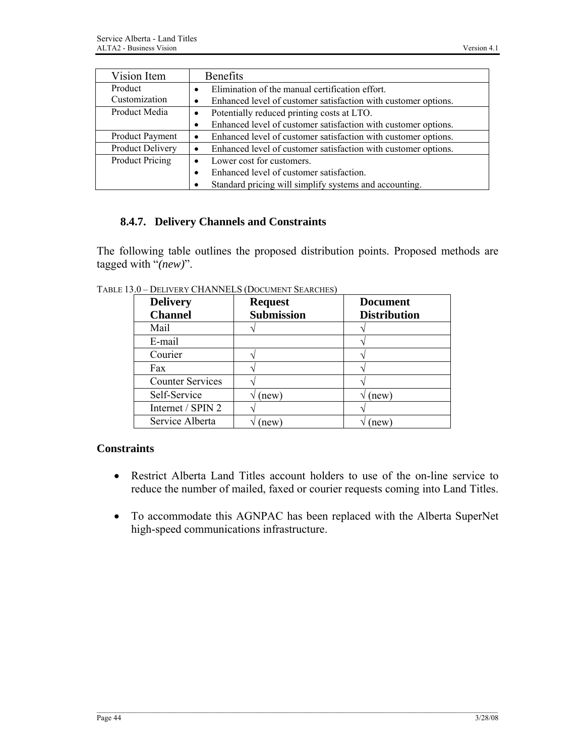| Vision Item            | <b>Benefits</b>                                                     |
|------------------------|---------------------------------------------------------------------|
| Product                | Elimination of the manual certification effort.<br>$\bullet$        |
| Customization          | Enhanced level of customer satisfaction with customer options.<br>٠ |
| Product Media          | Potentially reduced printing costs at LTO.                          |
|                        | Enhanced level of customer satisfaction with customer options.      |
| <b>Product Payment</b> | Enhanced level of customer satisfaction with customer options.<br>٠ |
| Product Delivery       | Enhanced level of customer satisfaction with customer options.      |
| <b>Product Pricing</b> | Lower cost for customers.<br>$\bullet$                              |
|                        | Enhanced level of customer satisfaction.                            |
|                        | Standard pricing will simplify systems and accounting.              |

### **8.4.7. Delivery Channels and Constraints**

The following table outlines the proposed distribution points. Proposed methods are tagged with "*(new)*".

| <b>Delivery</b><br><b>Channel</b> | <b>Request</b><br><b>Submission</b> | <b>Document</b><br><b>Distribution</b> |
|-----------------------------------|-------------------------------------|----------------------------------------|
| Mail                              |                                     |                                        |
| E-mail                            |                                     |                                        |
| Courier                           |                                     |                                        |
| Fax                               |                                     |                                        |
| <b>Counter Services</b>           |                                     |                                        |
| Self-Service                      | (new)                               | new)                                   |
| Internet / SPIN 2                 |                                     |                                        |
| Service Alberta                   | new)                                | new                                    |

TABLE 13.0 – DELIVERY CHANNELS (DOCUMENT SEARCHES)

## **Constraints**

- Restrict Alberta Land Titles account holders to use of the on-line service to reduce the number of mailed, faxed or courier requests coming into Land Titles.
- To accommodate this AGNPAC has been replaced with the Alberta SuperNet high-speed communications infrastructure.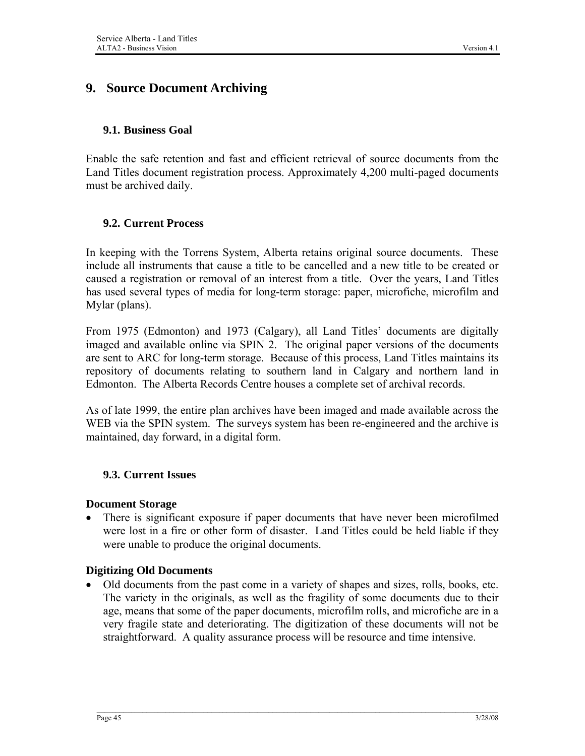# **9. Source Document Archiving**

### **9.1. Business Goal**

Enable the safe retention and fast and efficient retrieval of source documents from the Land Titles document registration process. Approximately 4,200 multi-paged documents must be archived daily.

### **9.2. Current Process**

In keeping with the Torrens System, Alberta retains original source documents. These include all instruments that cause a title to be cancelled and a new title to be created or caused a registration or removal of an interest from a title. Over the years, Land Titles has used several types of media for long-term storage: paper, microfiche, microfilm and Mylar (plans).

From 1975 (Edmonton) and 1973 (Calgary), all Land Titles' documents are digitally imaged and available online via SPIN 2. The original paper versions of the documents are sent to ARC for long-term storage. Because of this process, Land Titles maintains its repository of documents relating to southern land in Calgary and northern land in Edmonton. The Alberta Records Centre houses a complete set of archival records.

As of late 1999, the entire plan archives have been imaged and made available across the WEB via the SPIN system. The surveys system has been re-engineered and the archive is maintained, day forward, in a digital form.

#### **9.3. Current Issues**

#### **Document Storage**

• There is significant exposure if paper documents that have never been microfilmed were lost in a fire or other form of disaster. Land Titles could be held liable if they were unable to produce the original documents.

#### **Digitizing Old Documents**

• Old documents from the past come in a variety of shapes and sizes, rolls, books, etc. The variety in the originals, as well as the fragility of some documents due to their age, means that some of the paper documents, microfilm rolls, and microfiche are in a very fragile state and deteriorating. The digitization of these documents will not be straightforward. A quality assurance process will be resource and time intensive.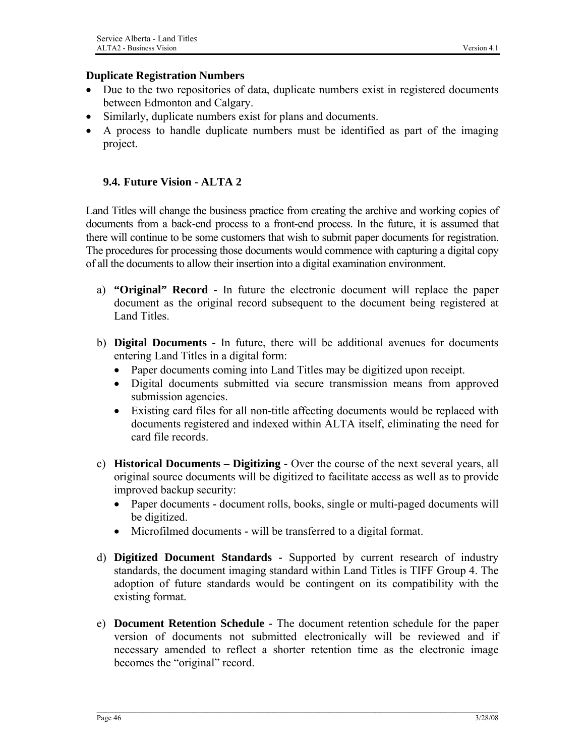#### **Duplicate Registration Numbers**

- Due to the two repositories of data, duplicate numbers exist in registered documents between Edmonton and Calgary.
- Similarly, duplicate numbers exist for plans and documents.
- A process to handle duplicate numbers must be identified as part of the imaging project.

#### **9.4. Future Vision - ALTA 2**

Land Titles will change the business practice from creating the archive and working copies of documents from a back-end process to a front-end process. In the future, it is assumed that there will continue to be some customers that wish to submit paper documents for registration. The procedures for processing those documents would commence with capturing a digital copy of all the documents to allow their insertion into a digital examination environment.

- a) **"Original" Record** In future the electronic document will replace the paper document as the original record subsequent to the document being registered at Land Titles.
- b) **Digital Documents** In future, there will be additional avenues for documents entering Land Titles in a digital form:
	- Paper documents coming into Land Titles may be digitized upon receipt.
	- Digital documents submitted via secure transmission means from approved submission agencies.
	- Existing card files for all non-title affecting documents would be replaced with documents registered and indexed within ALTA itself, eliminating the need for card file records.
- c) **Historical Documents Digitizing** Over the course of the next several years, all original source documents will be digitized to facilitate access as well as to provide improved backup security:
	- Paper documents document rolls, books, single or multi-paged documents will be digitized.
	- Microfilmed documentswill be transferred to a digital format.
- d) **Digitized Document Standards** Supported by current research of industry standards, the document imaging standard within Land Titles is TIFF Group 4. The adoption of future standards would be contingent on its compatibility with the existing format.
- e) **Document Retention Schedule** The document retention schedule for the paper version of documents not submitted electronically will be reviewed and if necessary amended to reflect a shorter retention time as the electronic image becomes the "original" record.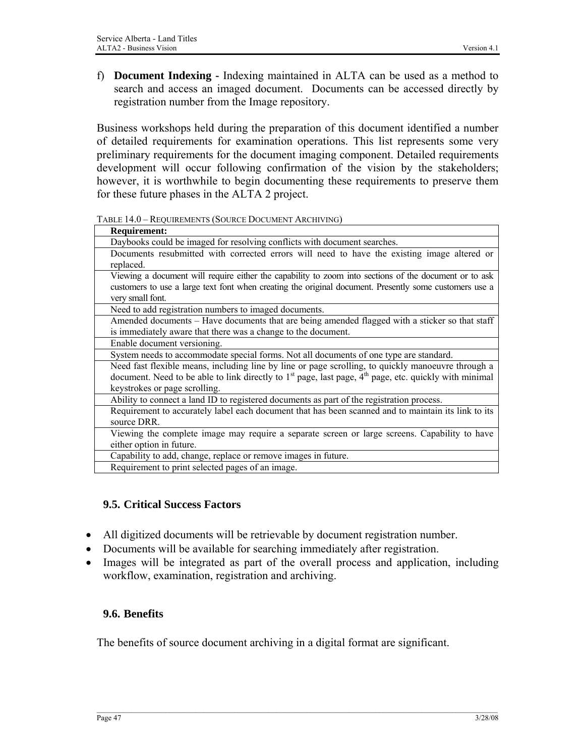f) **Document Indexing -** Indexing maintained in ALTA can be used as a method to search and access an imaged document. Documents can be accessed directly by registration number from the Image repository.

Business workshops held during the preparation of this document identified a number of detailed requirements for examination operations. This list represents some very preliminary requirements for the document imaging component. Detailed requirements development will occur following confirmation of the vision by the stakeholders; however, it is worthwhile to begin documenting these requirements to preserve them for these future phases in the ALTA 2 project.

TABLE 14.0 – REQUIREMENTS (SOURCE DOCUMENT ARCHIVING)

| <b>Requirement:</b>                                                                                        |
|------------------------------------------------------------------------------------------------------------|
| Daybooks could be imaged for resolving conflicts with document searches.                                   |
| Documents resubmitted with corrected errors will need to have the existing image altered or<br>replaced.   |
| Viewing a document will require either the capability to zoom into sections of the document or to ask      |
| customers to use a large text font when creating the original document. Presently some customers use a     |
| very small font.                                                                                           |
| Need to add registration numbers to imaged documents.                                                      |
| Amended documents - Have documents that are being amended flagged with a sticker so that staff             |
| is immediately aware that there was a change to the document.                                              |
| Enable document versioning.                                                                                |
| System needs to accommodate special forms. Not all documents of one type are standard.                     |
| Need fast flexible means, including line by line or page scrolling, to quickly manoeuvre through a         |
| document. Need to be able to link directly to $1st$ page, last page, $4th$ page, etc. quickly with minimal |
| keystrokes or page scrolling.                                                                              |
| Ability to connect a land ID to registered documents as part of the registration process.                  |
| Requirement to accurately label each document that has been scanned and to maintain its link to its        |
| source DRR.                                                                                                |
| Viewing the complete image may require a separate screen or large screens. Capability to have              |
| either option in future.                                                                                   |
| Capability to add, change, replace or remove images in future.                                             |
| Requirement to print selected pages of an image.                                                           |

# **9.5. Critical Success Factors**

- All digitized documents will be retrievable by document registration number.
- Documents will be available for searching immediately after registration.
- Images will be integrated as part of the overall process and application, including workflow, examination, registration and archiving.

# **9.6. Benefits**

The benefits of source document archiving in a digital format are significant.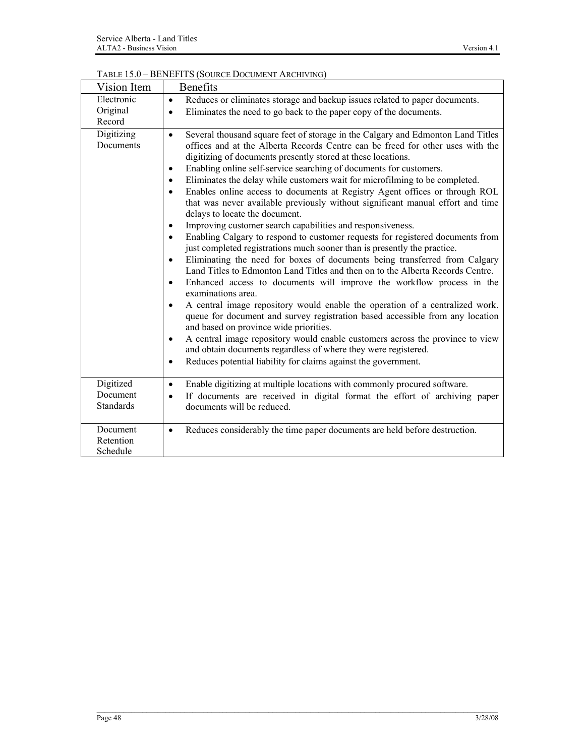| TABLE 15.0 - BENEFITS (SOURCE DOCUMENT ARCHIVING) |
|---------------------------------------------------|
|                                                   |

| Vision Item                               | Benefits                                                                                                                                                                                                                                                                                                                                                                                                                                                                                                                                                                                                                                                                                                                                                                                                                                                                                                                                                                                                                                                                                                                                                                                                                                                                                                                                                                                                                                                                                                                                                                                                                     |
|-------------------------------------------|------------------------------------------------------------------------------------------------------------------------------------------------------------------------------------------------------------------------------------------------------------------------------------------------------------------------------------------------------------------------------------------------------------------------------------------------------------------------------------------------------------------------------------------------------------------------------------------------------------------------------------------------------------------------------------------------------------------------------------------------------------------------------------------------------------------------------------------------------------------------------------------------------------------------------------------------------------------------------------------------------------------------------------------------------------------------------------------------------------------------------------------------------------------------------------------------------------------------------------------------------------------------------------------------------------------------------------------------------------------------------------------------------------------------------------------------------------------------------------------------------------------------------------------------------------------------------------------------------------------------------|
| Electronic<br>Original<br>Record          | Reduces or eliminates storage and backup issues related to paper documents.<br>$\bullet$<br>Eliminates the need to go back to the paper copy of the documents.<br>$\bullet$                                                                                                                                                                                                                                                                                                                                                                                                                                                                                                                                                                                                                                                                                                                                                                                                                                                                                                                                                                                                                                                                                                                                                                                                                                                                                                                                                                                                                                                  |
| Digitizing<br>Documents                   | Several thousand square feet of storage in the Calgary and Edmonton Land Titles<br>$\bullet$<br>offices and at the Alberta Records Centre can be freed for other uses with the<br>digitizing of documents presently stored at these locations.<br>Enabling online self-service searching of documents for customers.<br>$\bullet$<br>Eliminates the delay while customers wait for microfilming to be completed.<br>Enables online access to documents at Registry Agent offices or through ROL<br>that was never available previously without significant manual effort and time<br>delays to locate the document.<br>Improving customer search capabilities and responsiveness.<br>$\bullet$<br>Enabling Calgary to respond to customer requests for registered documents from<br>just completed registrations much sooner than is presently the practice.<br>Eliminating the need for boxes of documents being transferred from Calgary<br>$\bullet$<br>Land Titles to Edmonton Land Titles and then on to the Alberta Records Centre.<br>Enhanced access to documents will improve the workflow process in the<br>$\bullet$<br>examinations area.<br>A central image repository would enable the operation of a centralized work.<br>$\bullet$<br>queue for document and survey registration based accessible from any location<br>and based on province wide priorities.<br>A central image repository would enable customers across the province to view<br>$\bullet$<br>and obtain documents regardless of where they were registered.<br>Reduces potential liability for claims against the government.<br>$\bullet$ |
| Digitized<br>Document<br><b>Standards</b> | Enable digitizing at multiple locations with commonly procured software.<br>$\bullet$<br>If documents are received in digital format the effort of archiving paper<br>$\bullet$<br>documents will be reduced.                                                                                                                                                                                                                                                                                                                                                                                                                                                                                                                                                                                                                                                                                                                                                                                                                                                                                                                                                                                                                                                                                                                                                                                                                                                                                                                                                                                                                |
| Document<br>Retention<br>Schedule         | Reduces considerably the time paper documents are held before destruction.<br>$\bullet$                                                                                                                                                                                                                                                                                                                                                                                                                                                                                                                                                                                                                                                                                                                                                                                                                                                                                                                                                                                                                                                                                                                                                                                                                                                                                                                                                                                                                                                                                                                                      |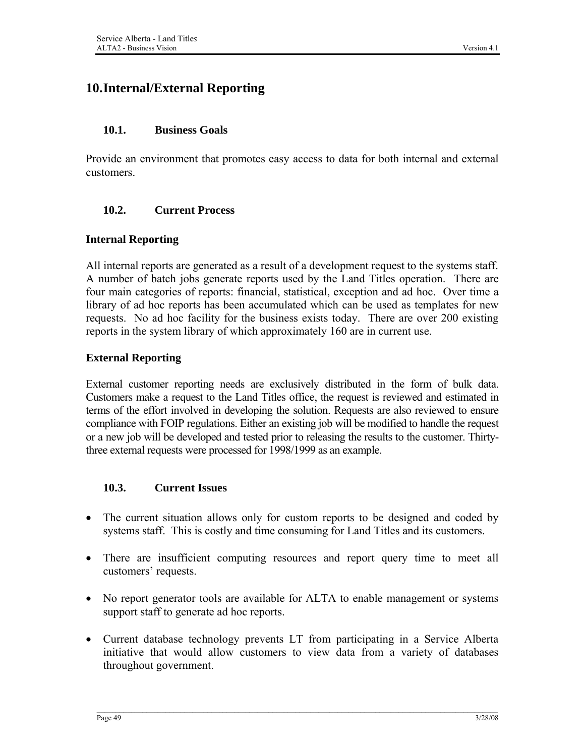# **10.Internal/External Reporting**

#### **10.1. Business Goals**

Provide an environment that promotes easy access to data for both internal and external customers.

### **10.2. Current Process**

#### **Internal Reporting**

All internal reports are generated as a result of a development request to the systems staff. A number of batch jobs generate reports used by the Land Titles operation. There are four main categories of reports: financial, statistical, exception and ad hoc. Over time a library of ad hoc reports has been accumulated which can be used as templates for new requests. No ad hoc facility for the business exists today. There are over 200 existing reports in the system library of which approximately 160 are in current use.

### **External Reporting**

External customer reporting needs are exclusively distributed in the form of bulk data. Customers make a request to the Land Titles office, the request is reviewed and estimated in terms of the effort involved in developing the solution. Requests are also reviewed to ensure compliance with FOIP regulations. Either an existing job will be modified to handle the request or a new job will be developed and tested prior to releasing the results to the customer. Thirtythree external requests were processed for 1998/1999 as an example.

#### **10.3. Current Issues**

- The current situation allows only for custom reports to be designed and coded by systems staff. This is costly and time consuming for Land Titles and its customers.
- There are insufficient computing resources and report query time to meet all customers' requests.
- No report generator tools are available for ALTA to enable management or systems support staff to generate ad hoc reports.
- Current database technology prevents LT from participating in a Service Alberta initiative that would allow customers to view data from a variety of databases throughout government.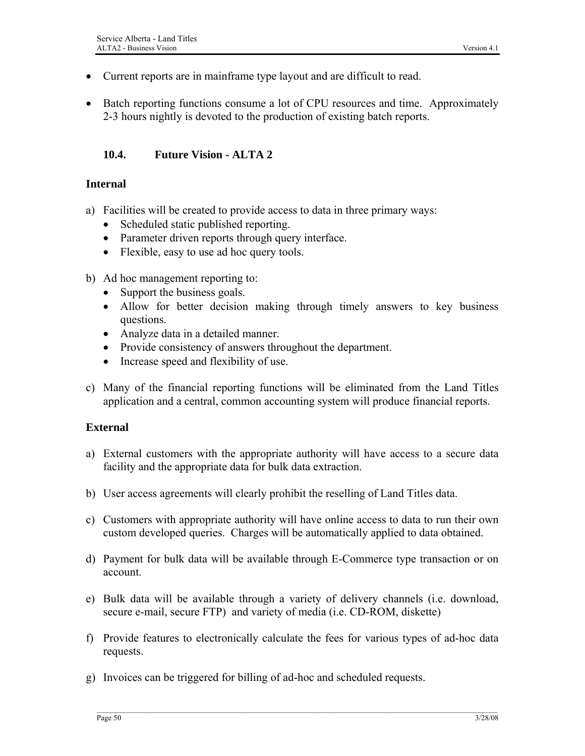- Current reports are in mainframe type layout and are difficult to read.
- Batch reporting functions consume a lot of CPU resources and time. Approximately 2-3 hours nightly is devoted to the production of existing batch reports.

#### **10.4. Future Vision - ALTA 2**

#### **Internal**

- a) Facilities will be created to provide access to data in three primary ways:
	- Scheduled static published reporting.
	- Parameter driven reports through query interface.
	- Flexible, easy to use ad hoc query tools.
- b) Ad hoc management reporting to:
	- Support the business goals.
	- Allow for better decision making through timely answers to key business questions.
	- Analyze data in a detailed manner.
	- Provide consistency of answers throughout the department.
	- Increase speed and flexibility of use.
- c) Many of the financial reporting functions will be eliminated from the Land Titles application and a central, common accounting system will produce financial reports.

#### **External**

- a) External customers with the appropriate authority will have access to a secure data facility and the appropriate data for bulk data extraction.
- b) User access agreements will clearly prohibit the reselling of Land Titles data.
- c) Customers with appropriate authority will have online access to data to run their own custom developed queries. Charges will be automatically applied to data obtained.
- d) Payment for bulk data will be available through E-Commerce type transaction or on account.
- e) Bulk data will be available through a variety of delivery channels (i.e. download, secure e-mail, secure FTP) and variety of media (i.e. CD-ROM, diskette)
- f) Provide features to electronically calculate the fees for various types of ad-hoc data requests.
- g) Invoices can be triggered for billing of ad-hoc and scheduled requests.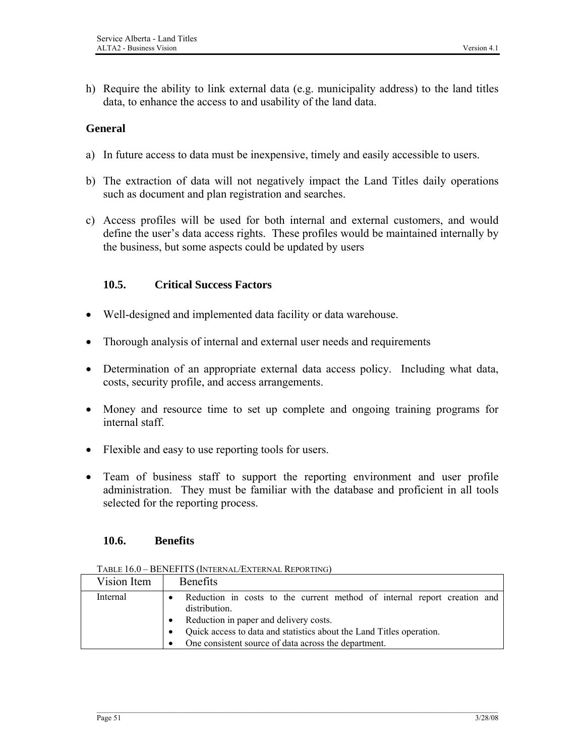h) Require the ability to link external data (e.g. municipality address) to the land titles data, to enhance the access to and usability of the land data.

#### **General**

- a) In future access to data must be inexpensive, timely and easily accessible to users.
- b) The extraction of data will not negatively impact the Land Titles daily operations such as document and plan registration and searches.
- c) Access profiles will be used for both internal and external customers, and would define the user's data access rights. These profiles would be maintained internally by the business, but some aspects could be updated by users

#### **10.5. Critical Success Factors**

- Well-designed and implemented data facility or data warehouse.
- Thorough analysis of internal and external user needs and requirements
- Determination of an appropriate external data access policy. Including what data, costs, security profile, and access arrangements.
- Money and resource time to set up complete and ongoing training programs for internal staff.
- Flexible and easy to use reporting tools for users.
- Team of business staff to support the reporting environment and user profile administration. They must be familiar with the database and proficient in all tools selected for the reporting process.

#### **10.6. Benefits**

| TABLE 16.0 - BENEFITS (INTERNAL/EXTERNAL REPORTING) |  |
|-----------------------------------------------------|--|
|                                                     |  |

| Vision Item | <b>Benefits</b>                                                                                                                     |
|-------------|-------------------------------------------------------------------------------------------------------------------------------------|
| Internal    | Reduction in costs to the current method of internal report creation and<br>distribution.<br>Reduction in paper and delivery costs. |
|             | Quick access to data and statistics about the Land Titles operation.<br>One consistent source of data across the department.        |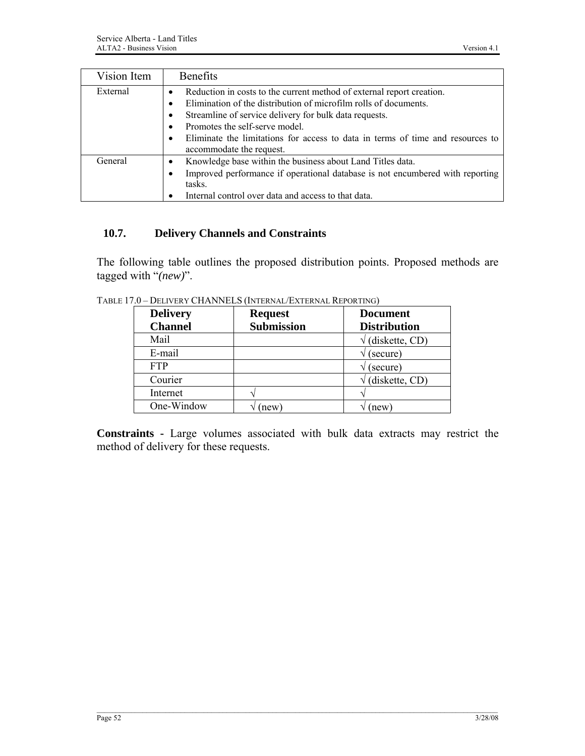| Vision Item | <b>Benefits</b>                                                                                                                                                                                                                                                                                                                                                  |
|-------------|------------------------------------------------------------------------------------------------------------------------------------------------------------------------------------------------------------------------------------------------------------------------------------------------------------------------------------------------------------------|
| External    | Reduction in costs to the current method of external report creation.<br>Elimination of the distribution of microfilm rolls of documents.<br>Streamline of service delivery for bulk data requests.<br>Promotes the self-serve model.<br>Eliminate the limitations for access to data in terms of time and resources to<br>$\bullet$<br>accommodate the request. |
| General     | Knowledge base within the business about Land Titles data.<br>Improved performance if operational database is not encumbered with reporting<br>tasks.<br>Internal control over data and access to that data.                                                                                                                                                     |

## **10.7. Delivery Channels and Constraints**

The following table outlines the proposed distribution points. Proposed methods are tagged with "*(new)*".

| <b>Delivery</b> | <b>Request</b>    | <b>Document</b>     |
|-----------------|-------------------|---------------------|
| <b>Channel</b>  | <b>Submission</b> | <b>Distribution</b> |
| Mail            |                   | (diskette, CD)      |
| E-mail          |                   | (secure)            |
| <b>FTP</b>      |                   | (secure)            |
| Courier         |                   | (diskette, CD)      |
| Internet        |                   |                     |
| One-Window      | new)              | (new)               |

TABLE 17.0 – DELIVERY CHANNELS (INTERNAL/EXTERNAL REPORTING)

**Constraints -** Large volumes associated with bulk data extracts may restrict the method of delivery for these requests.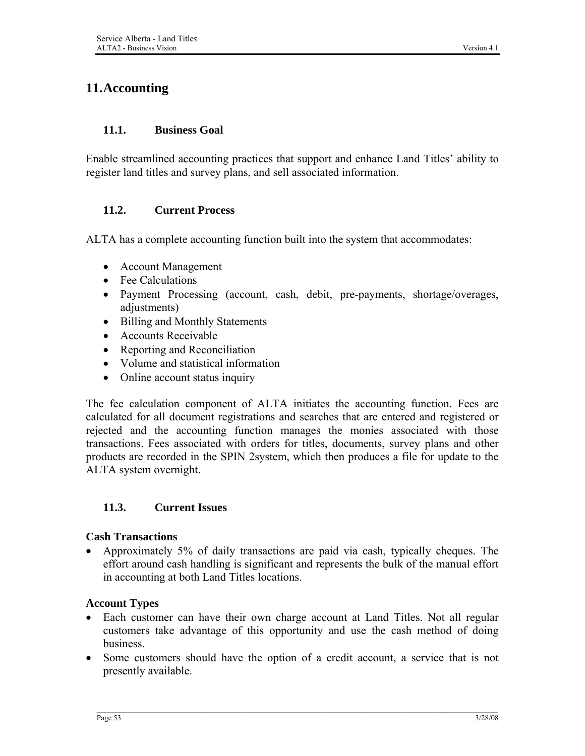# **11.Accounting**

#### **11.1. Business Goal**

Enable streamlined accounting practices that support and enhance Land Titles' ability to register land titles and survey plans, and sell associated information.

### **11.2. Current Process**

ALTA has a complete accounting function built into the system that accommodates:

- Account Management
- Fee Calculations
- Payment Processing (account, cash, debit, pre-payments, shortage/overages, adjustments)
- Billing and Monthly Statements
- Accounts Receivable
- Reporting and Reconciliation
- Volume and statistical information
- Online account status inquiry

The fee calculation component of ALTA initiates the accounting function. Fees are calculated for all document registrations and searches that are entered and registered or rejected and the accounting function manages the monies associated with those transactions. Fees associated with orders for titles, documents, survey plans and other products are recorded in the SPIN 2system, which then produces a file for update to the ALTA system overnight.

#### **11.3. Current Issues**

#### **Cash Transactions**

• Approximately 5% of daily transactions are paid via cash, typically cheques. The effort around cash handling is significant and represents the bulk of the manual effort in accounting at both Land Titles locations.

#### **Account Types**

- Each customer can have their own charge account at Land Titles. Not all regular customers take advantage of this opportunity and use the cash method of doing business.
- Some customers should have the option of a credit account, a service that is not presently available.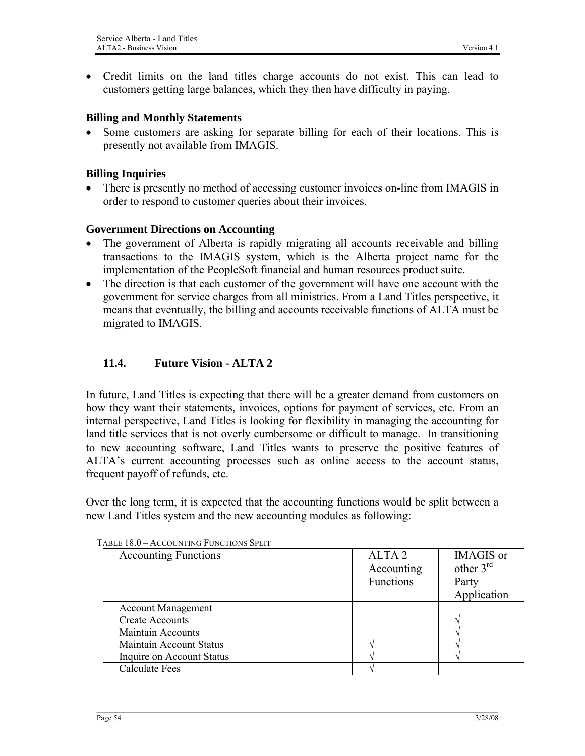• Credit limits on the land titles charge accounts do not exist. This can lead to customers getting large balances, which they then have difficulty in paying.

#### **Billing and Monthly Statements**

• Some customers are asking for separate billing for each of their locations. This is presently not available from IMAGIS.

#### **Billing Inquiries**

• There is presently no method of accessing customer invoices on-line from IMAGIS in order to respond to customer queries about their invoices.

#### **Government Directions on Accounting**

- The government of Alberta is rapidly migrating all accounts receivable and billing transactions to the IMAGIS system, which is the Alberta project name for the implementation of the PeopleSoft financial and human resources product suite.
- The direction is that each customer of the government will have one account with the government for service charges from all ministries. From a Land Titles perspective, it means that eventually, the billing and accounts receivable functions of ALTA must be migrated to IMAGIS.

### **11.4. Future Vision - ALTA 2**

In future, Land Titles is expecting that there will be a greater demand from customers on how they want their statements, invoices, options for payment of services, etc. From an internal perspective, Land Titles is looking for flexibility in managing the accounting for land title services that is not overly cumbersome or difficult to manage. In transitioning to new accounting software, Land Titles wants to preserve the positive features of ALTA's current accounting processes such as online access to the account status, frequent payoff of refunds, etc.

Over the long term, it is expected that the accounting functions would be split between a new Land Titles system and the new accounting modules as following:

| <b>Accounting Functions</b>    | ALTA <sub>2</sub><br>Accounting<br>Functions | <b>IMAGIS</b> or<br>other $3rd$<br>Party<br>Application |
|--------------------------------|----------------------------------------------|---------------------------------------------------------|
| <b>Account Management</b>      |                                              |                                                         |
| <b>Create Accounts</b>         |                                              | ٦                                                       |
| <b>Maintain Accounts</b>       |                                              |                                                         |
| <b>Maintain Account Status</b> |                                              | $\overline{\phantom{a}}$                                |
| Inquire on Account Status      |                                              | $\overline{\phantom{a}}$                                |
| <b>Calculate Fees</b>          |                                              |                                                         |

TABLE 18.0 – ACCOUNTING FUNCTIONS SPLIT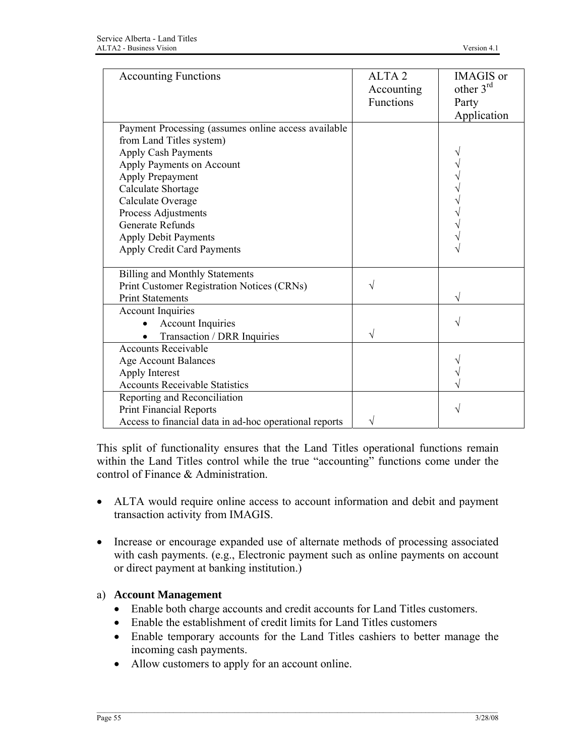| <b>Accounting Functions</b>                                                                                                                                                                                               | ALTA <sub>2</sub><br>Accounting<br>Functions | <b>IMAGIS</b> or<br>other $3rd$<br>Party<br>Application |
|---------------------------------------------------------------------------------------------------------------------------------------------------------------------------------------------------------------------------|----------------------------------------------|---------------------------------------------------------|
| Payment Processing (assumes online access available<br>from Land Titles system)<br>Apply Cash Payments<br>Apply Payments on Account<br>Apply Prepayment<br>Calculate Shortage<br>Calculate Overage<br>Process Adjustments |                                              |                                                         |
| <b>Generate Refunds</b><br><b>Apply Debit Payments</b><br>Apply Credit Card Payments                                                                                                                                      |                                              |                                                         |
| <b>Billing and Monthly Statements</b><br>Print Customer Registration Notices (CRNs)<br><b>Print Statements</b>                                                                                                            |                                              | V                                                       |
| <b>Account Inquiries</b><br><b>Account Inquiries</b><br>Transaction / DRR Inquiries                                                                                                                                       |                                              |                                                         |
| <b>Accounts Receivable</b><br><b>Age Account Balances</b><br>Apply Interest<br><b>Accounts Receivable Statistics</b>                                                                                                      |                                              |                                                         |
| Reporting and Reconciliation<br><b>Print Financial Reports</b><br>Access to financial data in ad-hoc operational reports                                                                                                  | V                                            | V                                                       |

This split of functionality ensures that the Land Titles operational functions remain within the Land Titles control while the true "accounting" functions come under the control of Finance & Administration.

- ALTA would require online access to account information and debit and payment transaction activity from IMAGIS.
- Increase or encourage expanded use of alternate methods of processing associated with cash payments. (e.g., Electronic payment such as online payments on account or direct payment at banking institution.)

# a) **Account Management**

- Enable both charge accounts and credit accounts for Land Titles customers.
- Enable the establishment of credit limits for Land Titles customers
- Enable temporary accounts for the Land Titles cashiers to better manage the incoming cash payments.
- Allow customers to apply for an account online.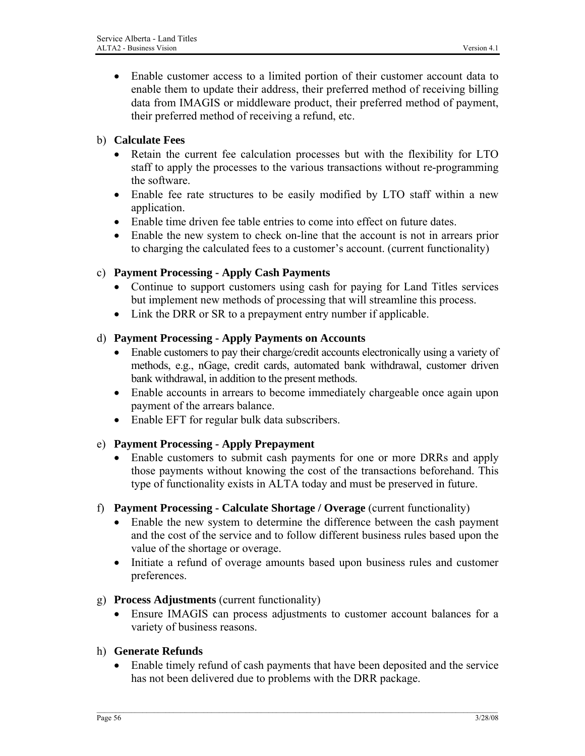• Enable customer access to a limited portion of their customer account data to enable them to update their address, their preferred method of receiving billing data from IMAGIS or middleware product, their preferred method of payment, their preferred method of receiving a refund, etc.

#### b) **Calculate Fees**

- Retain the current fee calculation processes but with the flexibility for LTO staff to apply the processes to the various transactions without re-programming the software.
- Enable fee rate structures to be easily modified by LTO staff within a new application.
- Enable time driven fee table entries to come into effect on future dates.
- Enable the new system to check on-line that the account is not in arrears prior to charging the calculated fees to a customer's account. (current functionality)

### c) **Payment Processing - Apply Cash Payments**

- Continue to support customers using cash for paying for Land Titles services but implement new methods of processing that will streamline this process.
- Link the DRR or SR to a prepayment entry number if applicable.

### d) **Payment Processing - Apply Payments on Accounts**

- Enable customers to pay their charge/credit accounts electronically using a variety of methods, e.g., nGage, credit cards, automated bank withdrawal, customer driven bank withdrawal, in addition to the present methods.
- Enable accounts in arrears to become immediately chargeable once again upon payment of the arrears balance.
- Enable EFT for regular bulk data subscribers.

# e) **Payment Processing - Apply Prepayment**

- Enable customers to submit cash payments for one or more DRRs and apply those payments without knowing the cost of the transactions beforehand. This type of functionality exists in ALTA today and must be preserved in future.
- f) **Payment Processing Calculate Shortage / Overage** (current functionality)
	- Enable the new system to determine the difference between the cash payment and the cost of the service and to follow different business rules based upon the value of the shortage or overage.
	- Initiate a refund of overage amounts based upon business rules and customer preferences.

#### g) **Process Adjustments** (current functionality)

• Ensure IMAGIS can process adjustments to customer account balances for a variety of business reasons.

#### h) **Generate Refunds**

• Enable timely refund of cash payments that have been deposited and the service has not been delivered due to problems with the DRR package.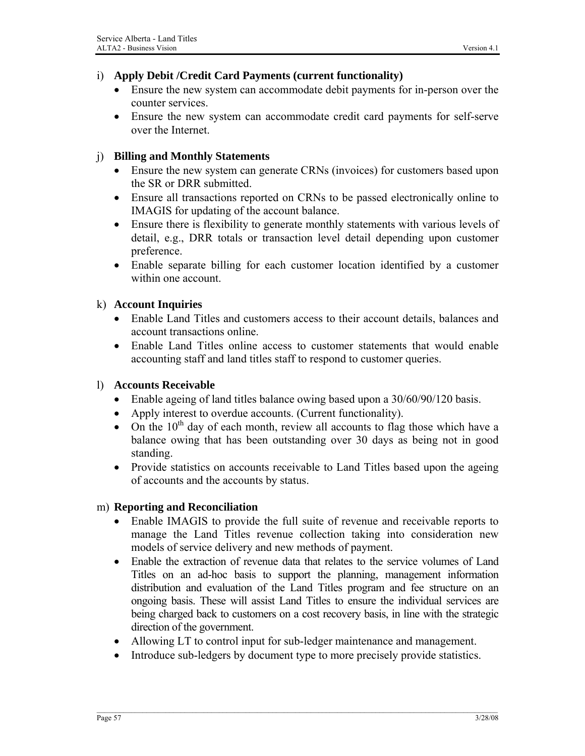## i) **Apply Debit /Credit Card Payments (current functionality)**

- Ensure the new system can accommodate debit payments for in-person over the counter services.
- Ensure the new system can accommodate credit card payments for self-serve over the Internet.

# j) **Billing and Monthly Statements**

- Ensure the new system can generate CRNs (invoices) for customers based upon the SR or DRR submitted.
- Ensure all transactions reported on CRNs to be passed electronically online to IMAGIS for updating of the account balance.
- Ensure there is flexibility to generate monthly statements with various levels of detail, e.g., DRR totals or transaction level detail depending upon customer preference.
- Enable separate billing for each customer location identified by a customer within one account.

### k) **Account Inquiries**

- Enable Land Titles and customers access to their account details, balances and account transactions online.
- Enable Land Titles online access to customer statements that would enable accounting staff and land titles staff to respond to customer queries.

#### l) **Accounts Receivable**

- Enable ageing of land titles balance owing based upon a 30/60/90/120 basis.
- Apply interest to overdue accounts. (Current functionality).
- On the  $10^{th}$  day of each month, review all accounts to flag those which have a balance owing that has been outstanding over 30 days as being not in good standing.
- Provide statistics on accounts receivable to Land Titles based upon the ageing of accounts and the accounts by status.

#### m) **Reporting and Reconciliation**

- Enable IMAGIS to provide the full suite of revenue and receivable reports to manage the Land Titles revenue collection taking into consideration new models of service delivery and new methods of payment.
- Enable the extraction of revenue data that relates to the service volumes of Land Titles on an ad-hoc basis to support the planning, management information distribution and evaluation of the Land Titles program and fee structure on an ongoing basis. These will assist Land Titles to ensure the individual services are being charged back to customers on a cost recovery basis, in line with the strategic direction of the government.
- Allowing LT to control input for sub-ledger maintenance and management.
- Introduce sub-ledgers by document type to more precisely provide statistics.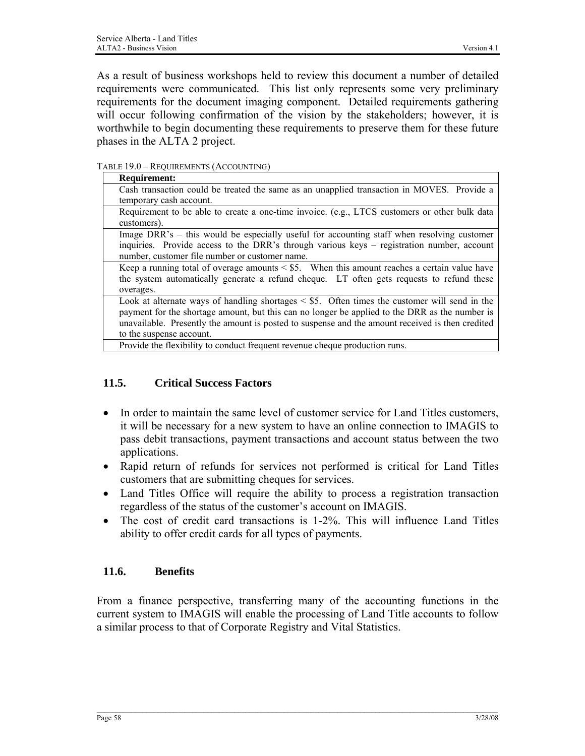As a result of business workshops held to review this document a number of detailed requirements were communicated. This list only represents some very preliminary requirements for the document imaging component. Detailed requirements gathering will occur following confirmation of the vision by the stakeholders; however, it is worthwhile to begin documenting these requirements to preserve them for these future phases in the ALTA 2 project.

TABLE 19.0 – REQUIREMENTS (ACCOUNTING)

| <b>Requirement:</b>                                                                                                                                                                                                                                                                                                                 |
|-------------------------------------------------------------------------------------------------------------------------------------------------------------------------------------------------------------------------------------------------------------------------------------------------------------------------------------|
| Cash transaction could be treated the same as an unapplied transaction in MOVES. Provide a                                                                                                                                                                                                                                          |
| temporary cash account.                                                                                                                                                                                                                                                                                                             |
| Requirement to be able to create a one-time invoice. (e.g., LTCS customers or other bulk data<br>customers).                                                                                                                                                                                                                        |
| Image DRR's – this would be especially useful for accounting staff when resolving customer<br>inquiries. Provide access to the DRR's through various keys – registration number, account<br>number, customer file number or customer name.                                                                                          |
| Keep a running total of overage amounts $\le$ \$5. When this amount reaches a certain value have<br>the system automatically generate a refund cheque. LT often gets requests to refund these<br>overages.                                                                                                                          |
| Look at alternate ways of handling shortages $\le$ \$5. Often times the customer will send in the<br>payment for the shortage amount, but this can no longer be applied to the DRR as the number is<br>unavailable. Presently the amount is posted to suspense and the amount received is then credited<br>to the suspense account. |
| Provide the flexibility to conduct frequent revenue cheque production runs.                                                                                                                                                                                                                                                         |

# **11.5. Critical Success Factors**

- In order to maintain the same level of customer service for Land Titles customers, it will be necessary for a new system to have an online connection to IMAGIS to pass debit transactions, payment transactions and account status between the two applications.
- Rapid return of refunds for services not performed is critical for Land Titles customers that are submitting cheques for services.
- Land Titles Office will require the ability to process a registration transaction regardless of the status of the customer's account on IMAGIS.
- The cost of credit card transactions is 1-2%. This will influence Land Titles ability to offer credit cards for all types of payments.

# **11.6. Benefits**

From a finance perspective, transferring many of the accounting functions in the current system to IMAGIS will enable the processing of Land Title accounts to follow a similar process to that of Corporate Registry and Vital Statistics.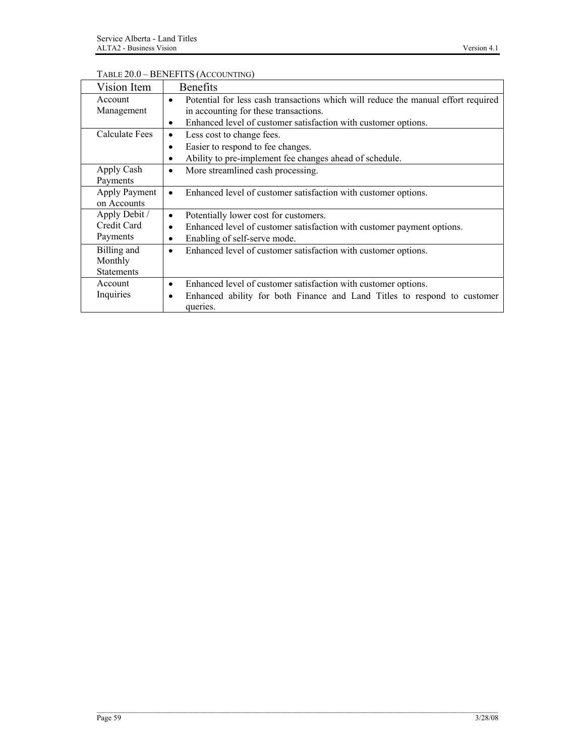#### TABLE 20.0 – BENEFITS (ACCOUNTING)

| Vision Item       | <b>Benefits</b>                                                                                |
|-------------------|------------------------------------------------------------------------------------------------|
| Account           | Potential for less cash transactions which will reduce the manual effort required<br>$\bullet$ |
| Management        | in accounting for these transactions.                                                          |
|                   | Enhanced level of customer satisfaction with customer options.<br>$\bullet$                    |
| Calculate Fees    | Less cost to change fees.<br>٠                                                                 |
|                   | Easier to respond to fee changes.<br>$\bullet$                                                 |
|                   | Ability to pre-implement fee changes ahead of schedule.<br>٠                                   |
| Apply Cash        | More streamlined cash processing.<br>$\bullet$                                                 |
| Payments          |                                                                                                |
| Apply Payment     | Enhanced level of customer satisfaction with customer options.<br>$\bullet$                    |
| on Accounts       |                                                                                                |
| Apply Debit /     | Potentially lower cost for customers.<br>$\bullet$                                             |
| Credit Card       | Enhanced level of customer satisfaction with customer payment options.<br>$\bullet$            |
| Payments          | Enabling of self-serve mode.<br>٠                                                              |
| Billing and       | Enhanced level of customer satisfaction with customer options.<br>$\bullet$                    |
| Monthly           |                                                                                                |
| <b>Statements</b> |                                                                                                |
| Account           | Enhanced level of customer satisfaction with customer options.<br>$\bullet$                    |
| Inquiries         | Enhanced ability for both Finance and Land Titles to respond to customer<br>$\bullet$          |
|                   | queries.                                                                                       |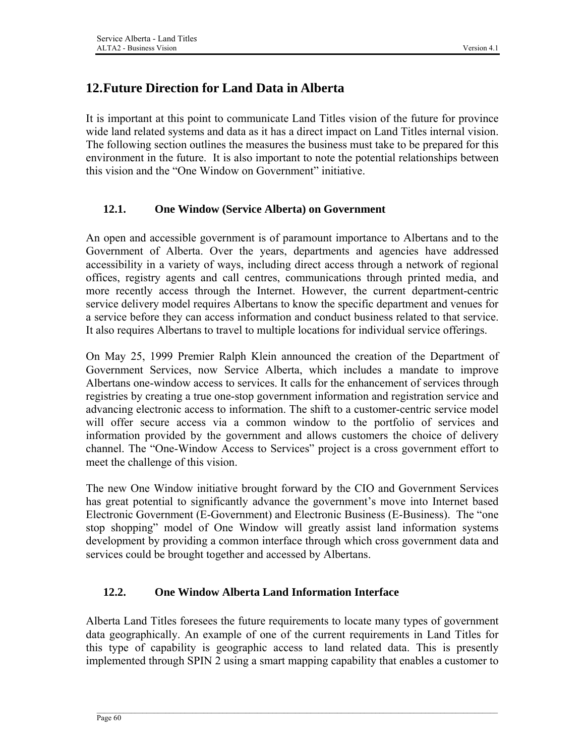# **12.Future Direction for Land Data in Alberta**

It is important at this point to communicate Land Titles vision of the future for province wide land related systems and data as it has a direct impact on Land Titles internal vision. The following section outlines the measures the business must take to be prepared for this environment in the future. It is also important to note the potential relationships between this vision and the "One Window on Government" initiative.

### **12.1. One Window (Service Alberta) on Government**

An open and accessible government is of paramount importance to Albertans and to the Government of Alberta. Over the years, departments and agencies have addressed accessibility in a variety of ways, including direct access through a network of regional offices, registry agents and call centres, communications through printed media, and more recently access through the Internet. However, the current department-centric service delivery model requires Albertans to know the specific department and venues for a service before they can access information and conduct business related to that service. It also requires Albertans to travel to multiple locations for individual service offerings.

On May 25, 1999 Premier Ralph Klein announced the creation of the Department of Government Services, now Service Alberta, which includes a mandate to improve Albertans one-window access to services. It calls for the enhancement of services through registries by creating a true one-stop government information and registration service and advancing electronic access to information. The shift to a customer-centric service model will offer secure access via a common window to the portfolio of services and information provided by the government and allows customers the choice of delivery channel. The "One-Window Access to Services" project is a cross government effort to meet the challenge of this vision.

The new One Window initiative brought forward by the CIO and Government Services has great potential to significantly advance the government's move into Internet based Electronic Government (E-Government) and Electronic Business (E-Business). The "one stop shopping" model of One Window will greatly assist land information systems development by providing a common interface through which cross government data and services could be brought together and accessed by Albertans.

# **12.2. One Window Alberta Land Information Interface**

Alberta Land Titles foresees the future requirements to locate many types of government data geographically. An example of one of the current requirements in Land Titles for this type of capability is geographic access to land related data. This is presently implemented through SPIN 2 using a smart mapping capability that enables a customer to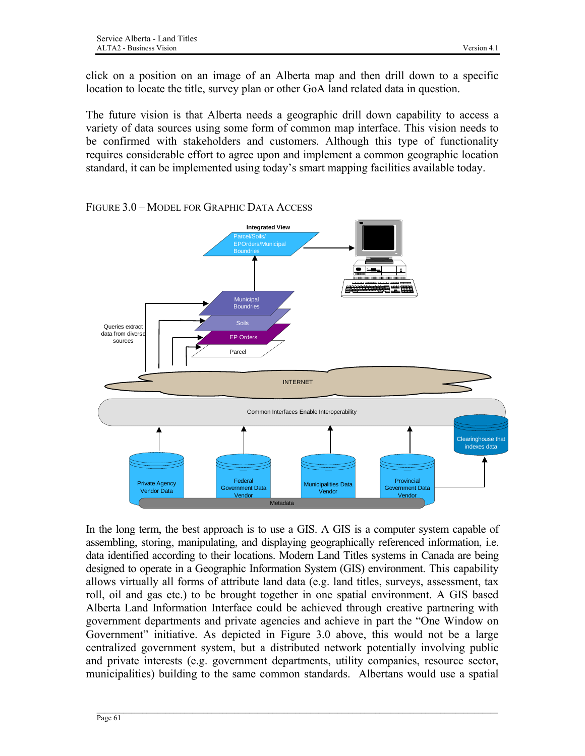click on a position on an image of an Alberta map and then drill down to a specific location to locate the title, survey plan or other GoA land related data in question.

The future vision is that Alberta needs a geographic drill down capability to access a variety of data sources using some form of common map interface. This vision needs to be confirmed with stakeholders and customers. Although this type of functionality requires considerable effort to agree upon and implement a common geographic location standard, it can be implemented using today's smart mapping facilities available today.



FIGURE 3.0 – MODEL FOR GRAPHIC DATA ACCESS

In the long term, the best approach is to use a GIS. A GIS is a computer system capable of assembling, storing, manipulating, and displaying geographically referenced information, i.e. data identified according to their locations. Modern Land Titles systems in Canada are being designed to operate in a Geographic Information System (GIS) environment. This capability allows virtually all forms of attribute land data (e.g. land titles, surveys, assessment, tax roll, oil and gas etc.) to be brought together in one spatial environment. A GIS based Alberta Land Information Interface could be achieved through creative partnering with government departments and private agencies and achieve in part the "One Window on Government" initiative. As depicted in Figure 3.0 above, this would not be a large centralized government system, but a distributed network potentially involving public and private interests (e.g. government departments, utility companies, resource sector, municipalities) building to the same common standards. Albertans would use a spatial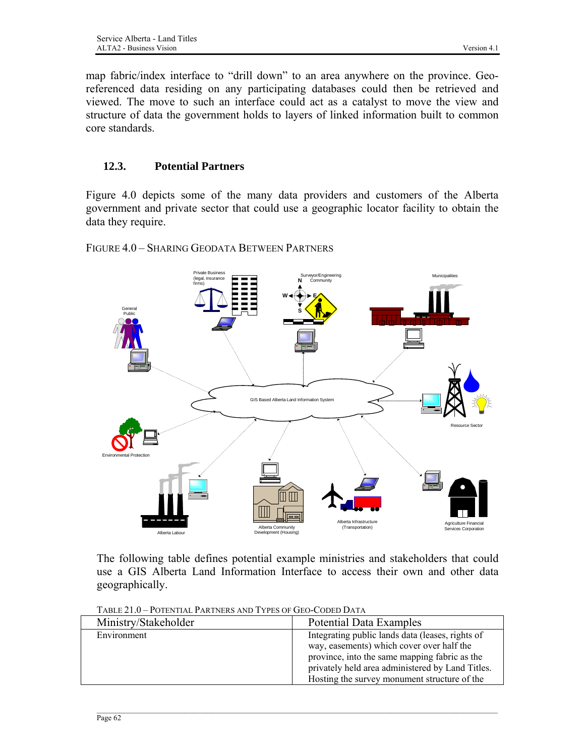map fabric/index interface to "drill down" to an area anywhere on the province. Georeferenced data residing on any participating databases could then be retrieved and viewed. The move to such an interface could act as a catalyst to move the view and structure of data the government holds to layers of linked information built to common core standards.

## **12.3. Potential Partners**

Figure 4.0 depicts some of the many data providers and customers of the Alberta government and private sector that could use a geographic locator facility to obtain the data they require.

FIGURE 4.0 – SHARING GEODATA BETWEEN PARTNERS



The following table defines potential example ministries and stakeholders that could use a GIS Alberta Land Information Interface to access their own and other data geographically.

| TABLE 21.0 – POTENTIAL PARTNERS AND TYPES OF GEO-CODED DATA |  |  |
|-------------------------------------------------------------|--|--|
|                                                             |  |  |

| Ministry/Stakeholder | <b>Potential Data Examples</b>                                                                                                                                                                                                                     |
|----------------------|----------------------------------------------------------------------------------------------------------------------------------------------------------------------------------------------------------------------------------------------------|
| Environment          | Integrating public lands data (leases, rights of<br>way, easements) which cover over half the<br>province, into the same mapping fabric as the<br>privately held area administered by Land Titles.<br>Hosting the survey monument structure of the |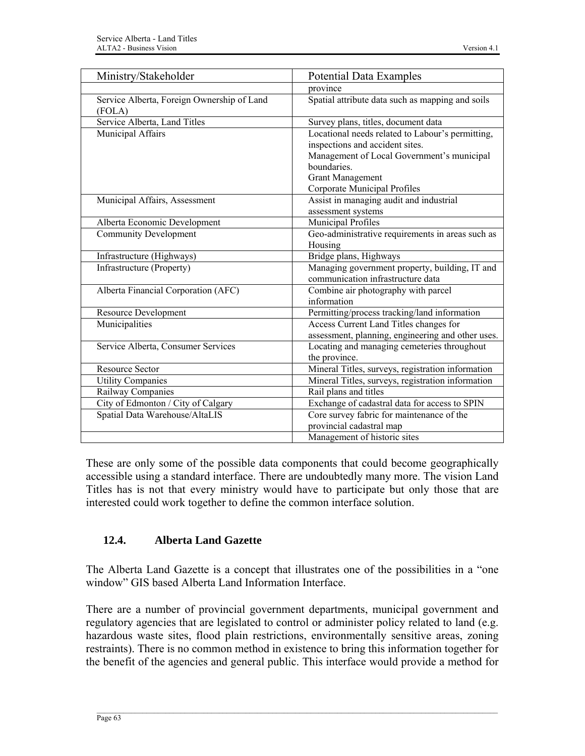| Ministry/Stakeholder                                 | <b>Potential Data Examples</b>                                                                                                                                                                              |
|------------------------------------------------------|-------------------------------------------------------------------------------------------------------------------------------------------------------------------------------------------------------------|
|                                                      | province                                                                                                                                                                                                    |
| Service Alberta, Foreign Ownership of Land<br>(FOLA) | Spatial attribute data such as mapping and soils                                                                                                                                                            |
| Service Alberta, Land Titles                         | Survey plans, titles, document data                                                                                                                                                                         |
| Municipal Affairs                                    | Locational needs related to Labour's permitting,<br>inspections and accident sites.<br>Management of Local Government's municipal<br>boundaries.<br><b>Grant Management</b><br>Corporate Municipal Profiles |
| Municipal Affairs, Assessment                        | Assist in managing audit and industrial<br>assessment systems                                                                                                                                               |
| Alberta Economic Development                         | Municipal Profiles                                                                                                                                                                                          |
| <b>Community Development</b>                         | Geo-administrative requirements in areas such as<br>Housing                                                                                                                                                 |
| Infrastructure (Highways)                            | Bridge plans, Highways                                                                                                                                                                                      |
| Infrastructure (Property)                            | Managing government property, building, IT and<br>communication infrastructure data                                                                                                                         |
| Alberta Financial Corporation (AFC)                  | Combine air photography with parcel<br>information                                                                                                                                                          |
| <b>Resource Development</b>                          | Permitting/process tracking/land information                                                                                                                                                                |
| Municipalities                                       | Access Current Land Titles changes for<br>assessment, planning, engineering and other uses.                                                                                                                 |
| Service Alberta, Consumer Services                   | Locating and managing cemeteries throughout<br>the province.                                                                                                                                                |
| <b>Resource Sector</b>                               | Mineral Titles, surveys, registration information                                                                                                                                                           |
| <b>Utility Companies</b>                             | Mineral Titles, surveys, registration information                                                                                                                                                           |
| Railway Companies                                    | Rail plans and titles                                                                                                                                                                                       |
| City of Edmonton / City of Calgary                   | Exchange of cadastral data for access to SPIN                                                                                                                                                               |
| Spatial Data Warehouse/AltaLIS                       | Core survey fabric for maintenance of the<br>provincial cadastral map<br>Management of historic sites                                                                                                       |
|                                                      |                                                                                                                                                                                                             |

These are only some of the possible data components that could become geographically accessible using a standard interface. There are undoubtedly many more. The vision Land Titles has is not that every ministry would have to participate but only those that are interested could work together to define the common interface solution.

# **12.4. Alberta Land Gazette**

The Alberta Land Gazette is a concept that illustrates one of the possibilities in a "one window" GIS based Alberta Land Information Interface.

There are a number of provincial government departments, municipal government and regulatory agencies that are legislated to control or administer policy related to land (e.g. hazardous waste sites, flood plain restrictions, environmentally sensitive areas, zoning restraints). There is no common method in existence to bring this information together for the benefit of the agencies and general public. This interface would provide a method for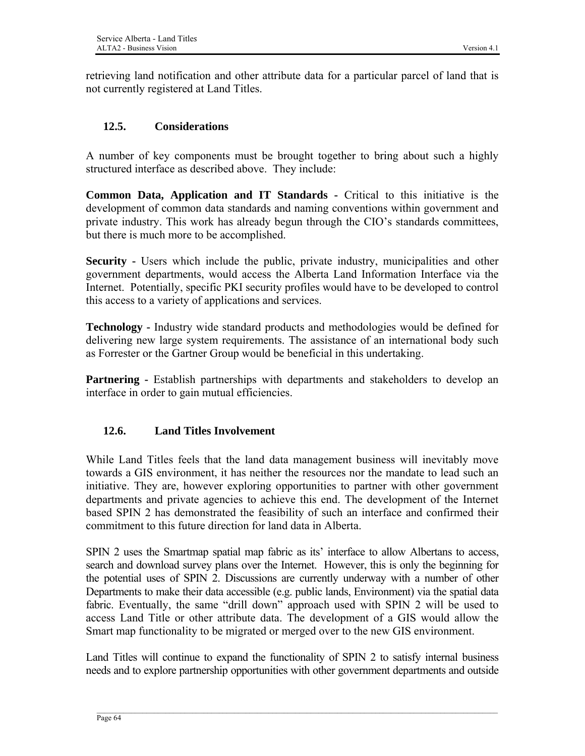retrieving land notification and other attribute data for a particular parcel of land that is not currently registered at Land Titles.

### **12.5. Considerations**

A number of key components must be brought together to bring about such a highly structured interface as described above. They include:

**Common Data, Application and IT Standards -** Critical to this initiative is the development of common data standards and naming conventions within government and private industry. This work has already begun through the CIO's standards committees, but there is much more to be accomplished.

**Security -** Users which include the public, private industry, municipalities and other government departments, would access the Alberta Land Information Interface via the Internet. Potentially, specific PKI security profiles would have to be developed to control this access to a variety of applications and services.

**Technology -** Industry wide standard products and methodologies would be defined for delivering new large system requirements. The assistance of an international body such as Forrester or the Gartner Group would be beneficial in this undertaking.

**Partnering -** Establish partnerships with departments and stakeholders to develop an interface in order to gain mutual efficiencies.

# **12.6. Land Titles Involvement**

While Land Titles feels that the land data management business will inevitably move towards a GIS environment, it has neither the resources nor the mandate to lead such an initiative. They are, however exploring opportunities to partner with other government departments and private agencies to achieve this end. The development of the Internet based SPIN 2 has demonstrated the feasibility of such an interface and confirmed their commitment to this future direction for land data in Alberta.

SPIN 2 uses the Smartmap spatial map fabric as its' interface to allow Albertans to access, search and download survey plans over the Internet. However, this is only the beginning for the potential uses of SPIN 2. Discussions are currently underway with a number of other Departments to make their data accessible (e.g. public lands, Environment) via the spatial data fabric. Eventually, the same "drill down" approach used with SPIN 2 will be used to access Land Title or other attribute data. The development of a GIS would allow the Smart map functionality to be migrated or merged over to the new GIS environment.

Land Titles will continue to expand the functionality of SPIN 2 to satisfy internal business needs and to explore partnership opportunities with other government departments and outside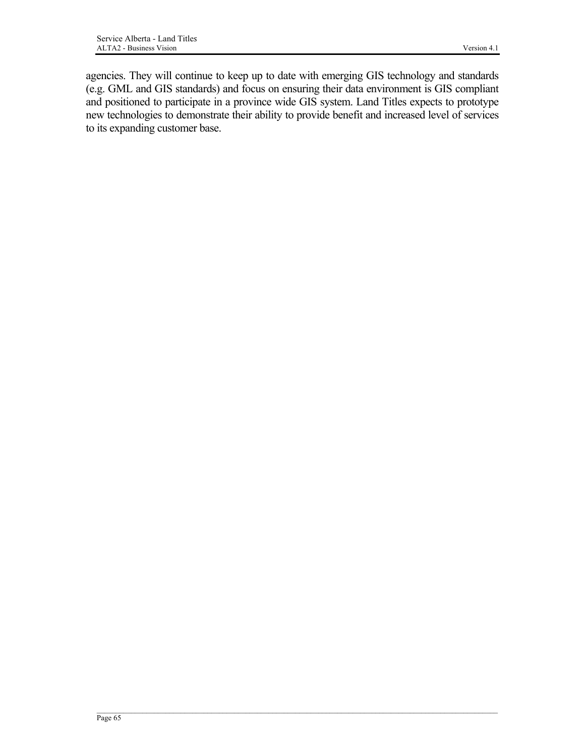agencies. They will continue to keep up to date with emerging GIS technology and standards (e.g. GML and GIS standards) and focus on ensuring their data environment is GIS compliant and positioned to participate in a province wide GIS system. Land Titles expects to prototype new technologies to demonstrate their ability to provide benefit and increased level of services to its expanding customer base.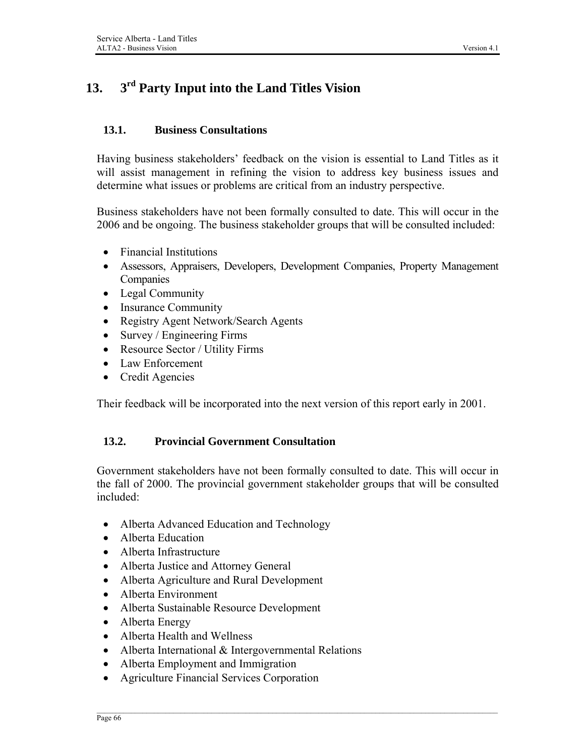# **13. 3rd Party Input into the Land Titles Vision**

#### **13.1. Business Consultations**

Having business stakeholders' feedback on the vision is essential to Land Titles as it will assist management in refining the vision to address key business issues and determine what issues or problems are critical from an industry perspective.

Business stakeholders have not been formally consulted to date. This will occur in the 2006 and be ongoing. The business stakeholder groups that will be consulted included:

- Financial Institutions
- Assessors, Appraisers, Developers, Development Companies, Property Management Companies
- Legal Community
- Insurance Community
- Registry Agent Network/Search Agents
- Survey / Engineering Firms
- Resource Sector / Utility Firms
- Law Enforcement
- Credit Agencies

Their feedback will be incorporated into the next version of this report early in 2001.

#### **13.2. Provincial Government Consultation**

Government stakeholders have not been formally consulted to date. This will occur in the fall of 2000. The provincial government stakeholder groups that will be consulted included:

- Alberta Advanced Education and Technology
- Alberta Education
- Alberta Infrastructure
- Alberta Justice and Attorney General
- Alberta Agriculture and Rural Development
- Alberta Environment
- Alberta Sustainable Resource Development
- Alberta Energy
- Alberta Health and Wellness
- Alberta International & Intergovernmental Relations
- Alberta Employment and Immigration
- Agriculture Financial Services Corporation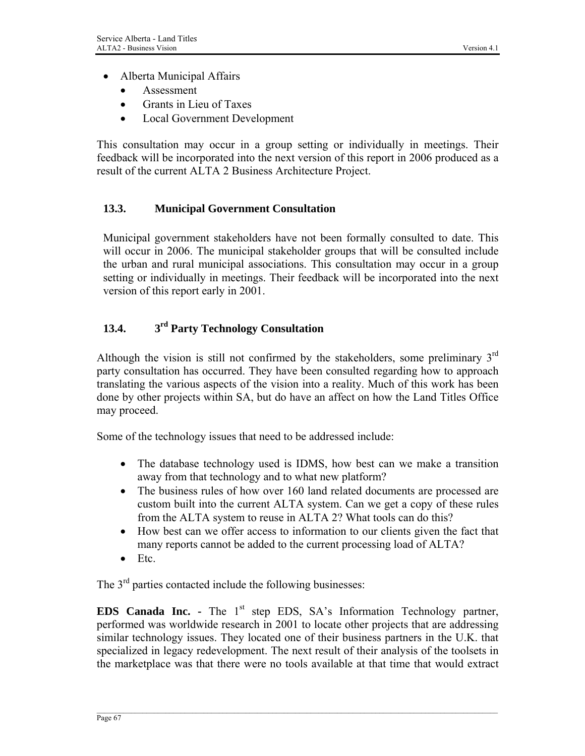- Alberta Municipal Affairs
	- Assessment
	- Grants in Lieu of Taxes
	- Local Government Development

This consultation may occur in a group setting or individually in meetings. Their feedback will be incorporated into the next version of this report in 2006 produced as a result of the current ALTA 2 Business Architecture Project.

### **13.3. Municipal Government Consultation**

Municipal government stakeholders have not been formally consulted to date. This will occur in 2006. The municipal stakeholder groups that will be consulted include the urban and rural municipal associations. This consultation may occur in a group setting or individually in meetings. Their feedback will be incorporated into the next version of this report early in 2001.

# **13.4. 3rd Party Technology Consultation**

Although the vision is still not confirmed by the stakeholders, some preliminary  $3<sup>rd</sup>$ party consultation has occurred. They have been consulted regarding how to approach translating the various aspects of the vision into a reality. Much of this work has been done by other projects within SA, but do have an affect on how the Land Titles Office may proceed.

Some of the technology issues that need to be addressed include:

- The database technology used is IDMS, how best can we make a transition away from that technology and to what new platform?
- The business rules of how over 160 land related documents are processed are custom built into the current ALTA system. Can we get a copy of these rules from the ALTA system to reuse in ALTA 2? What tools can do this?
- How best can we offer access to information to our clients given the fact that many reports cannot be added to the current processing load of ALTA?
- Etc.

The  $3<sup>rd</sup>$  parties contacted include the following businesses:

**EDS Canada Inc. -** The 1<sup>st</sup> step EDS, SA's Information Technology partner, performed was worldwide research in 2001 to locate other projects that are addressing similar technology issues. They located one of their business partners in the U.K. that specialized in legacy redevelopment. The next result of their analysis of the toolsets in the marketplace was that there were no tools available at that time that would extract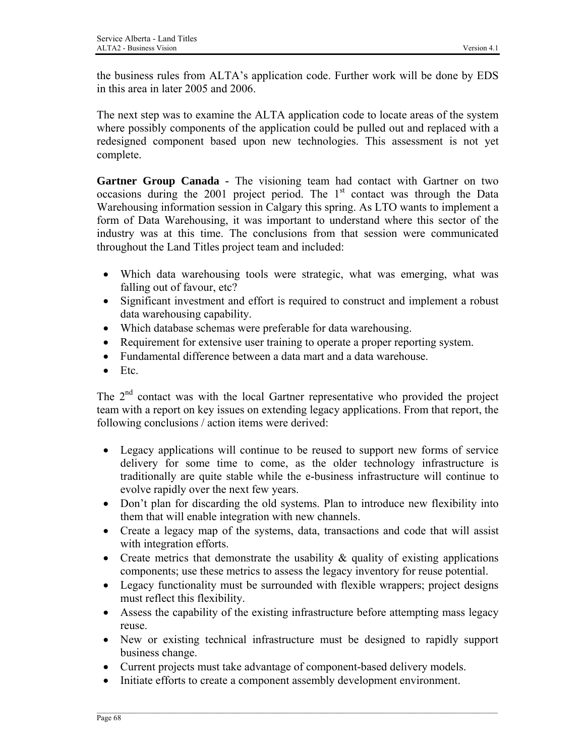the business rules from ALTA's application code. Further work will be done by EDS in this area in later 2005 and 2006.

The next step was to examine the ALTA application code to locate areas of the system where possibly components of the application could be pulled out and replaced with a redesigned component based upon new technologies. This assessment is not yet complete.

Gartner Group Canada - The visioning team had contact with Gartner on two occasions during the 2001 project period. The  $1<sup>st</sup>$  contact was through the Data Warehousing information session in Calgary this spring. As LTO wants to implement a form of Data Warehousing, it was important to understand where this sector of the industry was at this time. The conclusions from that session were communicated throughout the Land Titles project team and included:

- Which data warehousing tools were strategic, what was emerging, what was falling out of favour, etc?
- Significant investment and effort is required to construct and implement a robust data warehousing capability.
- Which database schemas were preferable for data warehousing.
- Requirement for extensive user training to operate a proper reporting system.
- Fundamental difference between a data mart and a data warehouse.
- Etc.

The 2<sup>nd</sup> contact was with the local Gartner representative who provided the project team with a report on key issues on extending legacy applications. From that report, the following conclusions / action items were derived:

- Legacy applications will continue to be reused to support new forms of service delivery for some time to come, as the older technology infrastructure is traditionally are quite stable while the e-business infrastructure will continue to evolve rapidly over the next few years.
- Don't plan for discarding the old systems. Plan to introduce new flexibility into them that will enable integration with new channels.
- Create a legacy map of the systems, data, transactions and code that will assist with integration efforts.
- Create metrics that demonstrate the usability  $\&$  quality of existing applications components; use these metrics to assess the legacy inventory for reuse potential.
- Legacy functionality must be surrounded with flexible wrappers; project designs must reflect this flexibility.
- Assess the capability of the existing infrastructure before attempting mass legacy reuse.
- New or existing technical infrastructure must be designed to rapidly support business change.
- Current projects must take advantage of component-based delivery models.
- Initiate efforts to create a component assembly development environment.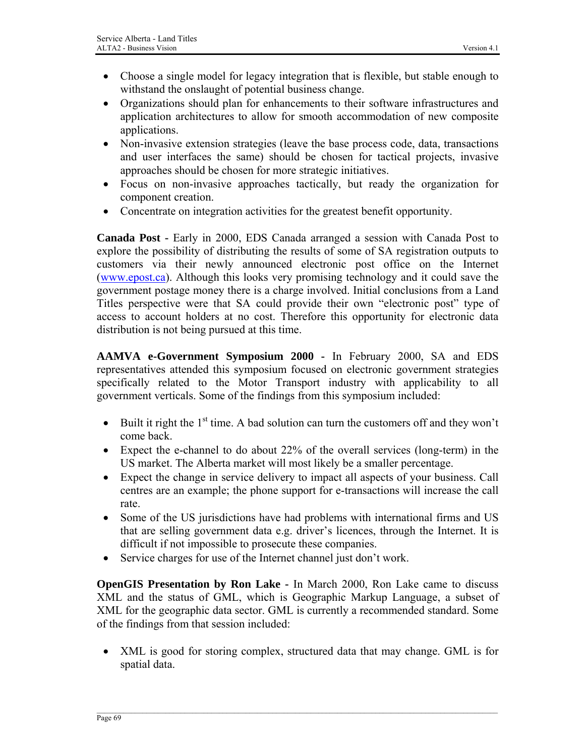- Choose a single model for legacy integration that is flexible, but stable enough to withstand the onslaught of potential business change.
- Organizations should plan for enhancements to their software infrastructures and application architectures to allow for smooth accommodation of new composite applications.
- Non-invasive extension strategies (leave the base process code, data, transactions and user interfaces the same) should be chosen for tactical projects, invasive approaches should be chosen for more strategic initiatives.
- Focus on non-invasive approaches tactically, but ready the organization for component creation.
- Concentrate on integration activities for the greatest benefit opportunity.

**Canada Post -** Early in 2000, EDS Canada arranged a session with Canada Post to explore the possibility of distributing the results of some of SA registration outputs to customers via their newly announced electronic post office on the Internet [\(www.epost.ca](http://www.epost.ca/)). Although this looks very promising technology and it could save the government postage money there is a charge involved. Initial conclusions from a Land Titles perspective were that SA could provide their own "electronic post" type of access to account holders at no cost. Therefore this opportunity for electronic data distribution is not being pursued at this time.

**AAMVA e-Government Symposium 2000 -** In February 2000, SA and EDS representatives attended this symposium focused on electronic government strategies specifically related to the Motor Transport industry with applicability to all government verticals. Some of the findings from this symposium included:

- Built it right the  $1<sup>st</sup>$  time. A bad solution can turn the customers off and they won't come back.
- Expect the e-channel to do about 22% of the overall services (long-term) in the US market. The Alberta market will most likely be a smaller percentage.
- Expect the change in service delivery to impact all aspects of your business. Call centres are an example; the phone support for e-transactions will increase the call rate.
- Some of the US jurisdictions have had problems with international firms and US that are selling government data e.g. driver's licences, through the Internet. It is difficult if not impossible to prosecute these companies.
- Service charges for use of the Internet channel just don't work.

**OpenGIS Presentation by Ron Lake -** In March 2000, Ron Lake came to discuss XML and the status of GML, which is Geographic Markup Language, a subset of XML for the geographic data sector. GML is currently a recommended standard. Some of the findings from that session included:

• XML is good for storing complex, structured data that may change. GML is for spatial data.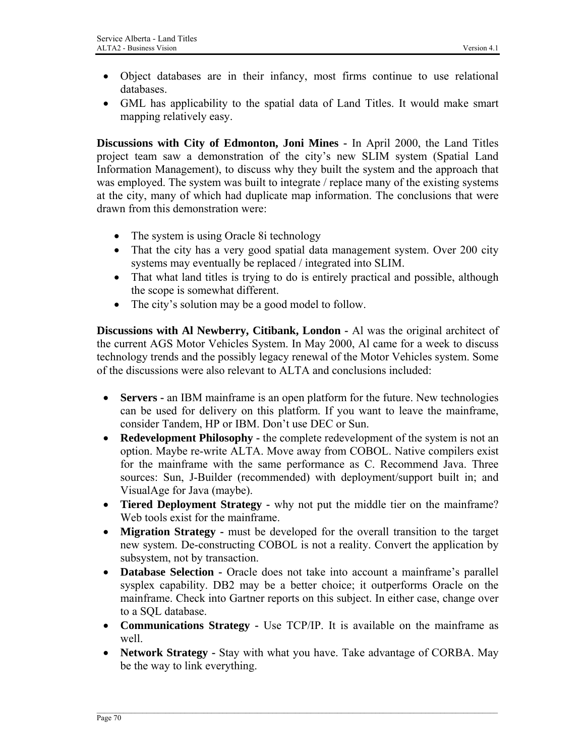- Object databases are in their infancy, most firms continue to use relational databases.
- GML has applicability to the spatial data of Land Titles. It would make smart mapping relatively easy.

**Discussions with City of Edmonton, Joni Mines -** In April 2000, the Land Titles project team saw a demonstration of the city's new SLIM system (Spatial Land Information Management), to discuss why they built the system and the approach that was employed. The system was built to integrate / replace many of the existing systems at the city, many of which had duplicate map information. The conclusions that were drawn from this demonstration were:

- The system is using Oracle 8i technology
- That the city has a very good spatial data management system. Over 200 city systems may eventually be replaced / integrated into SLIM.
- That what land titles is trying to do is entirely practical and possible, although the scope is somewhat different.
- The city's solution may be a good model to follow.

**Discussions with Al Newberry, Citibank, London -** Al was the original architect of the current AGS Motor Vehicles System. In May 2000, Al came for a week to discuss technology trends and the possibly legacy renewal of the Motor Vehicles system. Some of the discussions were also relevant to ALTA and conclusions included:

- **Servers** an IBM mainframe is an open platform for the future. New technologies can be used for delivery on this platform. If you want to leave the mainframe, consider Tandem, HP or IBM. Don't use DEC or Sun.
- **Redevelopment Philosophy** the complete redevelopment of the system is not an option. Maybe re-write ALTA. Move away from COBOL. Native compilers exist for the mainframe with the same performance as C. Recommend Java. Three sources: Sun, J-Builder (recommended) with deployment/support built in; and VisualAge for Java (maybe).
- **Tiered Deployment Strategy** why not put the middle tier on the mainframe? Web tools exist for the mainframe.
- **Migration Strategy** must be developed for the overall transition to the target new system. De-constructing COBOL is not a reality. Convert the application by subsystem, not by transaction.
- **Database Selection** Oracle does not take into account a mainframe's parallel sysplex capability. DB2 may be a better choice; it outperforms Oracle on the mainframe. Check into Gartner reports on this subject. In either case, change over to a SQL database.
- **Communications Strategy** Use TCP/IP. It is available on the mainframe as well.
- **Network Strategy** Stay with what you have. Take advantage of CORBA. May be the way to link everything.